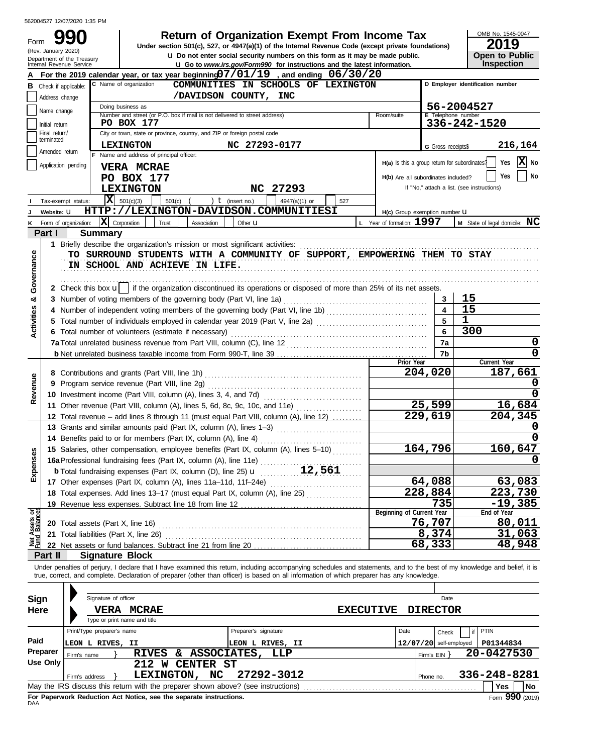Department of the Treasury

(Rev. January 2020)

Form

DAA

Internal Revenue Service u **Go to** *www.irs.gov/Form990* **for instructions and the latest information. u** Do not enter social security numbers on this form as it may be made public. **990 2020 2019 2019 2019 Dependent Organization Exempt From Income Tax 2019 2019** 

OMB No. 1545-0047 **Open to Public<br>Inspection** 

|                           |                                                                                                                           |                                                                                                                                                                            |                      | Q GO to <i>WWW.ils.gov/Formass</i> for instructions and the latest imormation. |                                               |                                | 1117200011                                 |  |  |  |  |
|---------------------------|---------------------------------------------------------------------------------------------------------------------------|----------------------------------------------------------------------------------------------------------------------------------------------------------------------------|----------------------|--------------------------------------------------------------------------------|-----------------------------------------------|--------------------------------|--------------------------------------------|--|--|--|--|
|                           |                                                                                                                           | For the 2019 calendar year, or tax year beginning $07/01/19$ , and ending $06/30/20$                                                                                       |                      |                                                                                |                                               |                                |                                            |  |  |  |  |
| в                         | C Name of organization<br>D Employer identification number<br>COMMUNITIES IN SCHOOLS OF LEXINGTON<br>Check if applicable: |                                                                                                                                                                            |                      |                                                                                |                                               |                                |                                            |  |  |  |  |
|                           | Address change                                                                                                            | /DAVIDSON COUNTY, INC                                                                                                                                                      |                      |                                                                                |                                               |                                |                                            |  |  |  |  |
|                           | Name change                                                                                                               | 56-2004527<br>Doing business as                                                                                                                                            |                      |                                                                                |                                               |                                |                                            |  |  |  |  |
|                           |                                                                                                                           | E Telephone number                                                                                                                                                         |                      |                                                                                |                                               |                                |                                            |  |  |  |  |
|                           | Initial return                                                                                                            | PO BOX 177                                                                                                                                                                 |                      |                                                                                |                                               |                                | 336-242-1520                               |  |  |  |  |
|                           | Final return/<br>terminated                                                                                               | City or town, state or province, country, and ZIP or foreign postal code                                                                                                   |                      |                                                                                |                                               |                                |                                            |  |  |  |  |
|                           |                                                                                                                           | <b>LEXINGTON</b>                                                                                                                                                           | NC 27293-0177        |                                                                                |                                               | G Gross receipts\$             | 216,164                                    |  |  |  |  |
|                           | Amended return                                                                                                            | F Name and address of principal officer:                                                                                                                                   |                      |                                                                                |                                               |                                | X No                                       |  |  |  |  |
|                           | Application pending                                                                                                       | <b>VERA MCRAE</b>                                                                                                                                                          |                      |                                                                                | H(a) Is this a group return for subordinates? |                                | Yes                                        |  |  |  |  |
|                           |                                                                                                                           | PO BOX 177                                                                                                                                                                 |                      |                                                                                | H(b) Are all subordinates included?           |                                | No<br>Yes                                  |  |  |  |  |
|                           |                                                                                                                           | <b>LEXINGTON</b>                                                                                                                                                           | NC 27293             |                                                                                |                                               |                                | If "No," attach a list. (see instructions) |  |  |  |  |
|                           | Tax-exempt status:                                                                                                        | $ \mathbf{X} $ 501(c)(3)<br>501(c)                                                                                                                                         | ) $t$ (insert no.)   | 4947(a)(1) or<br>527                                                           |                                               |                                |                                            |  |  |  |  |
|                           | Website: U                                                                                                                | HTTP://LEXINGTON-DAVIDSON.COMMUNITIESI                                                                                                                                     |                      |                                                                                | H(c) Group exemption number LI                |                                |                                            |  |  |  |  |
|                           | Form of organization:                                                                                                     | $ \mathbf{X} $ Corporation<br>Trust<br>Association                                                                                                                         | Other <b>u</b>       |                                                                                | L Year of formation: 1997                     |                                | M State of legal domicile: NC              |  |  |  |  |
|                           | Part I                                                                                                                    | <b>Summary</b>                                                                                                                                                             |                      |                                                                                |                                               |                                |                                            |  |  |  |  |
|                           |                                                                                                                           |                                                                                                                                                                            |                      |                                                                                |                                               |                                |                                            |  |  |  |  |
|                           |                                                                                                                           | 1 Briefly describe the organization's mission or most significant activities:                                                                                              |                      |                                                                                |                                               |                                |                                            |  |  |  |  |
|                           |                                                                                                                           | TO SURROUND STUDENTS WITH A COMMUNITY OF SUPPORT, EMPOWERING THEM TO STAY                                                                                                  |                      |                                                                                |                                               |                                |                                            |  |  |  |  |
|                           |                                                                                                                           | IN SCHOOL AND ACHIEVE IN LIFE.                                                                                                                                             |                      |                                                                                |                                               |                                |                                            |  |  |  |  |
| Governance                |                                                                                                                           |                                                                                                                                                                            |                      |                                                                                |                                               |                                |                                            |  |  |  |  |
|                           |                                                                                                                           | 2 Check this box u   if the organization discontinued its operations or disposed of more than 25% of its net assets.                                                       |                      |                                                                                |                                               |                                |                                            |  |  |  |  |
| ೲ                         |                                                                                                                           | 3 Number of voting members of the governing body (Part VI, line 1a)                                                                                                        |                      |                                                                                |                                               | 3                              | 15                                         |  |  |  |  |
|                           |                                                                                                                           | 4 Number of independent voting members of the governing body (Part VI, line 1b)                                                                                            |                      |                                                                                |                                               |                                | 15                                         |  |  |  |  |
| Activities                |                                                                                                                           | 5 Total number of individuals employed in calendar year 2019 (Part V, line 2a) [[[[[[[[[[[[[[[[[[[[[[[[[[[[[[[                                                             |                      |                                                                                |                                               |                                | 1                                          |  |  |  |  |
|                           |                                                                                                                           | 6 Total number of volunteers (estimate if necessary)                                                                                                                       |                      |                                                                                |                                               |                                | 300                                        |  |  |  |  |
|                           |                                                                                                                           |                                                                                                                                                                            |                      | 7a                                                                             | 0                                             |                                |                                            |  |  |  |  |
|                           |                                                                                                                           |                                                                                                                                                                            |                      |                                                                                | 7b                                            | $\mathbf{0}$                   |                                            |  |  |  |  |
|                           |                                                                                                                           |                                                                                                                                                                            |                      |                                                                                | Prior Year                                    |                                | Current Year                               |  |  |  |  |
|                           |                                                                                                                           |                                                                                                                                                                            |                      |                                                                                |                                               | 204,020                        | 187,661                                    |  |  |  |  |
| Revenue                   |                                                                                                                           |                                                                                                                                                                            |                      |                                                                                |                                               |                                |                                            |  |  |  |  |
|                           |                                                                                                                           | 10 Investment income (Part VIII, column (A), lines 3, 4, and 7d)                                                                                                           |                      |                                                                                |                                               |                                |                                            |  |  |  |  |
|                           |                                                                                                                           | 11 Other revenue (Part VIII, column (A), lines 5, 6d, 8c, 9c, 10c, and 11e)                                                                                                |                      | 16,684                                                                         |                                               |                                |                                            |  |  |  |  |
|                           |                                                                                                                           |                                                                                                                                                                            |                      |                                                                                |                                               | 25,599<br>$\overline{229,619}$ | 204,345                                    |  |  |  |  |
|                           |                                                                                                                           | 12 Total revenue – add lines 8 through 11 (must equal Part VIII, column (A), line 12)                                                                                      |                      |                                                                                |                                               |                                | O                                          |  |  |  |  |
|                           |                                                                                                                           | 13 Grants and similar amounts paid (Part IX, column (A), lines 1-3)                                                                                                        |                      |                                                                                |                                               |                                |                                            |  |  |  |  |
|                           |                                                                                                                           | 14 Benefits paid to or for members (Part IX, column (A), line 4)                                                                                                           |                      |                                                                                |                                               |                                |                                            |  |  |  |  |
| penses                    |                                                                                                                           | 15 Salaries, other compensation, employee benefits (Part IX, column (A), lines 5-10)                                                                                       |                      | 164,796                                                                        | 160,647                                       |                                |                                            |  |  |  |  |
|                           |                                                                                                                           | 16a Professional fundraising fees (Part IX, column (A), line 11e)                                                                                                          |                      |                                                                                | 0                                             |                                |                                            |  |  |  |  |
|                           |                                                                                                                           | <b>b</b> Total fundraising expenses (Part IX, column (D), line 25) <b>u</b>                                                                                                |                      |                                                                                |                                               |                                |                                            |  |  |  |  |
| ய்                        |                                                                                                                           |                                                                                                                                                                            |                      | 64,088                                                                         | 63,083                                        |                                |                                            |  |  |  |  |
|                           |                                                                                                                           | 18 Total expenses. Add lines 13-17 (must equal Part IX, column (A), line 25)                                                                                               |                      |                                                                                |                                               | 228,884                        | 223,730                                    |  |  |  |  |
|                           |                                                                                                                           | 19 Revenue less expenses. Subtract line 18 from line 12                                                                                                                    |                      |                                                                                |                                               | 735                            | $-19,385$                                  |  |  |  |  |
| ಕ್ಷ                       |                                                                                                                           |                                                                                                                                                                            |                      |                                                                                | Beginning of Current Year                     |                                | End of Year                                |  |  |  |  |
| Net Assets<br>Fund Balanc |                                                                                                                           |                                                                                                                                                                            |                      |                                                                                |                                               | 76,707                         | 80,011                                     |  |  |  |  |
|                           |                                                                                                                           | 21 Total liabilities (Part X, line 26)                                                                                                                                     |                      |                                                                                |                                               | 8,374                          | 31,063                                     |  |  |  |  |
|                           |                                                                                                                           |                                                                                                                                                                            |                      |                                                                                |                                               | 68,333                         | 48,948                                     |  |  |  |  |
|                           | Part II                                                                                                                   | <b>Signature Block</b>                                                                                                                                                     |                      |                                                                                |                                               |                                |                                            |  |  |  |  |
|                           |                                                                                                                           | Under penalties of perjury, I declare that I have examined this return, including accompanying schedules and statements, and to the best of my knowledge and belief, it is |                      |                                                                                |                                               |                                |                                            |  |  |  |  |
|                           |                                                                                                                           | true, correct, and complete. Declaration of preparer (other than officer) is based on all information of which preparer has any knowledge.                                 |                      |                                                                                |                                               |                                |                                            |  |  |  |  |
|                           |                                                                                                                           |                                                                                                                                                                            |                      |                                                                                |                                               |                                |                                            |  |  |  |  |
| Sign                      |                                                                                                                           | Signature of officer                                                                                                                                                       |                      |                                                                                |                                               | Date                           |                                            |  |  |  |  |
| Here                      |                                                                                                                           | <b>VERA MCRAE</b>                                                                                                                                                          |                      | <b>EXECUTIVE</b>                                                               |                                               | <b>DIRECTOR</b>                |                                            |  |  |  |  |
|                           |                                                                                                                           | Type or print name and title                                                                                                                                               |                      |                                                                                |                                               |                                |                                            |  |  |  |  |
|                           |                                                                                                                           | Print/Type preparer's name                                                                                                                                                 | Preparer's signature |                                                                                | Date                                          | Check                          | <b>PTIN</b><br>if                          |  |  |  |  |
| Paid                      |                                                                                                                           |                                                                                                                                                                            |                      |                                                                                |                                               |                                |                                            |  |  |  |  |
|                           | Preparer                                                                                                                  | LEON L RIVES, II                                                                                                                                                           | LEON L RIVES, II     |                                                                                |                                               | $12/07/20$ self-employed       | P01344834                                  |  |  |  |  |
|                           | Firm's name<br><b>Use Only</b>                                                                                            | <b>RIVES</b>                                                                                                                                                               | & ASSOCIATES,<br>LLP |                                                                                |                                               | Firm's EIN                     | 20-0427530                                 |  |  |  |  |
|                           |                                                                                                                           | 212 W CENTER ST                                                                                                                                                            |                      |                                                                                |                                               |                                |                                            |  |  |  |  |
|                           | Firm's address                                                                                                            | LEXINGTON, NC                                                                                                                                                              | 27292-3012           |                                                                                |                                               | Phone no.                      | 336-248-8281                               |  |  |  |  |
|                           |                                                                                                                           | May the IRS discuss this return with the preparer shown above? (see instructions)                                                                                          |                      |                                                                                |                                               |                                | Yes<br>No                                  |  |  |  |  |

Form **990** (2019) **Preparer Use Only** Firm's name Firm's EIN } **RIVES & ASSOCIATES, LLP 20-0427530** Firm's address **} LEXINGTON, NC 27292-3012 Phone no. 336-248-8281 For Paperwork Reduction Act Notice, see the separate instructions.** Firm's address } } **212 W CENTER ST**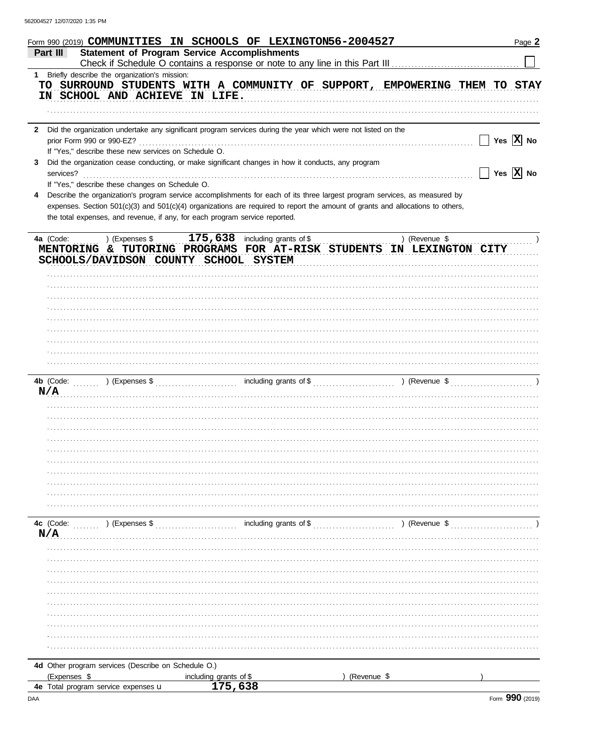|              |                  |                                                                                                                                |                                   | Form 990 (2019) COMMUNITIES IN SCHOOLS OF LEXINGTON56-2004527                                                                                                                                                                                                |             |               | Page 2                                                                    |
|--------------|------------------|--------------------------------------------------------------------------------------------------------------------------------|-----------------------------------|--------------------------------------------------------------------------------------------------------------------------------------------------------------------------------------------------------------------------------------------------------------|-------------|---------------|---------------------------------------------------------------------------|
|              | Part III         | <b>Statement of Program Service Accomplishments</b>                                                                            |                                   |                                                                                                                                                                                                                                                              |             |               |                                                                           |
|              |                  |                                                                                                                                |                                   |                                                                                                                                                                                                                                                              |             |               |                                                                           |
|              |                  | 1 Briefly describe the organization's mission:<br>IN SCHOOL AND ACHIEVE IN LIFE.                                               |                                   |                                                                                                                                                                                                                                                              |             |               | TO SURROUND STUDENTS WITH A COMMUNITY OF SUPPORT, EMPOWERING THEM TO STAY |
|              |                  |                                                                                                                                |                                   |                                                                                                                                                                                                                                                              |             |               |                                                                           |
| $\mathbf{2}$ |                  | If "Yes," describe these new services on Schedule O.                                                                           |                                   | Did the organization undertake any significant program services during the year which were not listed on the                                                                                                                                                 |             |               | $\Box$ Yes $\overline{X}$ No                                              |
| 3            | services?        |                                                                                                                                |                                   | Did the organization cease conducting, or make significant changes in how it conducts, any program                                                                                                                                                           |             |               | $\boxed{\phantom{1}}$ Yes $\boxed{\mathbf{X}}$ No                         |
| 4            |                  | If "Yes," describe these changes on Schedule O.<br>the total expenses, and revenue, if any, for each program service reported. |                                   | Describe the organization's program service accomplishments for each of its three largest program services, as measured by<br>expenses. Section 501(c)(3) and 501(c)(4) organizations are required to report the amount of grants and allocations to others, |             |               |                                                                           |
|              |                  | SCHOOLS/DAVIDSON COUNTY SCHOOL SYSTEM                                                                                          |                                   | MENTORING & TUTORING PROGRAMS FOR AT-RISK STUDENTS IN LEXINGTON CITY                                                                                                                                                                                         |             |               |                                                                           |
|              |                  |                                                                                                                                |                                   |                                                                                                                                                                                                                                                              |             |               |                                                                           |
|              |                  |                                                                                                                                |                                   |                                                                                                                                                                                                                                                              |             |               |                                                                           |
|              |                  |                                                                                                                                |                                   |                                                                                                                                                                                                                                                              |             |               |                                                                           |
|              |                  |                                                                                                                                |                                   |                                                                                                                                                                                                                                                              |             |               |                                                                           |
|              |                  |                                                                                                                                |                                   |                                                                                                                                                                                                                                                              |             |               |                                                                           |
|              |                  |                                                                                                                                |                                   |                                                                                                                                                                                                                                                              |             |               |                                                                           |
|              |                  |                                                                                                                                |                                   |                                                                                                                                                                                                                                                              |             |               |                                                                           |
|              |                  |                                                                                                                                |                                   |                                                                                                                                                                                                                                                              |             |               |                                                                           |
|              | N/A              |                                                                                                                                |                                   |                                                                                                                                                                                                                                                              |             |               |                                                                           |
|              |                  |                                                                                                                                |                                   |                                                                                                                                                                                                                                                              |             |               |                                                                           |
|              |                  |                                                                                                                                |                                   |                                                                                                                                                                                                                                                              |             |               |                                                                           |
|              |                  |                                                                                                                                |                                   |                                                                                                                                                                                                                                                              |             |               |                                                                           |
|              |                  |                                                                                                                                |                                   |                                                                                                                                                                                                                                                              |             |               |                                                                           |
|              |                  |                                                                                                                                |                                   |                                                                                                                                                                                                                                                              |             |               |                                                                           |
|              |                  |                                                                                                                                |                                   |                                                                                                                                                                                                                                                              |             |               |                                                                           |
|              |                  |                                                                                                                                |                                   |                                                                                                                                                                                                                                                              |             |               |                                                                           |
|              |                  |                                                                                                                                |                                   |                                                                                                                                                                                                                                                              |             |               |                                                                           |
|              | 4c (Code:<br>N/A | $\ldots$ ) (Expenses \$                                                                                                        |                                   | including grants of \$                                                                                                                                                                                                                                       |             | ) (Revenue \$ |                                                                           |
|              |                  |                                                                                                                                |                                   |                                                                                                                                                                                                                                                              |             |               |                                                                           |
|              |                  |                                                                                                                                |                                   |                                                                                                                                                                                                                                                              |             |               |                                                                           |
|              |                  |                                                                                                                                |                                   |                                                                                                                                                                                                                                                              |             |               |                                                                           |
|              |                  |                                                                                                                                |                                   |                                                                                                                                                                                                                                                              |             |               |                                                                           |
|              |                  |                                                                                                                                |                                   |                                                                                                                                                                                                                                                              |             |               |                                                                           |
|              |                  |                                                                                                                                |                                   |                                                                                                                                                                                                                                                              |             |               |                                                                           |
|              |                  |                                                                                                                                |                                   |                                                                                                                                                                                                                                                              |             |               |                                                                           |
|              |                  |                                                                                                                                |                                   |                                                                                                                                                                                                                                                              |             |               |                                                                           |
|              |                  |                                                                                                                                |                                   |                                                                                                                                                                                                                                                              |             |               |                                                                           |
|              |                  | 4d Other program services (Describe on Schedule O.)                                                                            |                                   |                                                                                                                                                                                                                                                              |             |               |                                                                           |
|              | (Expenses \$     | 4e Total program service expenses u                                                                                            | including grants of \$<br>175,638 |                                                                                                                                                                                                                                                              | (Revenue \$ |               |                                                                           |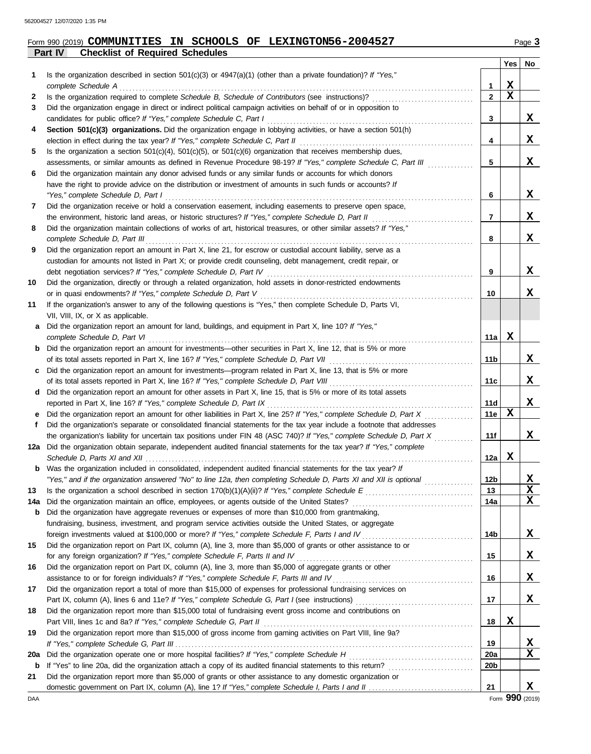|            | Form 990 (2019) COMMUNITIES IN SCHOOLS OF LEXINGTON56-2004527                                                                                                                                                          |                        |             | Page 3      |
|------------|------------------------------------------------------------------------------------------------------------------------------------------------------------------------------------------------------------------------|------------------------|-------------|-------------|
|            | <b>Checklist of Required Schedules</b><br>Part IV                                                                                                                                                                      |                        |             |             |
|            |                                                                                                                                                                                                                        |                        | Yes         | No          |
| 1          | Is the organization described in section $501(c)(3)$ or $4947(a)(1)$ (other than a private foundation)? If "Yes,"                                                                                                      |                        |             |             |
|            | complete Schedule A                                                                                                                                                                                                    | 1                      | X           |             |
| 2          | Is the organization required to complete Schedule B, Schedule of Contributors (see instructions)?                                                                                                                      | $\mathbf{2}$           | $\mathbf x$ |             |
| 3          | Did the organization engage in direct or indirect political campaign activities on behalf of or in opposition to                                                                                                       |                        |             |             |
|            | candidates for public office? If "Yes," complete Schedule C, Part I                                                                                                                                                    | 3                      |             | x           |
| 4          | Section 501(c)(3) organizations. Did the organization engage in lobbying activities, or have a section 501(h)                                                                                                          |                        |             | X           |
|            | election in effect during the tax year? If "Yes," complete Schedule C, Part II                                                                                                                                         | 4                      |             |             |
| 5          | Is the organization a section $501(c)(4)$ , $501(c)(5)$ , or $501(c)(6)$ organization that receives membership dues,                                                                                                   |                        |             | X           |
|            | assessments, or similar amounts as defined in Revenue Procedure 98-19? If "Yes," complete Schedule C, Part III                                                                                                         | 5                      |             |             |
| 6          | Did the organization maintain any donor advised funds or any similar funds or accounts for which donors<br>have the right to provide advice on the distribution or investment of amounts in such funds or accounts? If |                        |             |             |
|            | "Yes," complete Schedule D, Part I                                                                                                                                                                                     | 6                      |             | x           |
| 7          | Did the organization receive or hold a conservation easement, including easements to preserve open space,                                                                                                              |                        |             |             |
|            | the environment, historic land areas, or historic structures? If "Yes," complete Schedule D, Part II                                                                                                                   | 7                      |             | X           |
| 8          | Did the organization maintain collections of works of art, historical treasures, or other similar assets? If "Yes,"                                                                                                    |                        |             |             |
|            | complete Schedule D, Part III                                                                                                                                                                                          | 8                      |             | x           |
| 9          | Did the organization report an amount in Part X, line 21, for escrow or custodial account liability, serve as a                                                                                                        |                        |             |             |
|            | custodian for amounts not listed in Part X; or provide credit counseling, debt management, credit repair, or                                                                                                           |                        |             |             |
|            | debt negotiation services? If "Yes," complete Schedule D, Part IV                                                                                                                                                      | 9                      |             | X           |
| 10         | Did the organization, directly or through a related organization, hold assets in donor-restricted endowments                                                                                                           |                        |             |             |
|            | or in quasi endowments? If "Yes," complete Schedule D, Part V                                                                                                                                                          | 10                     |             | X           |
| 11         | If the organization's answer to any of the following questions is "Yes," then complete Schedule D, Parts VI,                                                                                                           |                        |             |             |
|            | VII, VIII, IX, or X as applicable.                                                                                                                                                                                     |                        |             |             |
| a          | Did the organization report an amount for land, buildings, and equipment in Part X, line 10? If "Yes,"                                                                                                                 |                        |             |             |
|            | complete Schedule D, Part VI                                                                                                                                                                                           | 11a                    | X           |             |
| b          | Did the organization report an amount for investments—other securities in Part X, line 12, that is 5% or more                                                                                                          |                        |             |             |
|            | of its total assets reported in Part X, line 16? If "Yes," complete Schedule D, Part VII                                                                                                                               | 11b                    |             | X           |
| c          | Did the organization report an amount for investments—program related in Part X, line 13, that is 5% or more                                                                                                           |                        |             |             |
|            |                                                                                                                                                                                                                        | 11 <sub>c</sub>        |             | X           |
| d          | Did the organization report an amount for other assets in Part X, line 15, that is 5% or more of its total assets                                                                                                      |                        |             |             |
|            | reported in Part X, line 16? If "Yes," complete Schedule D, Part IX                                                                                                                                                    | 11d                    |             | X           |
| е          | Did the organization report an amount for other liabilities in Part X, line 25? If "Yes," complete Schedule D, Part X                                                                                                  | 11e                    | X           |             |
|            | Did the organization's separate or consolidated financial statements for the tax year include a footnote that addresses                                                                                                |                        |             |             |
|            | the organization's liability for uncertain tax positions under FIN 48 (ASC 740)? If "Yes," complete Schedule D, Part X                                                                                                 | 11f                    |             | x           |
| 12a        | Did the organization obtain separate, independent audited financial statements for the tax year? If "Yes," complete                                                                                                    |                        |             |             |
|            |                                                                                                                                                                                                                        | 12a                    | x           |             |
| b          | Was the organization included in consolidated, independent audited financial statements for the tax year? If                                                                                                           |                        |             |             |
|            | "Yes," and if the organization answered "No" to line 12a, then completing Schedule D, Parts XI and XII is optional                                                                                                     | 12 <sub>b</sub>        |             | X           |
| 13         |                                                                                                                                                                                                                        | 13                     |             | $\mathbf x$ |
| 14a        | Did the organization maintain an office, employees, or agents outside of the United States?                                                                                                                            | 14a                    |             | X           |
| b          | Did the organization have aggregate revenues or expenses of more than \$10,000 from grantmaking,                                                                                                                       |                        |             |             |
|            | fundraising, business, investment, and program service activities outside the United States, or aggregate                                                                                                              |                        |             |             |
|            |                                                                                                                                                                                                                        | 14b                    |             | X           |
| 15         | Did the organization report on Part IX, column (A), line 3, more than \$5,000 of grants or other assistance to or                                                                                                      |                        |             |             |
|            | for any foreign organization? If "Yes," complete Schedule F, Parts II and IV                                                                                                                                           | 15                     |             | X           |
| 16         | Did the organization report on Part IX, column (A), line 3, more than \$5,000 of aggregate grants or other                                                                                                             |                        |             |             |
|            | assistance to or for foreign individuals? If "Yes," complete Schedule F, Parts III and IV                                                                                                                              | 16                     |             | X           |
| 17         | Did the organization report a total of more than \$15,000 of expenses for professional fundraising services on                                                                                                         |                        |             |             |
|            |                                                                                                                                                                                                                        | 17                     |             | X           |
| 18         | Did the organization report more than \$15,000 total of fundraising event gross income and contributions on                                                                                                            |                        |             |             |
|            | Part VIII, lines 1c and 8a? If "Yes," complete Schedule G, Part II                                                                                                                                                     | 18                     | X           |             |
| 19         | Did the organization report more than \$15,000 of gross income from gaming activities on Part VIII, line 9a?                                                                                                           |                        |             |             |
|            |                                                                                                                                                                                                                        | 19                     |             | X<br>X      |
| <b>20a</b> |                                                                                                                                                                                                                        | 20a<br>20 <sub>b</sub> |             |             |
| b          |                                                                                                                                                                                                                        |                        |             |             |
| 21         | Did the organization report more than \$5,000 of grants or other assistance to any domestic organization or                                                                                                            | 21                     |             | X.          |
|            |                                                                                                                                                                                                                        |                        |             |             |

|         |                                        |  | 990 (2019) COMMUNITIES IN SCHOOLS OF LEXINGTON56-2004527 |
|---------|----------------------------------------|--|----------------------------------------------------------|
| rt IV l | <b>Checklist of Required Schedules</b> |  |                                                          |

| ۰. |  |
|----|--|
|----|--|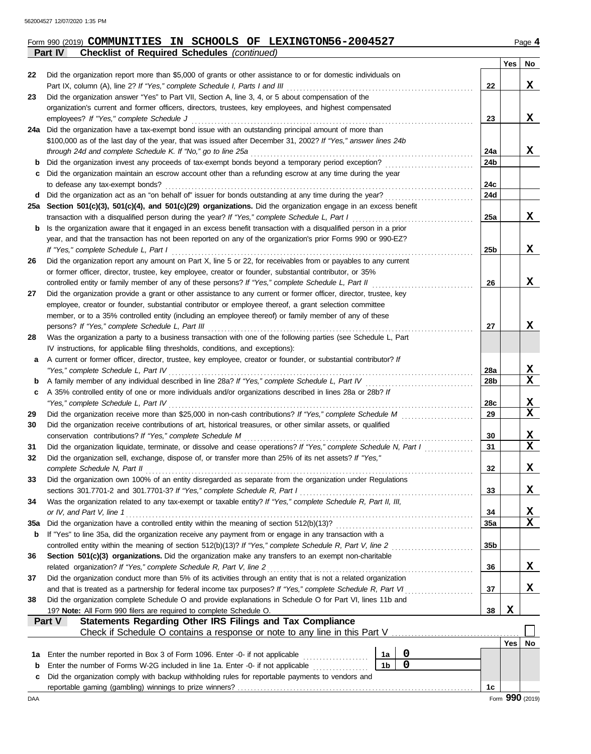|         | Form 990 (2019) COMMUNITIES IN SCHOOLS OF LEXINGTON56-2004527                                                                                                                      |                 |     | Page 4                  |
|---------|------------------------------------------------------------------------------------------------------------------------------------------------------------------------------------|-----------------|-----|-------------------------|
|         | <b>Checklist of Required Schedules (continued)</b><br>Part IV                                                                                                                      |                 |     |                         |
|         |                                                                                                                                                                                    |                 | Yes | No                      |
| 22      | Did the organization report more than \$5,000 of grants or other assistance to or for domestic individuals on                                                                      | 22              |     | X                       |
| 23      | Part IX, column (A), line 2? If "Yes," complete Schedule I, Parts I and III<br>Did the organization answer "Yes" to Part VII, Section A, line 3, 4, or 5 about compensation of the |                 |     |                         |
|         | organization's current and former officers, directors, trustees, key employees, and highest compensated                                                                            |                 |     |                         |
|         | employees? If "Yes," complete Schedule J                                                                                                                                           | 23              |     | X                       |
|         | 24a Did the organization have a tax-exempt bond issue with an outstanding principal amount of more than                                                                            |                 |     |                         |
|         | \$100,000 as of the last day of the year, that was issued after December 31, 2002? If "Yes," answer lines 24b                                                                      |                 |     |                         |
|         | through 24d and complete Schedule K. If "No," go to line 25a                                                                                                                       | 24a             |     | x                       |
|         | Did the organization invest any proceeds of tax-exempt bonds beyond a temporary period exception?                                                                                  | 24b             |     |                         |
|         | Did the organization maintain an escrow account other than a refunding escrow at any time during the year                                                                          |                 |     |                         |
|         | to defease any tax-exempt bonds?                                                                                                                                                   | 24c             |     |                         |
| d       | Did the organization act as an "on behalf of" issuer for bonds outstanding at any time during the year?                                                                            | 24d<br>.        |     |                         |
| 25а     | Section 501(c)(3), 501(c)(4), and 501(c)(29) organizations. Did the organization engage in an excess benefit                                                                       |                 |     |                         |
|         | transaction with a disqualified person during the year? If "Yes," complete Schedule L, Part I                                                                                      | 25a             |     | X                       |
| b       | Is the organization aware that it engaged in an excess benefit transaction with a disqualified person in a prior                                                                   |                 |     |                         |
|         | year, and that the transaction has not been reported on any of the organization's prior Forms 990 or 990-EZ?                                                                       |                 |     |                         |
|         | If "Yes," complete Schedule L, Part I                                                                                                                                              | 25 <sub>b</sub> |     | X                       |
| 26      | Did the organization report any amount on Part X, line 5 or 22, for receivables from or payables to any current                                                                    |                 |     |                         |
|         | or former officer, director, trustee, key employee, creator or founder, substantial contributor, or 35%                                                                            |                 |     |                         |
|         | controlled entity or family member of any of these persons? If "Yes," complete Schedule L, Part II                                                                                 | 26              |     | x                       |
| 27      | Did the organization provide a grant or other assistance to any current or former officer, director, trustee, key                                                                  |                 |     |                         |
|         | employee, creator or founder, substantial contributor or employee thereof, a grant selection committee                                                                             |                 |     |                         |
|         | member, or to a 35% controlled entity (including an employee thereof) or family member of any of these                                                                             |                 |     |                         |
|         | persons? If "Yes," complete Schedule L, Part III                                                                                                                                   | 27              |     | x                       |
| 28      | Was the organization a party to a business transaction with one of the following parties (see Schedule L, Part                                                                     |                 |     |                         |
|         | IV instructions, for applicable filing thresholds, conditions, and exceptions):                                                                                                    |                 |     |                         |
| a       | A current or former officer, director, trustee, key employee, creator or founder, or substantial contributor? If                                                                   |                 |     |                         |
|         | "Yes," complete Schedule L, Part IV                                                                                                                                                | 28a             |     | X<br>$\mathbf x$        |
| b       |                                                                                                                                                                                    | 28b             |     |                         |
| c       | A 35% controlled entity of one or more individuals and/or organizations described in lines 28a or 28b? If                                                                          |                 |     | X                       |
| 29      | "Yes," complete Schedule L, Part IV                                                                                                                                                | 28c<br>29       |     | $\mathbf x$             |
| 30      | Did the organization receive contributions of art, historical treasures, or other similar assets, or qualified                                                                     |                 |     |                         |
|         | conservation contributions? If "Yes," complete Schedule M                                                                                                                          | 30              |     | X                       |
| 31      | Did the organization liquidate, terminate, or dissolve and cease operations? If "Yes," complete Schedule N, Part I                                                                 | 31              |     | $\overline{\mathbf{x}}$ |
| 32      | Did the organization sell, exchange, dispose of, or transfer more than 25% of its net assets? If "Yes,"                                                                            |                 |     |                         |
|         | complete Schedule N, Part II                                                                                                                                                       | 32              |     | X                       |
| 33      | Did the organization own 100% of an entity disregarded as separate from the organization under Regulations                                                                         |                 |     |                         |
|         | sections 301.7701-2 and 301.7701-3? If "Yes," complete Schedule R, Part I                                                                                                          | 33              |     | X                       |
| 34      | Was the organization related to any tax-exempt or taxable entity? If "Yes," complete Schedule R, Part II, III,                                                                     |                 |     |                         |
|         | or IV, and Part V, line 1                                                                                                                                                          | 34              |     | X                       |
| 35a     |                                                                                                                                                                                    | 35a             |     | $\mathbf x$             |
| b       | If "Yes" to line 35a, did the organization receive any payment from or engage in any transaction with a                                                                            |                 |     |                         |
|         | controlled entity within the meaning of section 512(b)(13)? If "Yes," complete Schedule R, Part V, line 2                                                                          | 35 <sub>b</sub> |     |                         |
| 36      | Section 501(c)(3) organizations. Did the organization make any transfers to an exempt non-charitable                                                                               |                 |     |                         |
|         | related organization? If "Yes," complete Schedule R, Part V, line 2                                                                                                                | 36              |     | X                       |
| 37      | Did the organization conduct more than 5% of its activities through an entity that is not a related organization                                                                   |                 |     |                         |
|         | and that is treated as a partnership for federal income tax purposes? If "Yes," complete Schedule R, Part VI                                                                       | 37              |     | x                       |
| 38      | Did the organization complete Schedule O and provide explanations in Schedule O for Part VI, lines 11b and                                                                         |                 |     |                         |
|         | 19? Note: All Form 990 filers are required to complete Schedule O.                                                                                                                 | 38              | Х   |                         |
|         | Statements Regarding Other IRS Filings and Tax Compliance<br>Part V                                                                                                                |                 |     |                         |
|         |                                                                                                                                                                                    |                 |     |                         |
|         | Enter the number reported in Box 3 of Form 1096. Enter -0- if not applicable                                                                                                       | 0               | Yes | No                      |
| 1a<br>b | 1a<br>1 <sub>b</sub><br>Enter the number of Forms W-2G included in line 1a. Enter -0- if not applicable                                                                            | $\mathbf 0$     |     |                         |
| c       | Did the organization comply with backup withholding rules for reportable payments to vendors and                                                                                   |                 |     |                         |
|         |                                                                                                                                                                                    | 1c              |     |                         |
|         |                                                                                                                                                                                    |                 |     |                         |

|                                                    |  | COMMUNITIES IN SCHOOLS OF LEXINGTON56-2004527 |
|----------------------------------------------------|--|-----------------------------------------------|
| <b>Checklist of Required Schedules (continued)</b> |  |                                               |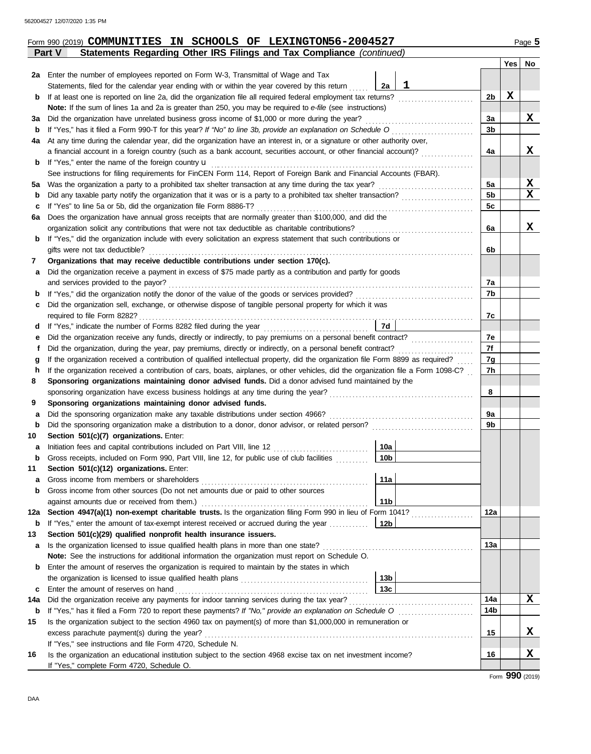|     | Form 990 (2019) COMMUNITIES IN SCHOOLS OF LEXINGTON56-2004527                                                                                                |                 |                |     | Page 5 |
|-----|--------------------------------------------------------------------------------------------------------------------------------------------------------------|-----------------|----------------|-----|--------|
|     | Statements Regarding Other IRS Filings and Tax Compliance (continued)<br>Part V                                                                              |                 |                |     |        |
|     |                                                                                                                                                              |                 |                | Yes | No     |
|     | 2a Enter the number of employees reported on Form W-3, Transmittal of Wage and Tax                                                                           |                 |                |     |        |
|     | Statements, filed for the calendar year ending with or within the year covered by this return with                                                           | 1<br>2a         |                |     |        |
| b   | If at least one is reported on line 2a, did the organization file all required federal employment tax returns?                                               |                 | 2 <sub>b</sub> | X   |        |
|     | Note: If the sum of lines 1a and 2a is greater than 250, you may be required to e-file (see instructions)                                                    |                 |                |     |        |
| За  | Did the organization have unrelated business gross income of \$1,000 or more during the year?                                                                |                 | 3a             |     | X      |
| b   | If "Yes," has it filed a Form 990-T for this year? If "No" to line 3b, provide an explanation on Schedule O                                                  |                 | 3 <sub>b</sub> |     |        |
|     | 4a At any time during the calendar year, did the organization have an interest in, or a signature or other authority over,                                   |                 |                |     |        |
|     | a financial account in a foreign country (such as a bank account, securities account, or other financial account)?                                           |                 | 4a             |     | X      |
|     |                                                                                                                                                              |                 |                |     |        |
|     | See instructions for filing requirements for FinCEN Form 114, Report of Foreign Bank and Financial Accounts (FBAR).                                          |                 |                |     |        |
| 5а  | Was the organization a party to a prohibited tax shelter transaction at any time during the tax year?                                                        |                 | 5a             |     | X      |
| b   |                                                                                                                                                              |                 | 5 <sub>b</sub> |     | X      |
| c   | If "Yes" to line 5a or 5b, did the organization file Form 8886-T?                                                                                            |                 | 5c             |     |        |
|     | 6a Does the organization have annual gross receipts that are normally greater than \$100,000, and did the                                                    |                 |                |     |        |
|     | organization solicit any contributions that were not tax deductible as charitable contributions?                                                             |                 | 6a             |     | X      |
| b   | If "Yes," did the organization include with every solicitation an express statement that such contributions or                                               |                 |                |     |        |
|     | gifts were not tax deductible?                                                                                                                               |                 | 6b             |     |        |
| 7   | Organizations that may receive deductible contributions under section 170(c).                                                                                |                 |                |     |        |
| a   | Did the organization receive a payment in excess of \$75 made partly as a contribution and partly for goods                                                  |                 |                |     |        |
|     | and services provided to the payor?                                                                                                                          |                 | 7a             |     |        |
| b   |                                                                                                                                                              |                 | 7b             |     |        |
| c   | Did the organization sell, exchange, or otherwise dispose of tangible personal property for which it was                                                     |                 |                |     |        |
|     | required to file Form 8282?                                                                                                                                  |                 | 7c             |     |        |
| d   | If "Yes," indicate the number of Forms 8282 filed during the year                                                                                            | 7d              |                |     |        |
| е   |                                                                                                                                                              |                 | 7e             |     |        |
| f   | Did the organization, during the year, pay premiums, directly or indirectly, on a personal benefit contract?                                                 |                 | 7f             |     |        |
| g   | If the organization received a contribution of qualified intellectual property, did the organization file Form 8899 as required?                             |                 | 7g             |     |        |
| h   | If the organization received a contribution of cars, boats, airplanes, or other vehicles, did the organization file a Form 1098-C?                           |                 | 7h             |     |        |
| 8   | Sponsoring organizations maintaining donor advised funds. Did a donor advised fund maintained by the                                                         |                 |                |     |        |
|     |                                                                                                                                                              |                 | 8              |     |        |
| 9   | Sponsoring organizations maintaining donor advised funds.                                                                                                    |                 |                |     |        |
| a   | Did the sponsoring organization make any taxable distributions under section 4966?                                                                           |                 | 9a             |     |        |
| b   |                                                                                                                                                              |                 | 9b             |     |        |
| 10  | Section 501(c)(7) organizations. Enter:                                                                                                                      |                 |                |     |        |
|     |                                                                                                                                                              | 10a             |                |     |        |
| b   | Gross receipts, included on Form 990, Part VIII, line 12, for public use of club facilities                                                                  | 10b             |                |     |        |
| 11  | Section 501(c)(12) organizations. Enter:                                                                                                                     |                 |                |     |        |
| a   | Gross income from members or shareholders                                                                                                                    | 11a             |                |     |        |
| b   | Gross income from other sources (Do not net amounts due or paid to other sources                                                                             |                 |                |     |        |
|     | against amounts due or received from them.)                                                                                                                  | 11 <sub>b</sub> |                |     |        |
| 12a | Section 4947(a)(1) non-exempt charitable trusts. Is the organization filing Form 990 in lieu of Form 1041?                                                   |                 | 12a            |     |        |
| b   | If "Yes," enter the amount of tax-exempt interest received or accrued during the year                                                                        | 12b             |                |     |        |
| 13  | Section 501(c)(29) qualified nonprofit health insurance issuers.                                                                                             |                 |                |     |        |
| a   | Is the organization licensed to issue qualified health plans in more than one state?                                                                         |                 | 13а            |     |        |
|     | Note: See the instructions for additional information the organization must report on Schedule O.                                                            |                 |                |     |        |
| b   | Enter the amount of reserves the organization is required to maintain by the states in which                                                                 |                 |                |     |        |
|     |                                                                                                                                                              | 13 <sub>b</sub> |                |     |        |
| c   | Enter the amount of reserves on hand                                                                                                                         | 13с             | 14a            |     | x      |
| 14a | Did the organization receive any payments for indoor tanning services during the tax year?                                                                   |                 | 14b            |     |        |
| b   |                                                                                                                                                              |                 |                |     |        |
| 15  | Is the organization subject to the section 4960 tax on payment(s) of more than \$1,000,000 in remuneration or                                                |                 | 15             |     | X      |
|     | excess parachute payment(s) during the year?                                                                                                                 |                 |                |     |        |
| 16  | If "Yes," see instructions and file Form 4720, Schedule N.                                                                                                   |                 | 16             |     | X      |
|     | Is the organization an educational institution subject to the section 4968 excise tax on net investment income?<br>If "Yes," complete Form 4720, Schedule O. |                 |                |     |        |
|     |                                                                                                                                                              |                 |                |     |        |

Form **990** (2019)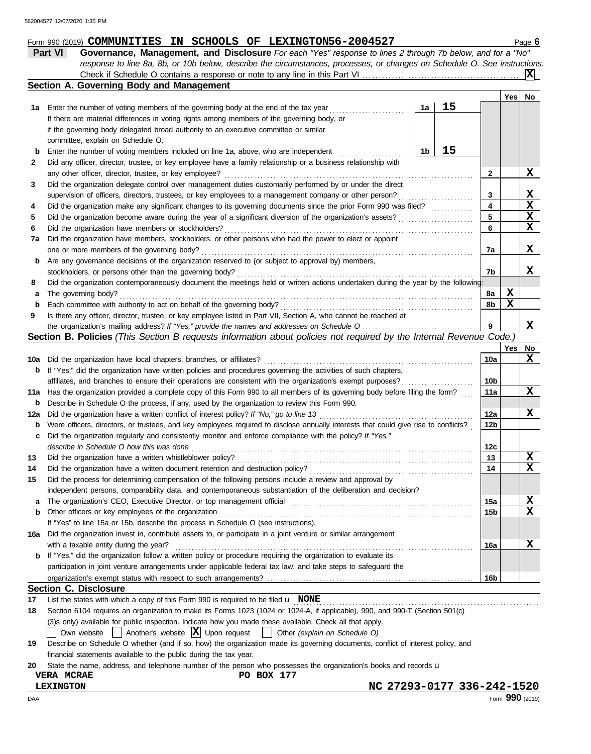|          | Form 990 (2019) COMMUNITIES IN SCHOOLS OF LEXINGTON56-2004527                                                                                                                                                                                    |    |    |                 |     | Page 6      |
|----------|--------------------------------------------------------------------------------------------------------------------------------------------------------------------------------------------------------------------------------------------------|----|----|-----------------|-----|-------------|
|          | <b>Part VI</b><br>Governance, Management, and Disclosure For each "Yes" response to lines 2 through 7b below, and for a "No"                                                                                                                     |    |    |                 |     |             |
|          | response to line 8a, 8b, or 10b below, describe the circumstances, processes, or changes on Schedule O. See instructions.                                                                                                                        |    |    |                 |     |             |
|          | Check if Schedule O contains a response or note to any line in this Part VI                                                                                                                                                                      |    |    |                 |     | ΙXΙ         |
|          | Section A. Governing Body and Management                                                                                                                                                                                                         |    |    |                 |     |             |
|          |                                                                                                                                                                                                                                                  |    |    |                 |     | Yes   No    |
|          | 1a Enter the number of voting members of the governing body at the end of the tax year                                                                                                                                                           | 1a | 15 |                 |     |             |
|          | If there are material differences in voting rights among members of the governing body, or                                                                                                                                                       |    |    |                 |     |             |
|          | if the governing body delegated broad authority to an executive committee or similar                                                                                                                                                             |    |    |                 |     |             |
|          | committee, explain on Schedule O.                                                                                                                                                                                                                |    |    |                 |     |             |
| b        | Enter the number of voting members included on line 1a, above, who are independent                                                                                                                                                               | 1b | 15 |                 |     |             |
| 2        | Did any officer, director, trustee, or key employee have a family relationship or a business relationship with                                                                                                                                   |    |    |                 |     |             |
|          | any other officer, director, trustee, or key employee?                                                                                                                                                                                           |    |    | 2               |     | X           |
| 3        | Did the organization delegate control over management duties customarily performed by or under the direct                                                                                                                                        |    |    |                 |     |             |
|          | supervision of officers, directors, trustees, or key employees to a management company or other person?                                                                                                                                          |    |    | 3               |     | X           |
| 4        | Did the organization make any significant changes to its governing documents since the prior Form 990 was filed?                                                                                                                                 |    |    | 4               |     | $\mathbf x$ |
| 5        | Did the organization become aware during the year of a significant diversion of the organization's assets?                                                                                                                                       |    |    | 5               |     | X           |
| 6        | Did the organization have members or stockholders?                                                                                                                                                                                               |    |    | 6               |     | X           |
| 7a       | Did the organization have members, stockholders, or other persons who had the power to elect or appoint                                                                                                                                          |    |    |                 |     |             |
|          | one or more members of the governing body?                                                                                                                                                                                                       |    |    | 7a              |     | X           |
| b        | Are any governance decisions of the organization reserved to (or subject to approval by) members,                                                                                                                                                |    |    |                 |     |             |
|          | stockholders, or persons other than the governing body?                                                                                                                                                                                          |    |    | 7b              |     | x           |
| 8        | Did the organization contemporaneously document the meetings held or written actions undertaken during the year by the following:                                                                                                                |    |    |                 |     |             |
| а        | The governing body?                                                                                                                                                                                                                              |    |    | 8a              | X   |             |
| b        | Each committee with authority to act on behalf of the governing body?                                                                                                                                                                            |    |    | 8b              | X   |             |
| 9        | Is there any officer, director, trustee, or key employee listed in Part VII, Section A, who cannot be reached at                                                                                                                                 |    |    |                 |     |             |
|          |                                                                                                                                                                                                                                                  |    |    | 9               |     | X           |
|          | Section B. Policies (This Section B requests information about policies not required by the Internal Revenue Code.)                                                                                                                              |    |    |                 |     |             |
|          |                                                                                                                                                                                                                                                  |    |    |                 | Yes | No          |
| 10a      | Did the organization have local chapters, branches, or affiliates?                                                                                                                                                                               |    |    | 10a             |     | X           |
| b        | If "Yes," did the organization have written policies and procedures governing the activities of such chapters,                                                                                                                                   |    |    |                 |     |             |
|          | affiliates, and branches to ensure their operations are consistent with the organization's exempt purposes?                                                                                                                                      |    |    | 10b             |     | X           |
|          | 11a Has the organization provided a complete copy of this Form 990 to all members of its governing body before filing the form?                                                                                                                  |    |    | 11a             |     |             |
| b        | Describe in Schedule O the process, if any, used by the organization to review this Form 990.                                                                                                                                                    |    |    |                 |     | X           |
| 12a      | Did the organization have a written conflict of interest policy? If "No," go to line 13                                                                                                                                                          |    |    | 12a             |     |             |
| b        | Were officers, directors, or trustees, and key employees required to disclose annually interests that could give rise to conflicts?<br>Did the organization regularly and consistently monitor and enforce compliance with the policy? If "Yes," |    |    | 12b             |     |             |
| c        | describe in Schedule O how this was done                                                                                                                                                                                                         |    |    | 12 <sub>c</sub> |     |             |
|          |                                                                                                                                                                                                                                                  |    |    | 13              |     | X           |
| 13       | Did the organization have a written whistleblower policy?                                                                                                                                                                                        |    |    |                 |     | X           |
| 14<br>15 | Did the organization have a written document retention and destruction policy?<br>Did the process for determining compensation of the following persons include a review and approval by                                                         |    |    | 14              |     |             |
|          | independent persons, comparability data, and contemporaneous substantiation of the deliberation and decision?                                                                                                                                    |    |    |                 |     |             |
| а        |                                                                                                                                                                                                                                                  |    |    | 15a             |     | <u>x</u>    |
| b        | Other officers or key employees of the organization                                                                                                                                                                                              |    |    | 15b             |     | $\mathbf X$ |
|          | If "Yes" to line 15a or 15b, describe the process in Schedule O (see instructions).                                                                                                                                                              |    |    |                 |     |             |
| 16a      | Did the organization invest in, contribute assets to, or participate in a joint venture or similar arrangement                                                                                                                                   |    |    |                 |     |             |
|          | with a taxable entity during the year?                                                                                                                                                                                                           |    |    | 16a             |     | X           |
| b        | If "Yes," did the organization follow a written policy or procedure requiring the organization to evaluate its                                                                                                                                   |    |    |                 |     |             |
|          | participation in joint venture arrangements under applicable federal tax law, and take steps to safeguard the                                                                                                                                    |    |    |                 |     |             |
|          |                                                                                                                                                                                                                                                  |    |    | 16b             |     |             |
|          | <b>Section C. Disclosure</b>                                                                                                                                                                                                                     |    |    |                 |     |             |
| 17       | List the states with which a copy of this Form 990 is required to be filed $\mathbf u$ NONE                                                                                                                                                      |    |    |                 |     |             |
| 18       | Section 6104 requires an organization to make its Forms 1023 (1024 or 1024-A, if applicable), 990, and 990-T (Section 501(c)                                                                                                                     |    |    |                 |     |             |
|          | (3) s only) available for public inspection. Indicate how you made these available. Check all that apply.                                                                                                                                        |    |    |                 |     |             |
|          | Another's website $ \mathbf{X} $ Upon request<br>Other (explain on Schedule O)<br>Own website<br>$\mathbf{1}$                                                                                                                                    |    |    |                 |     |             |
| 19       | Describe on Schedule O whether (and if so, how) the organization made its governing documents, conflict of interest policy, and                                                                                                                  |    |    |                 |     |             |
|          | financial statements available to the public during the tax year.                                                                                                                                                                                |    |    |                 |     |             |

**20** State the name, address, and telephone number of the person who possesses the organization's books and records  $\bf u$ 

# **VERA MCRAE PO BOX 177**

**LEXINGTON NC 27293-0177 336-242-1520**

| ×<br>۰, | M.<br>٧ |
|---------|---------|
|         |         |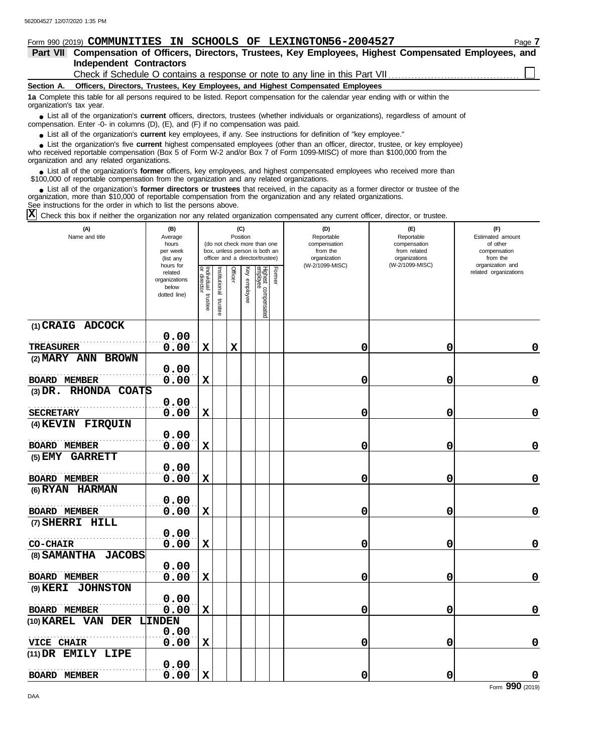| Form 990 (2019) COMMUNITIES IN SCHOOLS OF LEXINGTON56-2004527<br>Page /                                                                                                                                                                                                                                                              |  |  |  |  |  |  |  |
|--------------------------------------------------------------------------------------------------------------------------------------------------------------------------------------------------------------------------------------------------------------------------------------------------------------------------------------|--|--|--|--|--|--|--|
| Part VII Compensation of Officers, Directors, Trustees, Key Employees, Highest Compensated Employees, and                                                                                                                                                                                                                            |  |  |  |  |  |  |  |
| <b>Independent Contractors</b>                                                                                                                                                                                                                                                                                                       |  |  |  |  |  |  |  |
| Check if Schedule O contains a response or note to any line in this Part VII                                                                                                                                                                                                                                                         |  |  |  |  |  |  |  |
| Section A. Officers, Directors, Trustees, Key Employees, and Highest Compensated Employees                                                                                                                                                                                                                                           |  |  |  |  |  |  |  |
| 1a Complete this table for all persons required to be listed. Report compensation for the calendar year ending with or within the<br>organization's tax year.                                                                                                                                                                        |  |  |  |  |  |  |  |
| • List all of the organization's <b>current</b> officers, directors, trustees (whether individuals or organizations), regardless of amount of<br>compensation. Enter -0- in columns $(D)$ , $(E)$ , and $(F)$ if no compensation was paid.                                                                                           |  |  |  |  |  |  |  |
| • List all of the organization's <b>current</b> key employees, if any. See instructions for definition of "key employee."                                                                                                                                                                                                            |  |  |  |  |  |  |  |
| • List the organization's five current highest compensated employees (other than an officer, director, trustee, or key employee)<br>who received reportable compensation (Box 5 of Form W-2 and/or Box 7 of Form 1099-MISC) of more than \$100,000 from the<br>organization and any related organizations.                           |  |  |  |  |  |  |  |
| • List all of the organization's <b>former</b> officers, key employees, and highest compensated employees who received more than<br>\$100,000 of reportable compensation from the organization and any related organizations.                                                                                                        |  |  |  |  |  |  |  |
| • List all of the organization's <b>former directors or trustees</b> that received, in the capacity as a former director or trustee of the<br>organization, more than \$10,000 of reportable compensation from the organization and any related organizations.<br>See instructions for the order in which to list the persons above. |  |  |  |  |  |  |  |
| ΙXΙ<br>Check this box if neither the organization nor any related organization compensated any current officer, director, or trustee.                                                                                                                                                                                                |  |  |  |  |  |  |  |

| $\vert$ Check this box if neither the organization nor any related organization compensated any current officer, director, or trustee. |                                                               |                                                                                                                    |                       |             |              |                                 |        |                                                                                  |                                                                                       |                                                                                     |
|----------------------------------------------------------------------------------------------------------------------------------------|---------------------------------------------------------------|--------------------------------------------------------------------------------------------------------------------|-----------------------|-------------|--------------|---------------------------------|--------|----------------------------------------------------------------------------------|---------------------------------------------------------------------------------------|-------------------------------------------------------------------------------------|
| (A)<br>Name and title                                                                                                                  | (B)<br>Average<br>hours<br>per week<br>(list any<br>hours for | (C)<br>Position<br>(do not check more than one<br>box, unless person is both an<br>officer and a director/trustee) |                       |             |              |                                 |        | (D)<br>Reportable<br>compensation<br>from the<br>organization<br>(W-2/1099-MISC) | (F)<br>Reportable<br>compensation<br>from related<br>organizations<br>(W-2/1099-MISC) | (F)<br>Estimated amount<br>of other<br>compensation<br>from the<br>organization and |
|                                                                                                                                        | related<br>organizations<br>below<br>dotted line)             | Individual trustee<br>or director                                                                                  | Institutional trustee | Officer     | Key employee | Highest compensated<br>employee | Former |                                                                                  |                                                                                       | related organizations                                                               |
| (1) CRAIG ADCOCK                                                                                                                       |                                                               |                                                                                                                    |                       |             |              |                                 |        |                                                                                  |                                                                                       |                                                                                     |
| <b>TREASURER</b>                                                                                                                       | 0.00<br>0.00                                                  | $\mathbf x$                                                                                                        |                       | $\mathbf x$ |              |                                 |        | 0                                                                                | 0                                                                                     | 0                                                                                   |
| (2) MARY ANN BROWN                                                                                                                     |                                                               |                                                                                                                    |                       |             |              |                                 |        |                                                                                  |                                                                                       |                                                                                     |
| <b>BOARD MEMBER</b>                                                                                                                    | 0.00<br>0.00                                                  | $\mathbf x$                                                                                                        |                       |             |              |                                 |        | 0                                                                                | 0                                                                                     | $\mathbf 0$                                                                         |
| RHONDA COATS<br>$(3)$ DR.                                                                                                              |                                                               |                                                                                                                    |                       |             |              |                                 |        |                                                                                  |                                                                                       |                                                                                     |
| <b>SECRETARY</b>                                                                                                                       | 0.00<br>0.00                                                  | $\mathbf x$                                                                                                        |                       |             |              |                                 |        | 0                                                                                | 0                                                                                     | $\mathbf 0$                                                                         |
| (4) KEVIN FIRQUIN                                                                                                                      |                                                               |                                                                                                                    |                       |             |              |                                 |        |                                                                                  |                                                                                       |                                                                                     |
| <b>BOARD MEMBER</b>                                                                                                                    | 0.00<br>0.00                                                  | $\mathbf x$                                                                                                        |                       |             |              |                                 |        | 0                                                                                | 0                                                                                     | $\mathbf 0$                                                                         |
| (5) EMY GARRETT                                                                                                                        |                                                               |                                                                                                                    |                       |             |              |                                 |        |                                                                                  |                                                                                       |                                                                                     |
| <b>BOARD MEMBER</b>                                                                                                                    | 0.00<br>0.00                                                  | $\mathbf x$                                                                                                        |                       |             |              |                                 |        | 0                                                                                | 0                                                                                     | $\mathbf 0$                                                                         |
| (6) RYAN HARMAN                                                                                                                        |                                                               |                                                                                                                    |                       |             |              |                                 |        |                                                                                  |                                                                                       |                                                                                     |
| <b>BOARD MEMBER</b>                                                                                                                    | 0.00<br>0.00                                                  | $\mathbf x$                                                                                                        |                       |             |              |                                 |        | 0                                                                                | 0                                                                                     | $\mathbf 0$                                                                         |
| (7) SHERRI HILL                                                                                                                        |                                                               |                                                                                                                    |                       |             |              |                                 |        |                                                                                  |                                                                                       |                                                                                     |
| CO-CHAIR                                                                                                                               | 0.00<br>0.00                                                  | $\mathbf x$                                                                                                        |                       |             |              |                                 |        | 0                                                                                | 0                                                                                     | $\mathbf 0$                                                                         |
| (8) SAMANTHA<br><b>JACOBS</b>                                                                                                          |                                                               |                                                                                                                    |                       |             |              |                                 |        |                                                                                  |                                                                                       |                                                                                     |
|                                                                                                                                        | 0.00                                                          |                                                                                                                    |                       |             |              |                                 |        |                                                                                  |                                                                                       |                                                                                     |
| <b>BOARD MEMBER</b>                                                                                                                    | 0.00                                                          | $\mathbf x$                                                                                                        |                       |             |              |                                 |        | $\mathbf 0$                                                                      | 0                                                                                     | $\mathbf 0$                                                                         |
| (9) KERI JOHNSTON                                                                                                                      | 0.00                                                          |                                                                                                                    |                       |             |              |                                 |        |                                                                                  |                                                                                       |                                                                                     |
| <b>BOARD MEMBER</b>                                                                                                                    | 0.00                                                          | $\mathbf x$                                                                                                        |                       |             |              |                                 |        | 0                                                                                | 0                                                                                     | $\mathbf 0$                                                                         |
| (10) KAREL VAN DER LINDEN                                                                                                              |                                                               |                                                                                                                    |                       |             |              |                                 |        |                                                                                  |                                                                                       |                                                                                     |
| <b>VICE CHAIR</b>                                                                                                                      | 0.00<br>0.00                                                  | $\mathbf x$                                                                                                        |                       |             |              |                                 |        | 0                                                                                | 0                                                                                     | $\mathbf 0$                                                                         |
| (11) DR EMILY LIPE                                                                                                                     |                                                               |                                                                                                                    |                       |             |              |                                 |        |                                                                                  |                                                                                       |                                                                                     |
| <b>BOARD MEMBER</b>                                                                                                                    | 0.00<br>0.00                                                  | $\mathbf x$                                                                                                        |                       |             |              |                                 |        | 0                                                                                | 0                                                                                     | $\mathbf 0$                                                                         |

Form **990** (2019)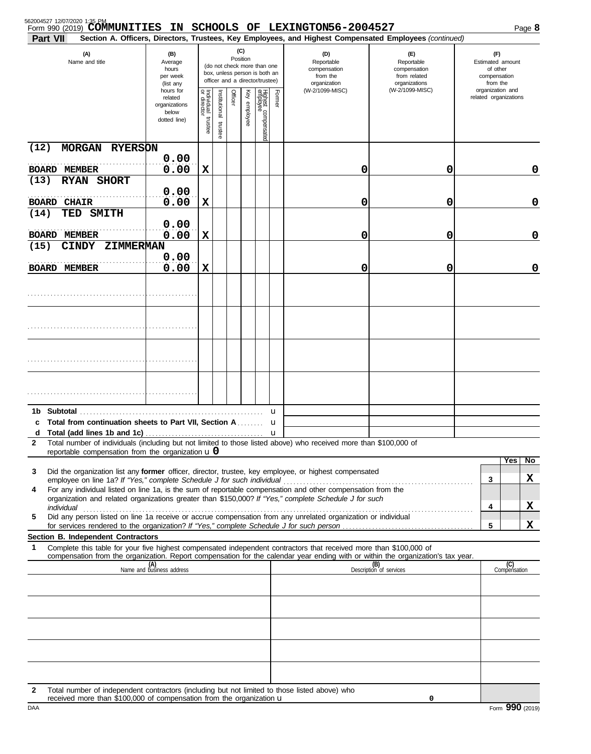| Form 990 (2019) COMMUNITIES<br><b>Part VII</b>                                                                                                                                                                                                              |                                                                |                                   |                          |                                                                                                                    |                 |                                 |              | IN SCHOOLS OF LEXINGTON56-2004527<br>Section A. Officers, Directors, Trustees, Key Employees, and Highest Compensated Employees (continued) |                                                                    |                  | Page 8                                          |
|-------------------------------------------------------------------------------------------------------------------------------------------------------------------------------------------------------------------------------------------------------------|----------------------------------------------------------------|-----------------------------------|--------------------------|--------------------------------------------------------------------------------------------------------------------|-----------------|---------------------------------|--------------|---------------------------------------------------------------------------------------------------------------------------------------------|--------------------------------------------------------------------|------------------|-------------------------------------------------|
| (A)<br>Name and title                                                                                                                                                                                                                                       | (B)<br>Average<br>hours<br>per week<br>(list any               |                                   |                          | (C)<br>Position<br>(do not check more than one<br>box, unless person is both an<br>officer and a director/trustee) |                 |                                 |              | (D)<br>Reportable<br>compensation<br>from the<br>organization                                                                               | (E)<br>Reportable<br>compensation<br>from related<br>organizations | compensation     | (F)<br>Estimated amount<br>of other<br>from the |
|                                                                                                                                                                                                                                                             | hours for<br>related<br>organizations<br>below<br>dotted line) | Individual trustee<br>or director | Institutional<br>trustee | Officer                                                                                                            | Ķey<br>employee | Highest compensated<br>employee | Former       | (W-2/1099-MISC)                                                                                                                             | (W-2/1099-MISC)                                                    | organization and | related organizations                           |
| (12)<br>MORGAN RYERSON                                                                                                                                                                                                                                      | 0.00                                                           |                                   |                          |                                                                                                                    |                 |                                 |              |                                                                                                                                             |                                                                    |                  |                                                 |
| <b>BOARD MEMBER</b><br><b>SHORT</b><br>(13)<br><b>RYAN</b>                                                                                                                                                                                                  | 0.00                                                           | $\mathbf x$                       |                          |                                                                                                                    |                 |                                 |              | 0                                                                                                                                           | 0                                                                  |                  | 0                                               |
| <b>BOARD CHAIR</b>                                                                                                                                                                                                                                          | 0.00<br>0.00                                                   | $\mathbf x$                       |                          |                                                                                                                    |                 |                                 |              | 0                                                                                                                                           | 0                                                                  |                  | $\mathbf 0$                                     |
| <b>SMITH</b><br>(14)<br>TED                                                                                                                                                                                                                                 |                                                                |                                   |                          |                                                                                                                    |                 |                                 |              |                                                                                                                                             |                                                                    |                  |                                                 |
| <b>BOARD MEMBER</b>                                                                                                                                                                                                                                         | 0.00<br>0.00                                                   | $\mathbf x$                       |                          |                                                                                                                    |                 |                                 |              | 0                                                                                                                                           | 0                                                                  |                  | 0                                               |
| (15)<br><b>CINDY</b><br><b>ZIMMERMAN</b>                                                                                                                                                                                                                    | 0.00                                                           |                                   |                          |                                                                                                                    |                 |                                 |              |                                                                                                                                             |                                                                    |                  |                                                 |
| <b>BOARD MEMBER</b>                                                                                                                                                                                                                                         | 0.00                                                           | X                                 |                          |                                                                                                                    |                 |                                 |              | 0                                                                                                                                           | 0                                                                  |                  | 0                                               |
|                                                                                                                                                                                                                                                             |                                                                |                                   |                          |                                                                                                                    |                 |                                 |              |                                                                                                                                             |                                                                    |                  |                                                 |
|                                                                                                                                                                                                                                                             |                                                                |                                   |                          |                                                                                                                    |                 |                                 |              |                                                                                                                                             |                                                                    |                  |                                                 |
|                                                                                                                                                                                                                                                             |                                                                |                                   |                          |                                                                                                                    |                 |                                 |              |                                                                                                                                             |                                                                    |                  |                                                 |
|                                                                                                                                                                                                                                                             |                                                                |                                   |                          |                                                                                                                    |                 |                                 |              |                                                                                                                                             |                                                                    |                  |                                                 |
|                                                                                                                                                                                                                                                             |                                                                |                                   |                          |                                                                                                                    |                 |                                 |              |                                                                                                                                             |                                                                    |                  |                                                 |
| 1b Subtotal<br>Total from continuation sheets to Part VII, Section A.  u<br>c                                                                                                                                                                               |                                                                |                                   |                          |                                                                                                                    |                 |                                 | u            |                                                                                                                                             |                                                                    |                  |                                                 |
| Total (add lines 1b and 1c)<br>d<br>Total number of individuals (including but not limited to those listed above) who received more than \$100,000 of<br>$\mathbf{2}$                                                                                       |                                                                |                                   |                          |                                                                                                                    |                 |                                 | $\mathbf{u}$ |                                                                                                                                             |                                                                    |                  |                                                 |
| reportable compensation from the organization $\mathbf{u}$ 0                                                                                                                                                                                                |                                                                |                                   |                          |                                                                                                                    |                 |                                 |              |                                                                                                                                             |                                                                    |                  | Yes<br>No                                       |
| Did the organization list any former officer, director, trustee, key employee, or highest compensated<br>3<br>employee on line 1a? If "Yes," complete Schedule J for such individual                                                                        |                                                                |                                   |                          |                                                                                                                    |                 |                                 |              |                                                                                                                                             |                                                                    | 3                | X                                               |
| For any individual listed on line 1a, is the sum of reportable compensation and other compensation from the<br>4<br>organization and related organizations greater than \$150,000? If "Yes," complete Schedule J for such                                   |                                                                |                                   |                          |                                                                                                                    |                 |                                 |              |                                                                                                                                             |                                                                    |                  |                                                 |
| individual<br>Did any person listed on line 1a receive or accrue compensation from any unrelated organization or individual<br>5                                                                                                                            |                                                                |                                   |                          |                                                                                                                    |                 |                                 |              |                                                                                                                                             |                                                                    | 4                | X                                               |
| Section B. Independent Contractors                                                                                                                                                                                                                          |                                                                |                                   |                          |                                                                                                                    |                 |                                 |              |                                                                                                                                             |                                                                    | 5                | X                                               |
| Complete this table for your five highest compensated independent contractors that received more than \$100,000 of<br>1<br>compensation from the organization. Report compensation for the calendar year ending with or within the organization's tax year. |                                                                |                                   |                          |                                                                                                                    |                 |                                 |              |                                                                                                                                             |                                                                    |                  |                                                 |
|                                                                                                                                                                                                                                                             | (A)<br>Name and business address                               |                                   |                          |                                                                                                                    |                 |                                 |              |                                                                                                                                             | (B)<br>Description of services                                     |                  | (C)<br>Compensation                             |
|                                                                                                                                                                                                                                                             |                                                                |                                   |                          |                                                                                                                    |                 |                                 |              |                                                                                                                                             |                                                                    |                  |                                                 |
|                                                                                                                                                                                                                                                             |                                                                |                                   |                          |                                                                                                                    |                 |                                 |              |                                                                                                                                             |                                                                    |                  |                                                 |
|                                                                                                                                                                                                                                                             |                                                                |                                   |                          |                                                                                                                    |                 |                                 |              |                                                                                                                                             |                                                                    |                  |                                                 |
|                                                                                                                                                                                                                                                             |                                                                |                                   |                          |                                                                                                                    |                 |                                 |              |                                                                                                                                             |                                                                    |                  |                                                 |
|                                                                                                                                                                                                                                                             |                                                                |                                   |                          |                                                                                                                    |                 |                                 |              |                                                                                                                                             |                                                                    |                  |                                                 |
|                                                                                                                                                                                                                                                             |                                                                |                                   |                          |                                                                                                                    |                 |                                 |              |                                                                                                                                             |                                                                    |                  |                                                 |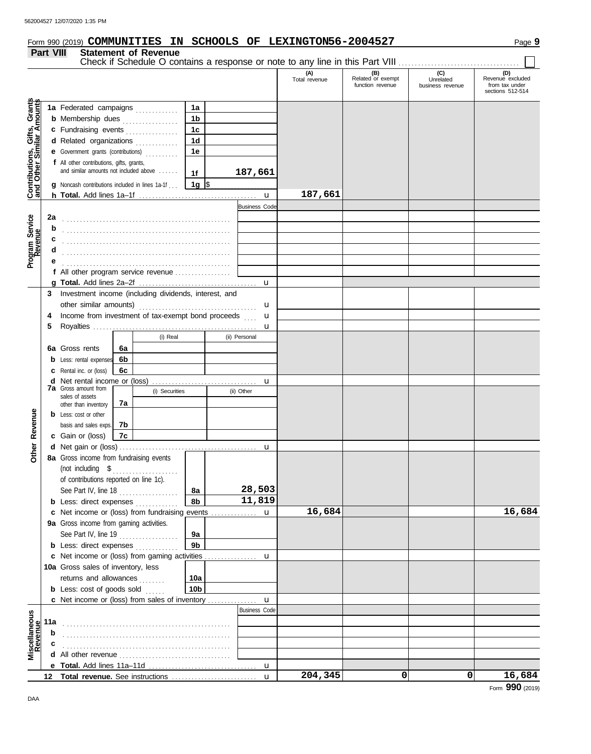### Form 990 (2019) **COMMUNITIES IN SCHOOLS OF LEXINGTON56-2004527 Part VIII Statement of Revenue** Check if Schedule O contains a response or note to any line in this Part VIII ...................... **(A) (B) (C) C**)<br>Total revenue Related or exempt Unrelated (B) (C) (D)<br>Related or exempt Unrelated Revenue excluded<br>function revenue business revenue from tax under function revenue business revenue from tax under<br>sections 512-514 ;, Gifts, Grant**s**<br>milar Amount**s Contributions, Gifts, Grants and Other Similar Amounts 1a 1a** Federated campaigns **. . . . . . . . . .** . **1b b** Membership dues . . . . . . . . . . . . . . . **1c c** Fundraising events . . . . . . . . . . . . . **1d d** Related organizations . . . . . . . . . . . Contributions,<br>and Other Sim **1e e** Government grants (contributions) . . . . . . . . . . **f** All other contributions, gifts, grants, and similar amounts not included above . . . . . . **1f 187,661** 1g  $\frac{1}{2}$ **g** Noncash contributions included in lines 1a-1f . . .  $\frac{1}{2}$ **187,661 h Total.** Add lines 1a–1f . . . . . . . . . . . . . . . . . . . . . . . . . . . . . . . . . . . . u Business Code Program Service<br>Revenue **Program Service 2a** . . . . . . . . . . . . . . . . . . . . . . . . . . . . . . . . . . . . . . . . . . . . . . . . . . . **b** . . . . . . . . . . . . . . . . . . . . . . . . . . . . . . . . . . . . . . . . . . . . . . . . . . . **c** . . . . . . . . . . . . . . . . . . . . . . . . . . . . . . . . . . . . . . . . . . . . . . . . . . . **d** . . . . . . . . . . . . . . . . . . . . . . . . . . . . . . . . . . . . . . . . . . . . . . . . . . . **e** . . . . . . . . . . . . . . . . . . . . . . . . . . . . . . . . . . . . . . . . . . . . . . . . . . . **f** All other program service revenue . . . . . . . . . . . . . . . . . **g Total.** Add lines 2a–2f . . . . . . . . . . . . . . . . . . . . . . . . . . . . . . . . . . . . u **3** Investment income (including dividends, interest, and u other similar amounts) . . . . . . . . . . . . . . . . . . . . . . . . . . . . . . . . . . . . u **4** Income from investment of tax-exempt bond proceeds . . . . u **5** Royalties . . . . . . . . . . . . . . . . . . . . . . . . . . . . . . . . . . . . . . . . . . . . . . . . . . (i) Real (ii) Personal **6a** Gross rents **6a 6b b** Less: rental expenses **6c c** Rental inc. or (loss) u **d** Net rental income or (loss) . . . . . . . . . . . . . . . . . . . . . . . . . . . . . . . . **7a** Gross amount from (i) Securities (ii) Other sales of assets other than inventory **7a** Revenue **Other Revenue b** Less: cost or other basis and sales exps. **7b 7c c** Gain or (loss) **Other d** u Net gain or (loss) . . . . . . . . . . . . . . . . . . . . . . . . . . . . . . . . . . . . . . . . . . **8a** Gross income from fundraising events (not including \$ . . . . . . . . . . . . . . . . . . . . of contributions reported on line 1c). **28,503** See Part IV, line 18 . . . . . . . . . . . . . . . . . . **8a 11,819 8b b** Less: direct expenses . . . . . . . . . . . **16,684 16,684 c** Net income or (loss) from fundraising events ............. u 9a Gross income from gaming activities. See Part IV, line 19 . . . . . . . . . . . . . . . . . . **9a 9b b** Less: direct expenses ............. Net income or (loss) from gaming activities . . . . . . . . . . . . . . . . **c** u 10a Gross sales of inventory, less returns and allowances ........ **10a 10b b** Less: cost of goods sold ...... Net income or (loss) from sales of inventory . . . . . . . . . . . . . . . **c** u Business Code **Miscellaneous Miscellaneous 11a Revenue b c** . . . . . . . . . . . . . . . . . . . . . . . . . . . . . . . . . . . . . . . . . . . . . . . . . . . **d** All other revenue . . . . . . . . . . . . . . . . . . . . . . . . . . . . . . . . . . **e Total.** Add lines 11a–11d . . . . . . . . . . . . . . . . . . . . . . . . . . . . . . . . . u **204,345 0 0 16,684**

u

Form **990** (2019)

**Total revenue.** See instructions . . . . . . . . . . . . . . . . . . . . . . . . . . **12**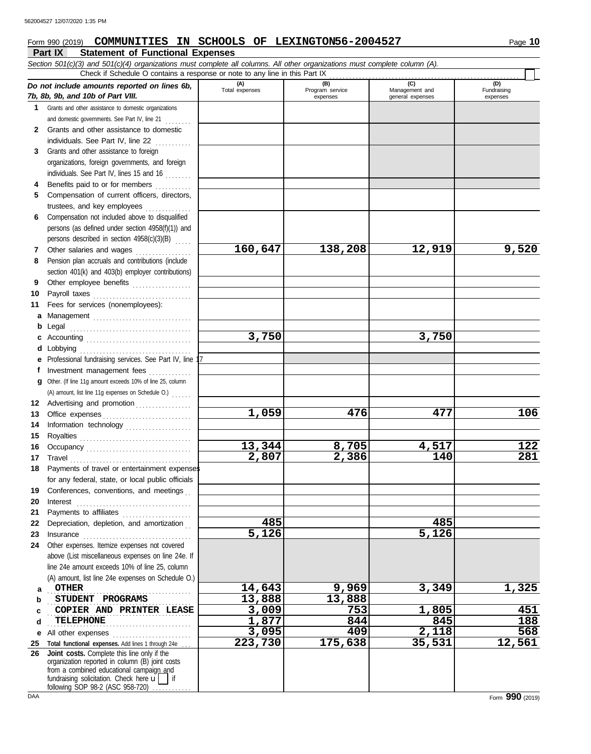**Part IX Statement of Functional Expenses**

## Form 990 (2019) **COMMUNITIES IN SCHOOLS OF LEXINGTON56-2004527** Page 10

DAA Form **990** (2019) *Section 501(c)(3) and 501(c)(4) organizations must complete all columns. All other organizations must complete column (A). Do not include amounts reported on lines 6b, 7b, 8b, 9b, and 10b of Part VIII.* **1 2** Grants and other assistance to domestic **3** Grants and other assistance to foreign **4** Benefits paid to or for members . . . . . . . . . . **5** Compensation of current officers, directors, **6** Compensation not included above to disqualified **7** Other salaries and wages . . . . . . . . . . . . . . . **8** Pension plan accruals and contributions (include **9 10** Payroll taxes ............................... **11** Fees for services (nonemployees): **a** Management . . . . . . . . . . . . . . . . . . . . . . . . . . . . . . **b** Legal **c** Accounting . . . . . . . . . . . . . . . . . . . . . . . . . . . . . . . . **d** Lobbying . . . . . . . . . . . . . . . . . . . . . . . . . . . . . . . . . . **e** Professional fundraising services. See Part IV, line 17 f Investment management fees ............. **g** Other. (If line 11g amount exceeds 10% of line 25, column **12** Advertising and promotion . . . . . . . . . . . . . . . **13** Office expenses . . . . . . . . . . . . . . . . . . . . . . . . . . . **14 15 16 17 18 19 20 21 22 23** Insurance . . . . . . . . . . . . . . . . . . . . . . . . . . . . . . . . . **24** Other expenses. Itemize expenses not covered **a b c d e** All other expenses . . . . . . . . . . . . . . . . . . . . . . . . **25 26** Grants and other assistance to domestic organizations and domestic governments. See Part IV, line 21 . . . . . . . . individuals. See Part IV, line 22 . . . . . . . . . . organizations, foreign governments, and foreign individuals. See Part IV, lines 15 and 16 trustees, and key employees .......... persons (as defined under section 4958(f)(1)) and persons described in section  $4958(c)(3)(B)$  .... section 401(k) and 403(b) employer contributions) Other employee benefits .................. . . . . . . . . . . . . . . . . . . . . . . . . . . . . . . . . . . . . . Information technology .................... Royalties . . . . . . . . . . . . . . . . . . . . . . . . . . . . . . . . . . Occupancy . . . . . . . . . . . . . . . . . . . . . . . . . . . . . . . . Travel . . . . . . . . . . . . . . . . . . . . . . . . . . . . . . . . . . . . . Payments of travel or entertainment expenses for any federal, state, or local public officials Conferences, conventions, and meetings Interest . . . . . . . . . . . . . . . . . . . . . . . . . . . . . . . . . . . Payments to affiliates ...................... Depreciation, depletion, and amortization above (List miscellaneous expenses on line 24e. If line 24e amount exceeds 10% of line 25, column (A) amount, list line 24e expenses on Schedule O.) Total functional expenses. Add lines 1 through 24e fundraising solicitation. Check here  $\mathbf{u}$  | if organization reported in column (B) joint costs from a combined educational campaign and following SOP 98-2 (ASC 958-720) **(A) (B) (C) (D)** Total expenses Program service Management and<br>expenses expenses expenses general expenses expenses general expenses Fundraising expenses  $_{\rm{C}}$  OTHER . . . . . . . . . . . . . . . . . . . . . . . . . . . . . . . . . . . . . . . . . . . . **STUDENT PROGRAMS 13,888 13,888** . . . . . . . . . . . . . . . . . . . . . . . . . . . . . . . . . . . . . . . . . . . . **COPIER AND PRINTER LEASE 3,009 753 1,805 451** . . . . . . . . . . . . . . . . . . . . . . . . . . . . . . . . . . . . . . . . . . . . **TELEPHONE 1,877 844 845 188** Check if Schedule O contains a response or note to any line in this Part IX . . . . . . . . . . . . . . . . . . . . . . . . . . . . . . . . . . . . . . . . . . . . . . . . . . . . . . . . . . **Joint costs.** Complete this line only if the (A) amount, list line 11g expenses on Schedule O.) . . . . . . **160,647 138,208 12,919 9,520 3,750 3,750 1,059 476 477 106 13,344 8,705 4,517 122 2,807 2,386 140 281 485 485 5,126 5,126 OTHER 14,643 9,969 3,349 1,325 3,095 409 2,118 568 223,730 175,638 35,531 12,561**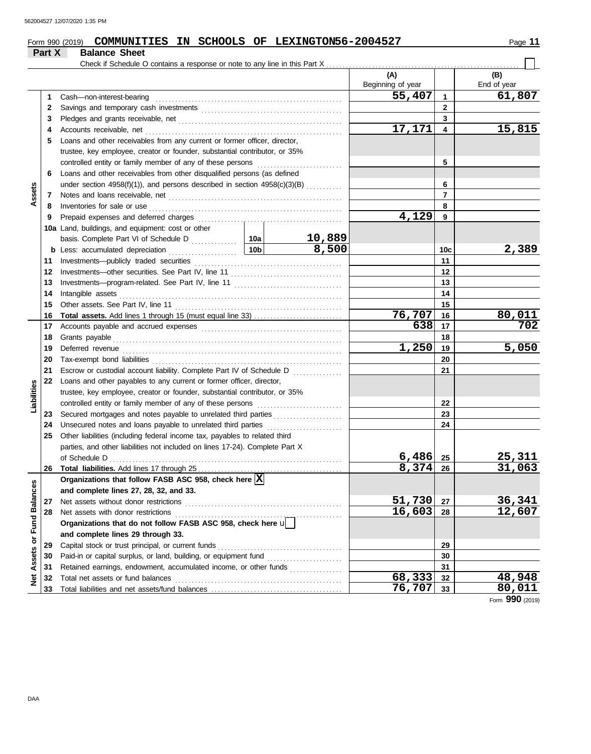|                             | Part X | COMMUNITIES IN SCHOOLS OF LEXINGTON56-2004527<br>Form 990 (2019)<br><b>Balance Sheet</b> |     |                |                          |                         | Page 11            |
|-----------------------------|--------|------------------------------------------------------------------------------------------|-----|----------------|--------------------------|-------------------------|--------------------|
|                             |        |                                                                                          |     |                |                          |                         |                    |
|                             |        |                                                                                          |     |                | (A)<br>Beginning of year |                         | (B)<br>End of year |
|                             | 1      | Cash-non-interest-bearing                                                                |     |                | 55,407                   | $\overline{\mathbf{1}}$ | 61,807             |
|                             | 2      |                                                                                          |     |                |                          | $\mathbf{2}$            |                    |
|                             | 3      |                                                                                          |     |                |                          | 3                       |                    |
|                             | 4      | Accounts receivable, net                                                                 |     |                | 17,171                   | $\overline{\mathbf{4}}$ | 15,815             |
|                             | 5      | Loans and other receivables from any current or former officer, director,                |     |                |                          |                         |                    |
|                             |        | trustee, key employee, creator or founder, substantial contributor, or 35%               |     |                |                          |                         |                    |
|                             |        | controlled entity or family member of any of these persons                               |     |                |                          | 5                       |                    |
|                             | 6      | Loans and other receivables from other disqualified persons (as defined                  |     |                |                          |                         |                    |
|                             |        | under section 4958(f)(1)), and persons described in section $4958(c)(3)(B)$              |     | 6              |                          |                         |                    |
| Assets                      | 7      |                                                                                          |     | $\overline{7}$ |                          |                         |                    |
|                             | 8      | Inventories for sale or use                                                              |     |                |                          | 8                       |                    |
|                             | 9      |                                                                                          |     |                | 4,129                    | 9                       |                    |
|                             |        | 10a Land, buildings, and equipment: cost or other                                        |     |                |                          |                         |                    |
|                             |        |                                                                                          |     | 10,889         |                          |                         |                    |
|                             |        | <b>b</b> Less: accumulated depreciation                                                  | 10b | 8,500          |                          | 10 <sub>c</sub>         | 2,389              |
|                             | 11     |                                                                                          |     |                |                          | 11                      |                    |
|                             | 12     |                                                                                          |     |                |                          | 12                      |                    |
|                             | 13     |                                                                                          |     |                |                          | 13                      |                    |
|                             | 14     | Intangible assets                                                                        |     |                |                          | 14                      |                    |
|                             | 15     |                                                                                          |     |                |                          | 15                      |                    |
|                             | 16     |                                                                                          |     |                | 76,707                   | 16                      | 80,011             |
|                             | 17     |                                                                                          |     |                | 638                      | 17                      | 702                |
|                             | 18     |                                                                                          |     |                |                          | 18                      |                    |
|                             | 19     |                                                                                          |     |                | 1,250                    | 19                      | 5,050              |
|                             | 20     |                                                                                          |     |                |                          | 20                      |                    |
|                             | 21     | Escrow or custodial account liability. Complete Part IV of Schedule D                    |     |                |                          | 21                      |                    |
|                             | 22     | Loans and other payables to any current or former officer, director,                     |     |                |                          |                         |                    |
| Liabilities                 |        | trustee, key employee, creator or founder, substantial contributor, or 35%               |     |                |                          |                         |                    |
|                             |        |                                                                                          |     |                |                          | 22                      |                    |
|                             |        | 23 Secured mortgages and notes payable to unrelated third parties                        |     |                |                          | 23                      |                    |
|                             | 24     | Unsecured notes and loans payable to unrelated third parties                             |     |                |                          | 24                      |                    |
|                             | 25     | Other liabilities (including federal income tax, payables to related third               |     |                |                          |                         |                    |
|                             |        | parties, and other liabilities not included on lines 17-24). Complete Part X             |     |                |                          |                         |                    |
|                             |        | of Schedule D                                                                            |     |                | 6,486                    | 25                      | 25,311             |
|                             |        |                                                                                          |     |                | 8,374                    | 26                      | 31,063             |
|                             |        | Organizations that follow FASB ASC 958, check here $\boxed{\text{X}}$                    |     |                |                          |                         |                    |
|                             |        | and complete lines 27, 28, 32, and 33.                                                   |     |                |                          |                         |                    |
|                             | 27     | Net assets without donor restrictions                                                    |     |                | 51,730                   | 27                      | 36,341             |
| Net Assets or Fund Balances | 28     | Net assets with donor restrictions                                                       |     |                | 16,603                   | 28                      | 12,607             |
|                             |        | Organizations that do not follow FASB ASC 958, check here u                              |     |                |                          |                         |                    |
|                             |        | and complete lines 29 through 33.                                                        |     |                |                          |                         |                    |
|                             | 29     | Capital stock or trust principal, or current funds                                       |     |                |                          | 29                      |                    |
|                             | 30     |                                                                                          |     |                |                          | 30                      |                    |
|                             | 31     | Retained earnings, endowment, accumulated income, or other funds                         |     |                |                          | 31                      |                    |
|                             | 32     | Total net assets or fund balances                                                        |     |                | 68,333<br>76,707         | 32                      | 48,948             |
|                             | 33     |                                                                                          |     |                |                          | 33                      | 80,011             |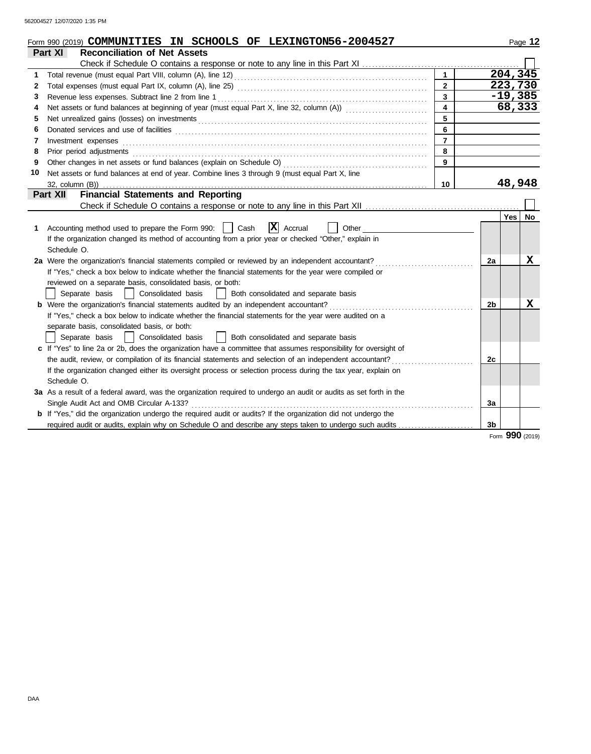|    | Form 990 (2019) COMMUNITIES IN SCHOOLS OF LEXINGTON56-2004527                                                                                                                                                                  |                |                |            | Page 12   |  |  |  |
|----|--------------------------------------------------------------------------------------------------------------------------------------------------------------------------------------------------------------------------------|----------------|----------------|------------|-----------|--|--|--|
|    | Part XI<br><b>Reconciliation of Net Assets</b>                                                                                                                                                                                 |                |                |            |           |  |  |  |
|    |                                                                                                                                                                                                                                |                |                |            |           |  |  |  |
| 1  |                                                                                                                                                                                                                                |                |                | 204, 345   |           |  |  |  |
| 2  | $\overline{2}$                                                                                                                                                                                                                 |                |                |            |           |  |  |  |
| 3  | $\mathbf{3}$<br>Revenue less expenses. Subtract line 2 from line 1                                                                                                                                                             |                |                |            |           |  |  |  |
| 4  | $\blacktriangle$<br>Net assets or fund balances at beginning of year (must equal Part X, line 32, column (A)) [[[[[[[[[[[[[[[[[[[                                                                                              |                |                |            |           |  |  |  |
| 5  |                                                                                                                                                                                                                                | 5              |                |            |           |  |  |  |
| 6  |                                                                                                                                                                                                                                | 6              |                |            |           |  |  |  |
| 7  | Investment expenses                                                                                                                                                                                                            | $\overline{7}$ |                |            |           |  |  |  |
| 8  | Prior period adjustments contains and according to the container and adjustments are contained and according to the containing of the containing and according to the containing of the containing of the containing of the co | 8              |                |            |           |  |  |  |
| 9  |                                                                                                                                                                                                                                | 9              |                |            |           |  |  |  |
| 10 | Net assets or fund balances at end of year. Combine lines 3 through 9 (must equal Part X, line                                                                                                                                 |                |                |            |           |  |  |  |
|    | 32, column (B))                                                                                                                                                                                                                | 10             |                | 48,948     |           |  |  |  |
|    | <b>Financial Statements and Reporting</b><br><b>Part XII</b>                                                                                                                                                                   |                |                |            |           |  |  |  |
|    |                                                                                                                                                                                                                                |                |                |            |           |  |  |  |
|    |                                                                                                                                                                                                                                |                |                | <b>Yes</b> | <b>No</b> |  |  |  |
| 1  | $ {\bf x} $<br>Accounting method used to prepare the Form 990:    <br>Cash<br>Accrual<br>Other                                                                                                                                 |                |                |            |           |  |  |  |
|    | If the organization changed its method of accounting from a prior year or checked "Other," explain in                                                                                                                          |                |                |            |           |  |  |  |
|    | Schedule O.                                                                                                                                                                                                                    |                |                |            |           |  |  |  |
|    | 2a Were the organization's financial statements compiled or reviewed by an independent accountant?                                                                                                                             |                | 2a             |            | X         |  |  |  |
|    | If "Yes," check a box below to indicate whether the financial statements for the year were compiled or                                                                                                                         |                |                |            |           |  |  |  |
|    | reviewed on a separate basis, consolidated basis, or both:                                                                                                                                                                     |                |                |            |           |  |  |  |
|    | Separate basis     Consolidated basis<br>  Both consolidated and separate basis                                                                                                                                                |                |                |            |           |  |  |  |
|    | <b>b</b> Were the organization's financial statements audited by an independent accountant?                                                                                                                                    |                | 2b             |            | X         |  |  |  |
|    | If "Yes," check a box below to indicate whether the financial statements for the year were audited on a                                                                                                                        |                |                |            |           |  |  |  |
|    | separate basis, consolidated basis, or both:                                                                                                                                                                                   |                |                |            |           |  |  |  |
|    | Separate basis<br>  Consolidated basis<br>  Both consolidated and separate basis                                                                                                                                               |                |                |            |           |  |  |  |
|    | c If "Yes" to line 2a or 2b, does the organization have a committee that assumes responsibility for oversight of                                                                                                               |                |                |            |           |  |  |  |
|    | the audit, review, or compilation of its financial statements and selection of an independent accountant?                                                                                                                      |                | 2c             |            |           |  |  |  |
|    | If the organization changed either its oversight process or selection process during the tax year, explain on                                                                                                                  |                |                |            |           |  |  |  |
|    | Schedule O.                                                                                                                                                                                                                    |                |                |            |           |  |  |  |
|    | 3a As a result of a federal award, was the organization required to undergo an audit or audits as set forth in the                                                                                                             |                |                |            |           |  |  |  |
|    | Single Audit Act and OMB Circular A-133?                                                                                                                                                                                       |                | Зa             |            |           |  |  |  |
|    | <b>b</b> If "Yes," did the organization undergo the required audit or audits? If the organization did not undergo the                                                                                                          |                |                |            |           |  |  |  |
|    | required audit or audits, explain why on Schedule O and describe any steps taken to undergo such audits                                                                                                                        |                | 3 <sub>b</sub> |            |           |  |  |  |

Form **990** (2019)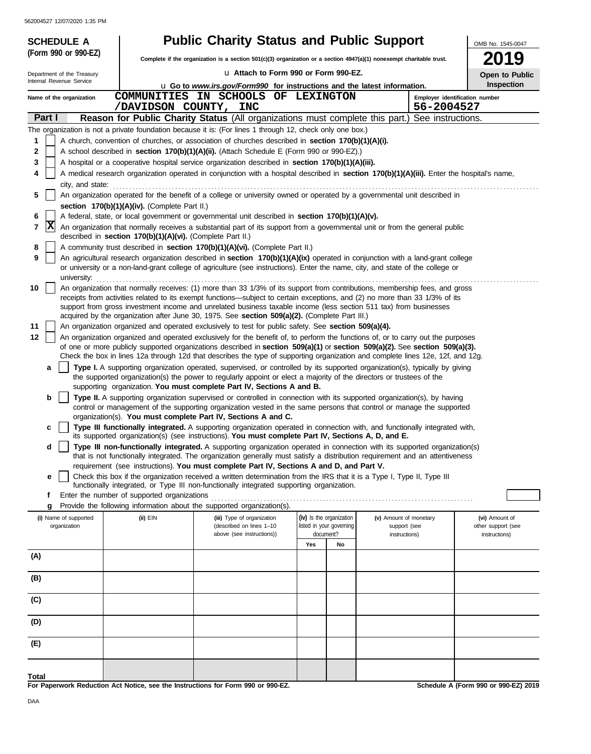562004527 12/07/2020 1:35 PM

| <b>SCHEDULE A</b>          |                                                                                                                                                                                                                                                  | <b>Public Charity Status and Public Support</b>                                                                                                                                                                                                                 |                                       |                                              | OMB No. 1545-0047                    |  |  |  |  |  |
|----------------------------|--------------------------------------------------------------------------------------------------------------------------------------------------------------------------------------------------------------------------------------------------|-----------------------------------------------------------------------------------------------------------------------------------------------------------------------------------------------------------------------------------------------------------------|---------------------------------------|----------------------------------------------|--------------------------------------|--|--|--|--|--|
| (Form 990 or 990-EZ)       |                                                                                                                                                                                                                                                  | Complete if the organization is a section 501(c)(3) organization or a section 4947(a)(1) nonexempt charitable trust.                                                                                                                                            |                                       |                                              | 19                                   |  |  |  |  |  |
| Department of the Treasury |                                                                                                                                                                                                                                                  | u Attach to Form 990 or Form 990-EZ.                                                                                                                                                                                                                            |                                       |                                              | Open to Public                       |  |  |  |  |  |
| Internal Revenue Service   |                                                                                                                                                                                                                                                  | u Go to www.irs.gov/Form990 for instructions and the latest information.                                                                                                                                                                                        |                                       | Inspection                                   |                                      |  |  |  |  |  |
| Name of the organization   | /DAVIDSON COUNTY, INC                                                                                                                                                                                                                            | COMMUNITIES IN SCHOOLS OF LEXINGTON                                                                                                                                                                                                                             |                                       | Employer identification number<br>56-2004527 |                                      |  |  |  |  |  |
| Part I                     |                                                                                                                                                                                                                                                  | Reason for Public Charity Status (All organizations must complete this part.) See instructions.                                                                                                                                                                 |                                       |                                              |                                      |  |  |  |  |  |
|                            |                                                                                                                                                                                                                                                  | The organization is not a private foundation because it is: (For lines 1 through 12, check only one box.)                                                                                                                                                       |                                       |                                              |                                      |  |  |  |  |  |
| 1                          |                                                                                                                                                                                                                                                  | A church, convention of churches, or association of churches described in section 170(b)(1)(A)(i).                                                                                                                                                              |                                       |                                              |                                      |  |  |  |  |  |
| 2                          | A school described in <b>section 170(b)(1)(A)(ii).</b> (Attach Schedule E (Form 990 or 990-EZ).)<br>3<br>A hospital or a cooperative hospital service organization described in section 170(b)(1)(A)(iii).                                       |                                                                                                                                                                                                                                                                 |                                       |                                              |                                      |  |  |  |  |  |
|                            | A medical research organization operated in conjunction with a hospital described in section 170(b)(1)(A)(iii). Enter the hospital's name,<br>4                                                                                                  |                                                                                                                                                                                                                                                                 |                                       |                                              |                                      |  |  |  |  |  |
| city, and state:           |                                                                                                                                                                                                                                                  |                                                                                                                                                                                                                                                                 |                                       |                                              |                                      |  |  |  |  |  |
| 5                          |                                                                                                                                                                                                                                                  | An organization operated for the benefit of a college or university owned or operated by a governmental unit described in                                                                                                                                       |                                       |                                              |                                      |  |  |  |  |  |
|                            | section 170(b)(1)(A)(iv). (Complete Part II.)                                                                                                                                                                                                    |                                                                                                                                                                                                                                                                 |                                       |                                              |                                      |  |  |  |  |  |
| 6<br> x <br>7              |                                                                                                                                                                                                                                                  | A federal, state, or local government or governmental unit described in section 170(b)(1)(A)(v).<br>An organization that normally receives a substantial part of its support from a governmental unit or from the general public                                |                                       |                                              |                                      |  |  |  |  |  |
| 8                          | described in section 170(b)(1)(A)(vi). (Complete Part II.)                                                                                                                                                                                       | A community trust described in section 170(b)(1)(A)(vi). (Complete Part II.)                                                                                                                                                                                    |                                       |                                              |                                      |  |  |  |  |  |
| 9                          |                                                                                                                                                                                                                                                  | An agricultural research organization described in section 170(b)(1)(A)(ix) operated in conjunction with a land-grant college                                                                                                                                   |                                       |                                              |                                      |  |  |  |  |  |
| university:                |                                                                                                                                                                                                                                                  | or university or a non-land-grant college of agriculture (see instructions). Enter the name, city, and state of the college or                                                                                                                                  |                                       |                                              |                                      |  |  |  |  |  |
| 10                         |                                                                                                                                                                                                                                                  | An organization that normally receives: (1) more than 33 1/3% of its support from contributions, membership fees, and gross                                                                                                                                     |                                       |                                              |                                      |  |  |  |  |  |
|                            | receipts from activities related to its exempt functions—subject to certain exceptions, and (2) no more than 33 1/3% of its<br>support from gross investment income and unrelated business taxable income (less section 511 tax) from businesses |                                                                                                                                                                                                                                                                 |                                       |                                              |                                      |  |  |  |  |  |
|                            |                                                                                                                                                                                                                                                  | acquired by the organization after June 30, 1975. See section 509(a)(2). (Complete Part III.)                                                                                                                                                                   |                                       |                                              |                                      |  |  |  |  |  |
| 11                         |                                                                                                                                                                                                                                                  | An organization organized and operated exclusively to test for public safety. See section 509(a)(4).                                                                                                                                                            |                                       |                                              |                                      |  |  |  |  |  |
| 12                         |                                                                                                                                                                                                                                                  | An organization organized and operated exclusively for the benefit of, to perform the functions of, or to carry out the purposes<br>of one or more publicly supported organizations described in section 509(a)(1) or section 509(a)(2). See section 509(a)(3). |                                       |                                              |                                      |  |  |  |  |  |
|                            |                                                                                                                                                                                                                                                  | Check the box in lines 12a through 12d that describes the type of supporting organization and complete lines 12e, 12f, and 12g.                                                                                                                                 |                                       |                                              |                                      |  |  |  |  |  |
| a                          |                                                                                                                                                                                                                                                  | Type I. A supporting organization operated, supervised, or controlled by its supported organization(s), typically by giving                                                                                                                                     |                                       |                                              |                                      |  |  |  |  |  |
|                            |                                                                                                                                                                                                                                                  | the supported organization(s) the power to regularly appoint or elect a majority of the directors or trustees of the<br>supporting organization. You must complete Part IV, Sections A and B.                                                                   |                                       |                                              |                                      |  |  |  |  |  |
| b                          |                                                                                                                                                                                                                                                  | Type II. A supporting organization supervised or controlled in connection with its supported organization(s), by having                                                                                                                                         |                                       |                                              |                                      |  |  |  |  |  |
|                            |                                                                                                                                                                                                                                                  | control or management of the supporting organization vested in the same persons that control or manage the supported                                                                                                                                            |                                       |                                              |                                      |  |  |  |  |  |
|                            |                                                                                                                                                                                                                                                  | organization(s). You must complete Part IV, Sections A and C.<br>Type III functionally integrated. A supporting organization operated in connection with, and functionally integrated with,                                                                     |                                       |                                              |                                      |  |  |  |  |  |
| c                          |                                                                                                                                                                                                                                                  | its supported organization(s) (see instructions). You must complete Part IV, Sections A, D, and E.                                                                                                                                                              |                                       |                                              |                                      |  |  |  |  |  |
| d                          |                                                                                                                                                                                                                                                  | Type III non-functionally integrated. A supporting organization operated in connection with its supported organization(s)                                                                                                                                       |                                       |                                              |                                      |  |  |  |  |  |
|                            |                                                                                                                                                                                                                                                  | that is not functionally integrated. The organization generally must satisfy a distribution requirement and an attentiveness<br>requirement (see instructions). You must complete Part IV, Sections A and D, and Part V.                                        |                                       |                                              |                                      |  |  |  |  |  |
| е                          |                                                                                                                                                                                                                                                  | Check this box if the organization received a written determination from the IRS that it is a Type I, Type II, Type III                                                                                                                                         |                                       |                                              |                                      |  |  |  |  |  |
|                            |                                                                                                                                                                                                                                                  | functionally integrated, or Type III non-functionally integrated supporting organization.                                                                                                                                                                       |                                       |                                              |                                      |  |  |  |  |  |
| f                          | Enter the number of supported organizations                                                                                                                                                                                                      | Provide the following information about the supported organization(s).                                                                                                                                                                                          |                                       |                                              |                                      |  |  |  |  |  |
| (i) Name of supported      | (ii) EIN                                                                                                                                                                                                                                         | (iii) Type of organization                                                                                                                                                                                                                                      | (iv) Is the organization              | (v) Amount of monetary                       | (vi) Amount of                       |  |  |  |  |  |
| organization               |                                                                                                                                                                                                                                                  | (described on lines 1-10<br>above (see instructions))                                                                                                                                                                                                           | listed in your governing<br>document? | support (see<br>instructions)                | other support (see                   |  |  |  |  |  |
|                            |                                                                                                                                                                                                                                                  |                                                                                                                                                                                                                                                                 | Yes<br>No                             |                                              | instructions)                        |  |  |  |  |  |
| (A)                        |                                                                                                                                                                                                                                                  |                                                                                                                                                                                                                                                                 |                                       |                                              |                                      |  |  |  |  |  |
| (B)                        |                                                                                                                                                                                                                                                  |                                                                                                                                                                                                                                                                 |                                       |                                              |                                      |  |  |  |  |  |
| (C)                        |                                                                                                                                                                                                                                                  |                                                                                                                                                                                                                                                                 |                                       |                                              |                                      |  |  |  |  |  |
|                            |                                                                                                                                                                                                                                                  |                                                                                                                                                                                                                                                                 |                                       |                                              |                                      |  |  |  |  |  |
| (D)                        |                                                                                                                                                                                                                                                  |                                                                                                                                                                                                                                                                 |                                       |                                              |                                      |  |  |  |  |  |
| (E)                        |                                                                                                                                                                                                                                                  |                                                                                                                                                                                                                                                                 |                                       |                                              |                                      |  |  |  |  |  |
|                            |                                                                                                                                                                                                                                                  |                                                                                                                                                                                                                                                                 |                                       |                                              |                                      |  |  |  |  |  |
| Total                      |                                                                                                                                                                                                                                                  |                                                                                                                                                                                                                                                                 |                                       |                                              |                                      |  |  |  |  |  |
|                            |                                                                                                                                                                                                                                                  | For Paperwork Reduction Act Notice, see the Instructions for Form 990 or 990-EZ.                                                                                                                                                                                |                                       |                                              | Schedule A (Form 990 or 990-EZ) 2019 |  |  |  |  |  |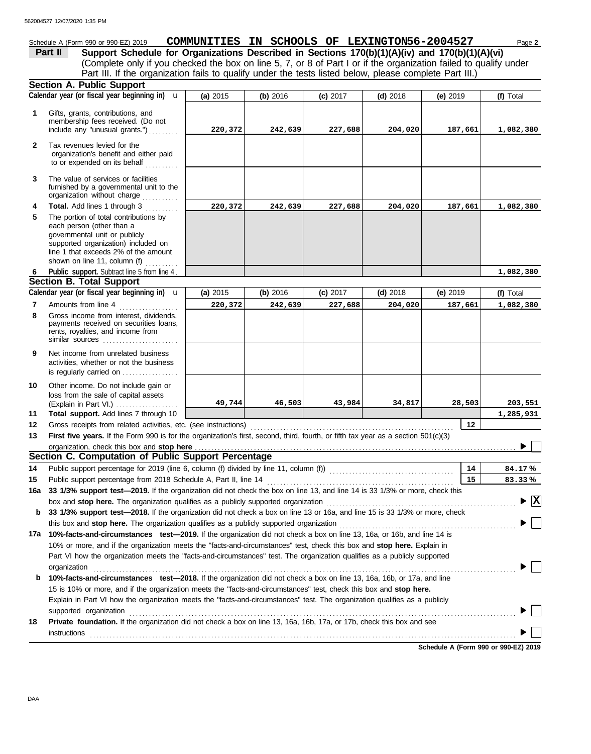## Schedule A (Form 990 or 990-EZ) 2019 **COMMUNITIES IN SCHOOLS OF LEXINGTON56-2004527** Page 2

(Complete only if you checked the box on line 5, 7, or 8 of Part I or if the organization failed to qualify under **Part II** Support Schedule for Organizations Described in Sections 170(b)(1)(A)(iv) and 170(b)(1)(A)(vi) Part III. If the organization fails to qualify under the tests listed below, please complete Part III.)

|              | <b>Section A. Public Support</b>                                                                                                                                                                                        |          |          |            |            |                                      |                                             |
|--------------|-------------------------------------------------------------------------------------------------------------------------------------------------------------------------------------------------------------------------|----------|----------|------------|------------|--------------------------------------|---------------------------------------------|
|              | Calendar year (or fiscal year beginning in) <b>u</b>                                                                                                                                                                    | (a) 2015 | (b) 2016 | $(c)$ 2017 | $(d)$ 2018 | (e) $2019$                           | (f) Total                                   |
| 1            | Gifts, grants, contributions, and<br>membership fees received. (Do not<br>include any "unusual grants.")                                                                                                                | 220,372  | 242,639  | 227,688    | 204,020    | 187,661                              | 1,082,380                                   |
| $\mathbf{2}$ | Tax revenues levied for the<br>organization's benefit and either paid<br>to or expended on its behalf                                                                                                                   |          |          |            |            |                                      |                                             |
| 3            | The value of services or facilities<br>furnished by a governmental unit to the<br>organization without charge                                                                                                           |          |          |            |            |                                      |                                             |
| 4            | Total. Add lines 1 through 3                                                                                                                                                                                            | 220,372  | 242,639  | 227,688    | 204,020    | 187,661                              | 1,082,380                                   |
| 5            | The portion of total contributions by<br>each person (other than a<br>governmental unit or publicly<br>supported organization) included on<br>line 1 that exceeds 2% of the amount<br>shown on line 11, column (f)<br>. |          |          |            |            |                                      |                                             |
| 6            | Public support. Subtract line 5 from line 4.                                                                                                                                                                            |          |          |            |            |                                      | 1,082,380                                   |
|              | <b>Section B. Total Support</b>                                                                                                                                                                                         |          |          |            |            |                                      |                                             |
|              | Calendar year (or fiscal year beginning in) $\mathbf u$                                                                                                                                                                 | (a) 2015 | (b) 2016 | $(c)$ 2017 | $(d)$ 2018 | $(e)$ 2019                           | (f) Total                                   |
| 7            | Amounts from line 4                                                                                                                                                                                                     | 220,372  | 242,639  | 227,688    | 204,020    | 187,661                              | 1,082,380                                   |
| 8            | Gross income from interest, dividends,<br>payments received on securities loans,<br>rents, royalties, and income from<br>similar sources                                                                                |          |          |            |            |                                      |                                             |
| 9            | Net income from unrelated business<br>activities, whether or not the business<br>is regularly carried on $\ldots$                                                                                                       |          |          |            |            |                                      |                                             |
| 10           | Other income. Do not include gain or<br>loss from the sale of capital assets<br>(Explain in Part VI.)                                                                                                                   | 49,744   | 46,503   | 43,984     | 34,817     | 28,503                               | 203,551                                     |
| 11           | Total support. Add lines 7 through 10                                                                                                                                                                                   |          |          |            |            |                                      | 1,285,931                                   |
| 12           | Gross receipts from related activities, etc. (see instructions)                                                                                                                                                         |          |          |            |            | 12                                   |                                             |
| 13           | First five years. If the Form 990 is for the organization's first, second, third, fourth, or fifth tax year as a section 501(c)(3)                                                                                      |          |          |            |            |                                      |                                             |
|              | organization, check this box and stop here                                                                                                                                                                              |          |          |            |            |                                      |                                             |
|              | Section C. Computation of Public Support Percentage                                                                                                                                                                     |          |          |            |            |                                      |                                             |
| 14           |                                                                                                                                                                                                                         |          |          |            |            | 14                                   | 84.17%                                      |
| 15           | 16a 33 1/3% support test-2019. If the organization did not check the box on line 13, and line 14 is 33 1/3% or more, check this                                                                                         |          |          |            |            | 15                                   | 83.33%                                      |
|              |                                                                                                                                                                                                                         |          |          |            |            |                                      | $\blacktriangleright \overline{\mathbf{X}}$ |
| b            | box and stop here. The organization qualifies as a publicly supported organization<br>33 1/3% support test-2018. If the organization did not check a box on line 13 or 16a, and line 15 is 33 1/3% or more, check       |          |          |            |            |                                      |                                             |
|              | this box and stop here. The organization qualifies as a publicly supported organization                                                                                                                                 |          |          |            |            |                                      |                                             |
|              | 17a 10%-facts-and-circumstances test-2019. If the organization did not check a box on line 13, 16a, or 16b, and line 14 is                                                                                              |          |          |            |            |                                      |                                             |
|              | 10% or more, and if the organization meets the "facts-and-circumstances" test, check this box and stop here. Explain in                                                                                                 |          |          |            |            |                                      |                                             |
|              | Part VI how the organization meets the "facts-and-circumstances" test. The organization qualifies as a publicly supported                                                                                               |          |          |            |            |                                      |                                             |
|              | organization                                                                                                                                                                                                            |          |          |            |            |                                      |                                             |
| b            | 10%-facts-and-circumstances test-2018. If the organization did not check a box on line 13, 16a, 16b, or 17a, and line                                                                                                   |          |          |            |            |                                      |                                             |
|              | 15 is 10% or more, and if the organization meets the "facts-and-circumstances" test, check this box and stop here.                                                                                                      |          |          |            |            |                                      |                                             |
|              | Explain in Part VI how the organization meets the "facts-and-circumstances" test. The organization qualifies as a publicly                                                                                              |          |          |            |            |                                      |                                             |
|              | supported organization                                                                                                                                                                                                  |          |          |            |            |                                      |                                             |
| 18           | Private foundation. If the organization did not check a box on line 13, 16a, 16b, 17a, or 17b, check this box and see                                                                                                   |          |          |            |            |                                      |                                             |
|              | instructions                                                                                                                                                                                                            |          |          |            |            |                                      |                                             |
|              |                                                                                                                                                                                                                         |          |          |            |            | Cahadule A (Ferm 000 er 000 EZ) 2010 |                                             |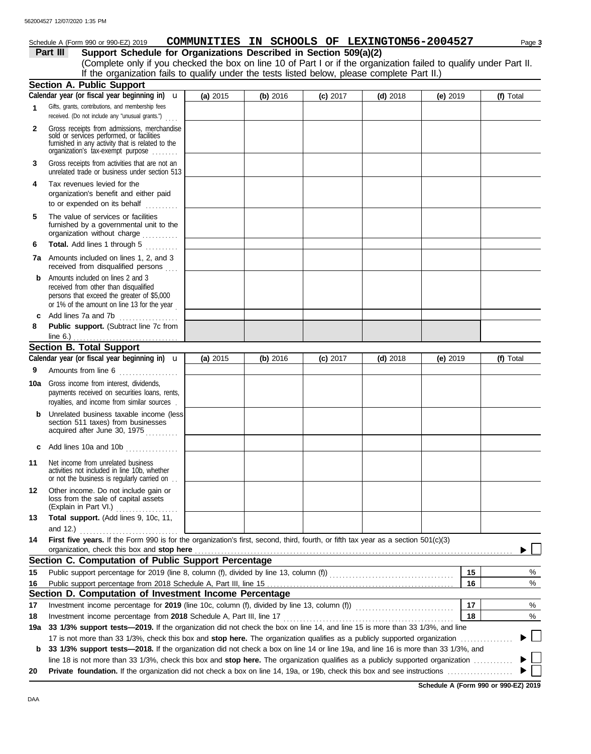## Schedule A (Form 990 or 990-EZ) 2019 **COMMUNITIES IN SCHOOLS OF LEXINGTON56-2004527** Page 3

**Part III** Support Schedule for Organizations Described in Section 509(a)(2)

(Complete only if you checked the box on line 10 of Part I or if the organization failed to qualify under Part II. If the organization fails to qualify under the tests listed below, please complete Part II.)

|              | <b>Section A. Public Support</b>                                                                                                                                                  |          |          |            |            |            |           |
|--------------|-----------------------------------------------------------------------------------------------------------------------------------------------------------------------------------|----------|----------|------------|------------|------------|-----------|
|              | Calendar year (or fiscal year beginning in)<br>u                                                                                                                                  | (a) 2015 | (b) 2016 | $(c)$ 2017 | $(d)$ 2018 | (e) $2019$ | (f) Total |
| $\mathbf{1}$ | Gifts, grants, contributions, and membership fees<br>received. (Do not include any "unusual grants.")                                                                             |          |          |            |            |            |           |
| $\mathbf{2}$ | Gross receipts from admissions, merchandise<br>sold or services performed, or facilities<br>furnished in any activity that is related to the<br>organization's tax-exempt purpose |          |          |            |            |            |           |
| 3            | Gross receipts from activities that are not an<br>unrelated trade or business under section 513                                                                                   |          |          |            |            |            |           |
| 4            | Tax revenues levied for the<br>organization's benefit and either paid<br>to or expended on its behalf                                                                             |          |          |            |            |            |           |
| 5            | The value of services or facilities<br>furnished by a governmental unit to the<br>organization without charge                                                                     |          |          |            |            |            |           |
| 6            | Total. Add lines 1 through 5<br>a sa sa salalar                                                                                                                                   |          |          |            |            |            |           |
|              | <b>7a</b> Amounts included on lines 1, 2, and 3<br>received from disqualified persons                                                                                             |          |          |            |            |            |           |
| b            | Amounts included on lines 2 and 3<br>received from other than disqualified<br>persons that exceed the greater of \$5,000<br>or 1% of the amount on line 13 for the year           |          |          |            |            |            |           |
| c            | Add lines 7a and 7b                                                                                                                                                               |          |          |            |            |            |           |
| 8            | Public support. (Subtract line 7c from                                                                                                                                            |          |          |            |            |            |           |
|              |                                                                                                                                                                                   |          |          |            |            |            |           |
|              | <b>Section B. Total Support</b><br>Calendar year (or fiscal year beginning in) <b>u</b>                                                                                           |          |          |            |            |            |           |
|              |                                                                                                                                                                                   | (a) 2015 | (b) 2016 | $(c)$ 2017 | $(d)$ 2018 | (e) $2019$ | (f) Total |
| 9            | Amounts from line 6                                                                                                                                                               |          |          |            |            |            |           |
| 10a          | Gross income from interest, dividends,<br>payments received on securities loans, rents,<br>royalties, and income from similar sources.                                            |          |          |            |            |            |           |
|              | Unrelated business taxable income (less)<br>section 511 taxes) from businesses<br>acquired after June 30, 1975                                                                    |          |          |            |            |            |           |
| c            | Add lines 10a and 10b                                                                                                                                                             |          |          |            |            |            |           |
| 11           | Net income from unrelated business<br>activities not included in line 10b, whether<br>or not the business is regularly carried on                                                 |          |          |            |            |            |           |
| 12           | Other income. Do not include gain or<br>loss from the sale of capital assets<br>(Explain in Part VI.)                                                                             |          |          |            |            |            |           |
| 13           | Total support. (Add lines 9, 10c, 11,                                                                                                                                             |          |          |            |            |            |           |
|              | and 12.) $\ldots$                                                                                                                                                                 |          |          |            |            |            |           |
| 14           | First five years. If the Form 990 is for the organization's first, second, third, fourth, or fifth tax year as a section 501(c)(3)                                                |          |          |            |            |            |           |
|              | organization, check this box and stop here                                                                                                                                        |          |          |            |            |            |           |
|              | Section C. Computation of Public Support Percentage                                                                                                                               |          |          |            |            |            |           |
| 15           |                                                                                                                                                                                   |          |          |            |            | 15         | %         |
| 16           |                                                                                                                                                                                   |          |          |            |            | 16         | %         |
|              | Section D. Computation of Investment Income Percentage                                                                                                                            |          |          |            |            |            |           |
| 17           |                                                                                                                                                                                   |          |          |            |            | 17         | %         |
| 18           | Investment income percentage from 2018 Schedule A, Part III, line 17                                                                                                              |          |          |            |            | 18         | %         |
| 19a          | 33 1/3% support tests-2019. If the organization did not check the box on line 14, and line 15 is more than 33 1/3%, and line                                                      |          |          |            |            |            |           |
|              | 17 is not more than 33 1/3%, check this box and stop here. The organization qualifies as a publicly supported organization                                                        |          |          |            |            |            |           |
| b            | 33 1/3% support tests—2018. If the organization did not check a box on line 14 or line 19a, and line 16 is more than 33 1/3%, and                                                 |          |          |            |            |            |           |
|              | line 18 is not more than 33 1/3%, check this box and stop here. The organization qualifies as a publicly supported organization $\ldots$                                          |          |          |            |            |            |           |
| 20           |                                                                                                                                                                                   |          |          |            |            |            |           |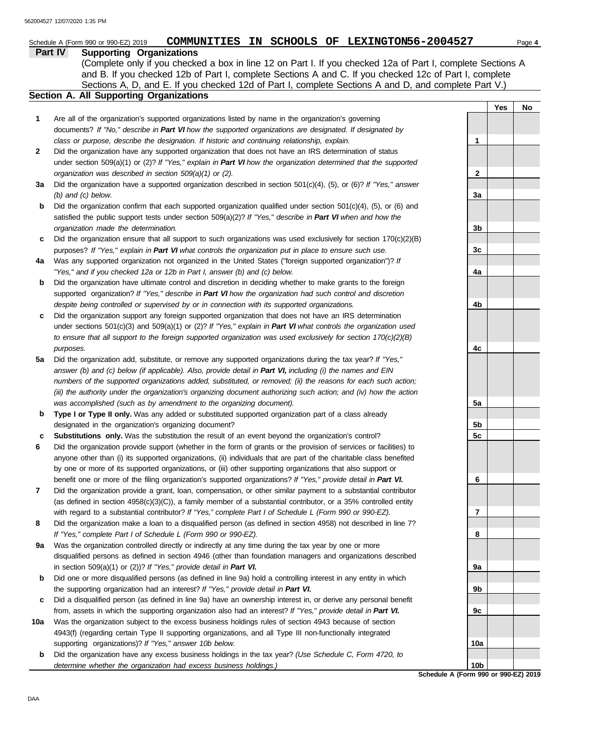## Schedule A (Form 990 or 990-EZ) 2019 **COMMUNITIES IN SCHOOLS OF LEXINGTON56-2004527** Page 4

**Yes No**

# **Part IV Supporting Organizations** (Complete only if you checked a box in line 12 on Part I. If you checked 12a of Part I, complete Sections A

Sections A, D, and E. If you checked 12d of Part I, complete Sections A and D, and complete Part V.) and B. If you checked 12b of Part I, complete Sections A and C. If you checked 12c of Part I, complete

## **Section A. All Supporting Organizations**

- Are all of the organization's supported organizations listed by name in the organization's governing documents? *If "No," describe in Part VI how the supported organizations are designated. If designated by class or purpose, describe the designation. If historic and continuing relationship, explain.* **1**
- Did the organization have any supported organization that does not have an IRS determination of status under section 509(a)(1) or (2)? *If "Yes," explain in Part VI how the organization determined that the supported organization was described in section 509(a)(1) or (2).* **2**
- **3a** Did the organization have a supported organization described in section 501(c)(4), (5), or (6)? *If "Yes," answer (b) and (c) below.*
- **b** Did the organization confirm that each supported organization qualified under section 501(c)(4), (5), or (6) and satisfied the public support tests under section 509(a)(2)? *If "Yes," describe in Part VI when and how the organization made the determination.*
- **c** Did the organization ensure that all support to such organizations was used exclusively for section  $170(c)(2)(B)$ purposes? *If "Yes," explain in Part VI what controls the organization put in place to ensure such use.*
- **4a** Was any supported organization not organized in the United States ("foreign supported organization")? *If "Yes," and if you checked 12a or 12b in Part I, answer (b) and (c) below.*
- **b** Did the organization have ultimate control and discretion in deciding whether to make grants to the foreign supported organization? *If "Yes," describe in Part VI how the organization had such control and discretion despite being controlled or supervised by or in connection with its supported organizations.*
- **c** Did the organization support any foreign supported organization that does not have an IRS determination under sections 501(c)(3) and 509(a)(1) or (2)? *If "Yes," explain in Part VI what controls the organization used to ensure that all support to the foreign supported organization was used exclusively for section 170(c)(2)(B) purposes.*
- **5a** Did the organization add, substitute, or remove any supported organizations during the tax year? *If "Yes," answer (b) and (c) below (if applicable). Also, provide detail in Part VI, including (i) the names and EIN numbers of the supported organizations added, substituted, or removed; (ii) the reasons for each such action; (iii) the authority under the organization's organizing document authorizing such action; and (iv) how the action was accomplished (such as by amendment to the organizing document).*
- **b Type I or Type II only.** Was any added or substituted supported organization part of a class already designated in the organization's organizing document?
- **c Substitutions only.** Was the substitution the result of an event beyond the organization's control?
- **6** Did the organization provide support (whether in the form of grants or the provision of services or facilities) to anyone other than (i) its supported organizations, (ii) individuals that are part of the charitable class benefited by one or more of its supported organizations, or (iii) other supporting organizations that also support or benefit one or more of the filing organization's supported organizations? *If "Yes," provide detail in Part VI.*
- **7** Did the organization provide a grant, loan, compensation, or other similar payment to a substantial contributor (as defined in section 4958(c)(3)(C)), a family member of a substantial contributor, or a 35% controlled entity with regard to a substantial contributor? *If "Yes," complete Part I of Schedule L (Form 990 or 990-EZ).*
- **8** Did the organization make a loan to a disqualified person (as defined in section 4958) not described in line 7? *If "Yes," complete Part I of Schedule L (Form 990 or 990-EZ).*
- **9a** Was the organization controlled directly or indirectly at any time during the tax year by one or more disqualified persons as defined in section 4946 (other than foundation managers and organizations described in section 509(a)(1) or (2))? *If "Yes," provide detail in Part VI.*
- **b** Did one or more disqualified persons (as defined in line 9a) hold a controlling interest in any entity in which the supporting organization had an interest? *If "Yes," provide detail in Part VI.*
- **c** Did a disqualified person (as defined in line 9a) have an ownership interest in, or derive any personal benefit from, assets in which the supporting organization also had an interest? *If "Yes," provide detail in Part VI.*
- **10a** Was the organization subject to the excess business holdings rules of section 4943 because of section 4943(f) (regarding certain Type II supporting organizations, and all Type III non-functionally integrated supporting organizations)? *If "Yes," answer 10b below.*
- **b** Did the organization have any excess business holdings in the tax year? *(Use Schedule C, Form 4720, to determine whether the organization had excess business holdings.)*

**1 2 3a 3b 3c 4a 4b 4c 5a 5b 5c 6 7 8 9a 9b 9c 10a 10b**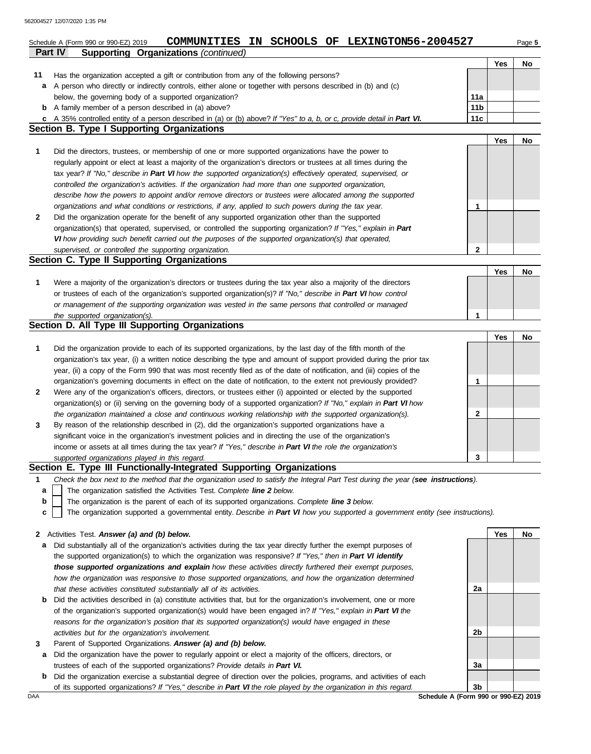|              | IN SCHOOLS OF LEXINGTON56-2004527<br><b>COMMUNITIES</b><br>Schedule A (Form 990 or 990-EZ) 2019                                   |              |     | Page 5 |
|--------------|-----------------------------------------------------------------------------------------------------------------------------------|--------------|-----|--------|
|              | Part IV<br><b>Supporting Organizations (continued)</b>                                                                            |              |     |        |
| 11           | Has the organization accepted a gift or contribution from any of the following persons?                                           |              | Yes | No     |
| a            | A person who directly or indirectly controls, either alone or together with persons described in (b) and (c)                      |              |     |        |
|              | below, the governing body of a supported organization?                                                                            | 11a          |     |        |
|              | <b>b</b> A family member of a person described in (a) above?                                                                      | 11b          |     |        |
|              | c A 35% controlled entity of a person described in (a) or (b) above? If "Yes" to a, b, or c, provide detail in Part VI.           | 11c          |     |        |
|              | <b>Section B. Type I Supporting Organizations</b>                                                                                 |              |     |        |
|              |                                                                                                                                   |              | Yes | No     |
| 1            | Did the directors, trustees, or membership of one or more supported organizations have the power to                               |              |     |        |
|              | regularly appoint or elect at least a majority of the organization's directors or trustees at all times during the                |              |     |        |
|              | tax year? If "No," describe in Part VI how the supported organization(s) effectively operated, supervised, or                     |              |     |        |
|              | controlled the organization's activities. If the organization had more than one supported organization,                           |              |     |        |
|              | describe how the powers to appoint and/or remove directors or trustees were allocated among the supported                         |              |     |        |
|              | organizations and what conditions or restrictions, if any, applied to such powers during the tax year.                            | 1            |     |        |
| $\mathbf{2}$ | Did the organization operate for the benefit of any supported organization other than the supported                               |              |     |        |
|              | organization(s) that operated, supervised, or controlled the supporting organization? If "Yes," explain in Part                   |              |     |        |
|              | VI how providing such benefit carried out the purposes of the supported organization(s) that operated,                            |              |     |        |
|              | supervised, or controlled the supporting organization.                                                                            | $\mathbf{2}$ |     |        |
|              | Section C. Type II Supporting Organizations                                                                                       |              |     |        |
| 1            | Were a majority of the organization's directors or trustees during the tax year also a majority of the directors                  |              | Yes | No     |
|              | or trustees of each of the organization's supported organization(s)? If "No," describe in Part VI how control                     |              |     |        |
|              | or management of the supporting organization was vested in the same persons that controlled or managed                            |              |     |        |
|              | the supported organization(s).                                                                                                    | 1            |     |        |
|              | Section D. All Type III Supporting Organizations                                                                                  |              |     |        |
|              |                                                                                                                                   |              | Yes | No     |
| 1            | Did the organization provide to each of its supported organizations, by the last day of the fifth month of the                    |              |     |        |
|              | organization's tax year, (i) a written notice describing the type and amount of support provided during the prior tax             |              |     |        |
|              | year, (ii) a copy of the Form 990 that was most recently filed as of the date of notification, and (iii) copies of the            |              |     |        |
|              | organization's governing documents in effect on the date of notification, to the extent not previously provided?                  | 1            |     |        |
| 2            | Were any of the organization's officers, directors, or trustees either (i) appointed or elected by the supported                  |              |     |        |
|              | organization(s) or (ii) serving on the governing body of a supported organization? If "No," explain in Part VI how                |              |     |        |
|              | the organization maintained a close and continuous working relationship with the supported organization(s).                       | $\mathbf{2}$ |     |        |
| 3            | By reason of the relationship described in (2), did the organization's supported organizations have a                             |              |     |        |
|              | significant voice in the organization's investment policies and in directing the use of the organization's                        |              |     |        |
|              | income or assets at all times during the tax year? If "Yes," describe in Part VI the role the organization's                      |              |     |        |
|              | supported organizations played in this regard.                                                                                    | 3            |     |        |
|              | Section E. Type III Functionally-Integrated Supporting Organizations                                                              |              |     |        |
| 1            | Check the box next to the method that the organization used to satisfy the Integral Part Test during the year (see instructions). |              |     |        |
| а            | The organization satisfied the Activities Test. Complete line 2 below.                                                            |              |     |        |
| b            | The organization is the parent of each of its supported organizations. Complete line 3 below.                                     |              |     |        |
| c            | The organization supported a governmental entity. Describe in Part VI how you supported a government entity (see instructions).   |              |     |        |
|              | 2 Activities Test. Answer (a) and (b) below.                                                                                      |              | Yes | No     |
| а            | Did substantially all of the organization's activities during the tax year directly further the exempt purposes of                |              |     |        |
|              | the supported organization(s) to which the organization was responsive? If "Yes," then in Part VI identify                        |              |     |        |
|              | those supported organizations and explain how these activities directly furthered their exempt purposes,                          |              |     |        |
|              |                                                                                                                                   |              |     |        |
|              | how the organization was responsive to those supported organizations, and how the organization determined                         |              |     |        |

- **b** Did the activities described in (a) constitute activities that, but for the organization's involvement, one or more of the organization's supported organization(s) would have been engaged in? *If "Yes," explain in Part VI the reasons for the organization's position that its supported organization(s) would have engaged in these activities but for the organization's involvement.*
- **3** Parent of Supported Organizations. *Answer (a) and (b) below.*
- **a** Did the organization have the power to regularly appoint or elect a majority of the officers, directors, or trustees of each of the supported organizations? *Provide details in Part VI.*
- DAA **Schedule A (Form 990 or 990-EZ) 2019 b** Did the organization exercise a substantial degree of direction over the policies, programs, and activities of each of its supported organizations? *If "Yes," describe in Part VI the role played by the organization in this regard.*

**2b 3a 3b**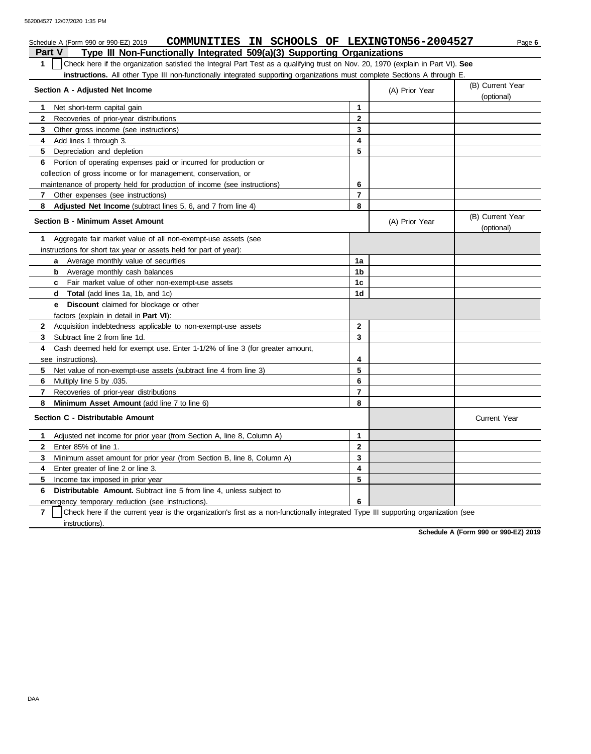### **Part V Type III Non-Functionally Integrated 509(a)(3) Supporting Organizations** Schedule A (Form 990 or 990-EZ) 2019 **COMMUNITIES IN SCHOOLS OF LEXINGTON56-2004527** Page 6 **1** Check here if the organization satisfied the Integral Part Test as a qualifying trust on Nov. 20, 1970 (explain in Part VI). **See instructions.** All other Type III non-functionally integrated supporting organizations must complete Sections A through E. **1** Net short-term capital gain **2** Recoveries of prior-year distributions **3 4 5** Depreciation and depletion **6** Portion of operating expenses paid or incurred for production or **7 8 Adjusted Net Income** (subtract lines 5, 6, and 7 from line 4) **1** Aggregate fair market value of all non-exempt-use assets (see **Section A - Adjusted Net Income** Other gross income (see instructions) Add lines 1 through 3. collection of gross income or for management, conservation, or maintenance of property held for production of income (see instructions) Other expenses (see instructions) **Section B - Minimum Asset Amount** instructions for short tax year or assets held for part of year): **a** Average monthly value of securities **b** Average monthly cash balances **c** Fair market value of other non-exempt-use assets **8 7 6 5 4 3 2 1** (A) Prior Year (B) Current Year (optional) (optional) (B) Current Year (A) Prior Year **1a 1b 1c**

### **Section C - Distributable Amount**

Multiply line 5 by .035.

**3** Subtract line 2 from line 1d.

**7 6**

**4**

see instructions).

**d Total** (add lines 1a, 1b, and 1c) **e Discount** claimed for blockage or other factors (explain in detail in **Part VI**):

Recoveries of prior-year distributions

**5** Net value of non-exempt-use assets (subtract line 4 from line 3)

**2** Acquisition indebtedness applicable to non-exempt-use assets

Cash deemed held for exempt use. Enter 1-1/2% of line 3 (for greater amount,

|    | <b>Minimum Asset Amount (add line 7 to line 6)</b>                                                                                | 8 |              |  |  |  |  |
|----|-----------------------------------------------------------------------------------------------------------------------------------|---|--------------|--|--|--|--|
|    | Section C - Distributable Amount                                                                                                  |   | Current Year |  |  |  |  |
|    | Adjusted net income for prior year (from Section A, line 8, Column A)                                                             |   |              |  |  |  |  |
| 2  | Enter 85% of line 1.                                                                                                              |   |              |  |  |  |  |
|    | Minimum asset amount for prior year (from Section B, line 8, Column A)                                                            | 3 |              |  |  |  |  |
|    | 4 Enter greater of line 2 or line 3.                                                                                              | 4 |              |  |  |  |  |
| 5. | Income tax imposed in prior year                                                                                                  | 5 |              |  |  |  |  |
| 6  | <b>Distributable Amount.</b> Subtract line 5 from line 4, unless subject to                                                       |   |              |  |  |  |  |
|    | emergency temporary reduction (see instructions).                                                                                 | 6 |              |  |  |  |  |
|    | Check here if the current year is the organization's first as a non-functionally integrated Type III supporting organization (see |   |              |  |  |  |  |

**1d**

**2 3**

**7** instructions). neck here if the current year is the organization's first as a non-functionally integrated Type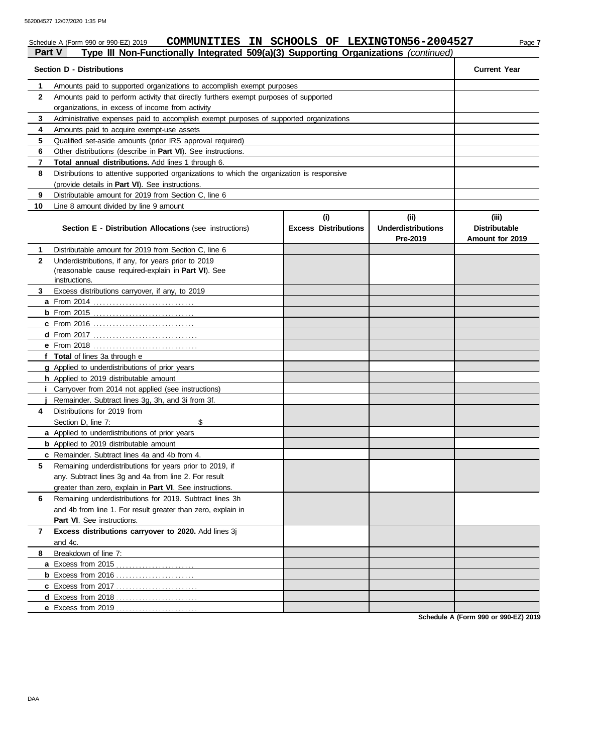### Schedule A (Form 990 or 990-EZ) 2019 **COMMUNITIES IN SCHOOLS OF LEXINGTON56-2004527** Page 7 **Part V Type III Non-Functionally Integrated 509(a)(3) Supporting Organizations** *(continued)* **Section D - Distributions Current Year 1 2 3 4 5 6 7 8 9 10** Amounts paid to supported organizations to accomplish exempt purposes Amounts paid to perform activity that directly furthers exempt purposes of supported organizations, in excess of income from activity Administrative expenses paid to accomplish exempt purposes of supported organizations Amounts paid to acquire exempt-use assets Qualified set-aside amounts (prior IRS approval required) Other distributions (describe in **Part VI**). See instructions. **Total annual distributions.** Add lines 1 through 6. Distributions to attentive supported organizations to which the organization is responsive (provide details in **Part VI**). See instructions. Distributable amount for 2019 from Section C, line 6 Line 8 amount divided by line 9 amount **Section E - Distribution Allocations** (see instructions) **Excess Distributions (i) (ii) Underdistributions Pre-2019 (iii) Distributable Amount for 2019 8** Breakdown of line 7: **7 6** Remaining underdistributions for 2019. Subtract lines 3h **5** Remaining underdistributions for years prior to 2019, if **4 3 2 1 a** From 2014 . . . . . . . . . . . . . . . . . . . . . . . . . . . . . . . **b** From 2015 . . . . . . . . . . . . . . . . . . . . . . . . . . . . . . . **c** From 2016 . . . . . . . . . . . . . . . . . . . . . . . . . . . . . . . **d** From 2017 . . . . . . . . . . . . . . . . . . . . . . . . . . . . . . . . **e** From 2018 . . . . . . . . . . . . . . . . . . . . . . . . . . . . . . . . **f Total** of lines 3a through e **g** Applied to underdistributions of prior years **h** Applied to 2019 distributable amount **i** Carryover from 2014 not applied (see instructions) **j** Remainder. Subtract lines 3g, 3h, and 3i from 3f. **a** Applied to underdistributions of prior years **b** Applied to 2019 distributable amount **c** Remainder. Subtract lines 4a and 4b from 4. **a** Excess from 2015 . . . . . . . . . . . . . . . . . . . . . . . . **b** Excess from 2016 . . . . . . . . . . . . . . . . . . . . . . . . **c** Excess from 2017 . . . . . . . . . . . . . . . . . . . . . . . . . **d** Excess from 2018 . . . . . . . . . . . . . . . . . . . . . . . . . **e** Excess from 2019 . . . . . . . . . . . . . . . . . . . . . . . . . Distributable amount for 2019 from Section C, line 6 Underdistributions, if any, for years prior to 2019 (reasonable cause required-explain in **Part VI**). See Excess distributions carryover, if any, to 2019 Distributions for 2019 from Section D, line 7: \$ any. Subtract lines 3g and 4a from line 2. For result greater than zero, explain in **Part VI**. See instructions. and 4b from line 1. For result greater than zero, explain in Part VI. See instructions. **Excess distributions carryover to 2020.** Add lines 3j and 4c. instructions.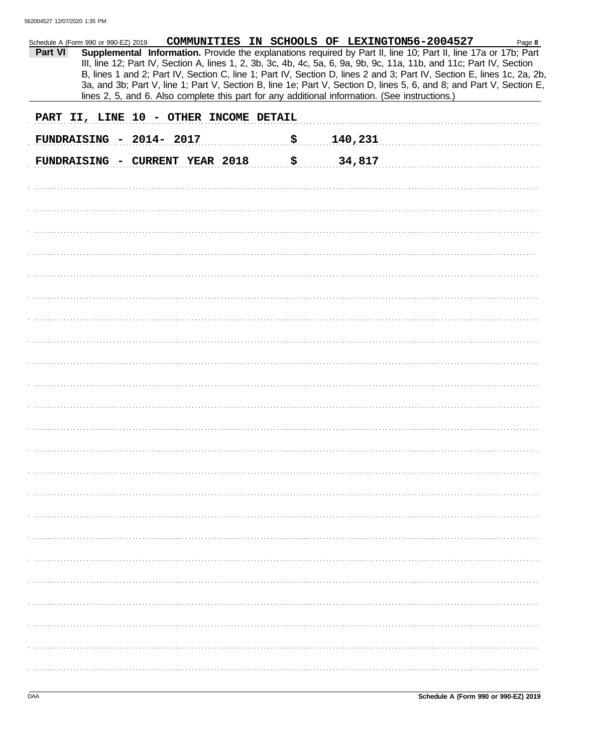| Part VI                                | Schedule A (Form 990 or 990-EZ) 2019 |  |                                 |  |                      |         | COMMUNITIES IN SCHOOLS OF LEXINGTON56-2004527<br>Supplemental Information. Provide the explanations required by Part II, line 10; Part II, line 17a or 17b; Part<br>III, line 12; Part IV, Section A, lines 1, 2, 3b, 3c, 4b, 4c, 5a, 6, 9a, 9b, 9c, 11a, 11b, and 11c; Part IV, Section<br>B, lines 1 and 2; Part IV, Section C, line 1; Part IV, Section D, lines 2 and 3; Part IV, Section E, lines 1c, 2a, 2b,<br>3a, and 3b; Part V, line 1; Part V, Section B, line 1e; Part V, Section D, lines 5, 6, and 8; and Part V, Section E,<br>lines 2, 5, and 6. Also complete this part for any additional information. (See instructions.) | Page 8 |  |
|----------------------------------------|--------------------------------------|--|---------------------------------|--|----------------------|---------|----------------------------------------------------------------------------------------------------------------------------------------------------------------------------------------------------------------------------------------------------------------------------------------------------------------------------------------------------------------------------------------------------------------------------------------------------------------------------------------------------------------------------------------------------------------------------------------------------------------------------------------------|--------|--|
| PART II, LINE 10 - OTHER INCOME DETAIL |                                      |  |                                 |  |                      |         |                                                                                                                                                                                                                                                                                                                                                                                                                                                                                                                                                                                                                                              |        |  |
|                                        | <b>FUNDRAISING - 2014- 2017</b>      |  |                                 |  | \$.                  | 140,231 |                                                                                                                                                                                                                                                                                                                                                                                                                                                                                                                                                                                                                                              |        |  |
|                                        |                                      |  | FUNDRAISING - CURRENT YEAR 2018 |  | $\mathbf{s}_{\cdot}$ | 34,817  |                                                                                                                                                                                                                                                                                                                                                                                                                                                                                                                                                                                                                                              |        |  |
|                                        |                                      |  |                                 |  |                      |         |                                                                                                                                                                                                                                                                                                                                                                                                                                                                                                                                                                                                                                              |        |  |
|                                        |                                      |  |                                 |  |                      |         |                                                                                                                                                                                                                                                                                                                                                                                                                                                                                                                                                                                                                                              |        |  |
|                                        |                                      |  |                                 |  |                      |         |                                                                                                                                                                                                                                                                                                                                                                                                                                                                                                                                                                                                                                              |        |  |
|                                        |                                      |  |                                 |  |                      |         |                                                                                                                                                                                                                                                                                                                                                                                                                                                                                                                                                                                                                                              |        |  |
|                                        |                                      |  |                                 |  |                      |         |                                                                                                                                                                                                                                                                                                                                                                                                                                                                                                                                                                                                                                              |        |  |
|                                        |                                      |  |                                 |  |                      |         |                                                                                                                                                                                                                                                                                                                                                                                                                                                                                                                                                                                                                                              |        |  |
|                                        |                                      |  |                                 |  |                      |         |                                                                                                                                                                                                                                                                                                                                                                                                                                                                                                                                                                                                                                              |        |  |
|                                        |                                      |  |                                 |  |                      |         |                                                                                                                                                                                                                                                                                                                                                                                                                                                                                                                                                                                                                                              |        |  |
|                                        |                                      |  |                                 |  |                      |         |                                                                                                                                                                                                                                                                                                                                                                                                                                                                                                                                                                                                                                              |        |  |
|                                        |                                      |  |                                 |  |                      |         |                                                                                                                                                                                                                                                                                                                                                                                                                                                                                                                                                                                                                                              |        |  |
|                                        |                                      |  |                                 |  |                      |         |                                                                                                                                                                                                                                                                                                                                                                                                                                                                                                                                                                                                                                              |        |  |
|                                        |                                      |  |                                 |  |                      |         |                                                                                                                                                                                                                                                                                                                                                                                                                                                                                                                                                                                                                                              |        |  |
|                                        |                                      |  |                                 |  |                      |         |                                                                                                                                                                                                                                                                                                                                                                                                                                                                                                                                                                                                                                              |        |  |
|                                        |                                      |  |                                 |  |                      |         |                                                                                                                                                                                                                                                                                                                                                                                                                                                                                                                                                                                                                                              |        |  |
|                                        |                                      |  |                                 |  |                      |         |                                                                                                                                                                                                                                                                                                                                                                                                                                                                                                                                                                                                                                              |        |  |
|                                        |                                      |  |                                 |  |                      |         |                                                                                                                                                                                                                                                                                                                                                                                                                                                                                                                                                                                                                                              |        |  |
|                                        |                                      |  |                                 |  |                      |         |                                                                                                                                                                                                                                                                                                                                                                                                                                                                                                                                                                                                                                              |        |  |
|                                        |                                      |  |                                 |  |                      |         |                                                                                                                                                                                                                                                                                                                                                                                                                                                                                                                                                                                                                                              |        |  |
|                                        |                                      |  |                                 |  |                      |         |                                                                                                                                                                                                                                                                                                                                                                                                                                                                                                                                                                                                                                              |        |  |
|                                        |                                      |  |                                 |  |                      |         |                                                                                                                                                                                                                                                                                                                                                                                                                                                                                                                                                                                                                                              |        |  |
|                                        |                                      |  |                                 |  |                      |         |                                                                                                                                                                                                                                                                                                                                                                                                                                                                                                                                                                                                                                              |        |  |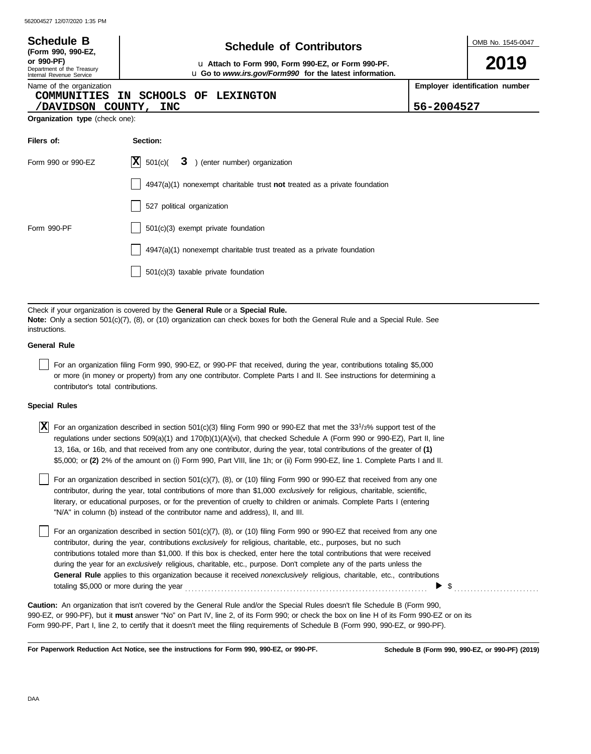562004527 12/07/2020 1:35 PM

| <b>Schedule B</b><br>(Form 990, 990-EZ,<br>or 990-PF)<br>Department of the Treasury<br>Internal Revenue Service<br>Name of the organization<br>COMMUNITIES<br>'DAVIDSON COUNTY,<br>Organization type (check one): | <b>Schedule of Contributors</b><br>u Attach to Form 990, Form 990-EZ, or Form 990-PF.<br>u Go to www.irs.gov/Form990 for the latest information.<br>IN<br>SCHOOLS OF LEXINGTON<br><b>INC</b>                | OMB No. 1545-0047<br>2019<br>Employer identification number<br>56-2004527 |  |  |  |  |  |  |
|-------------------------------------------------------------------------------------------------------------------------------------------------------------------------------------------------------------------|-------------------------------------------------------------------------------------------------------------------------------------------------------------------------------------------------------------|---------------------------------------------------------------------------|--|--|--|--|--|--|
| Filers of:                                                                                                                                                                                                        | Section:                                                                                                                                                                                                    |                                                                           |  |  |  |  |  |  |
| Form 990 or 990-EZ                                                                                                                                                                                                | $ \mathbf{X} $ 501(c)(<br>3 ) (enter number) organization                                                                                                                                                   |                                                                           |  |  |  |  |  |  |
|                                                                                                                                                                                                                   | 4947(a)(1) nonexempt charitable trust not treated as a private foundation                                                                                                                                   |                                                                           |  |  |  |  |  |  |
|                                                                                                                                                                                                                   | 527 political organization                                                                                                                                                                                  |                                                                           |  |  |  |  |  |  |
| Form 990-PF                                                                                                                                                                                                       | 501(c)(3) exempt private foundation                                                                                                                                                                         |                                                                           |  |  |  |  |  |  |
|                                                                                                                                                                                                                   | 4947(a)(1) nonexempt charitable trust treated as a private foundation                                                                                                                                       |                                                                           |  |  |  |  |  |  |
|                                                                                                                                                                                                                   | 501(c)(3) taxable private foundation                                                                                                                                                                        |                                                                           |  |  |  |  |  |  |
|                                                                                                                                                                                                                   |                                                                                                                                                                                                             |                                                                           |  |  |  |  |  |  |
| instructions.                                                                                                                                                                                                     | Check if your organization is covered by the General Rule or a Special Rule.<br>Note: Only a section 501(c)(7), (8), or (10) organization can check boxes for both the General Rule and a Special Rule. See |                                                                           |  |  |  |  |  |  |
| <b>General Rule</b>                                                                                                                                                                                               |                                                                                                                                                                                                             |                                                                           |  |  |  |  |  |  |

For an organization filing Form 990, 990-EZ, or 990-PF that received, during the year, contributions totaling \$5,000 or more (in money or property) from any one contributor. Complete Parts I and II. See instructions for determining a contributor's total contributions.

## **Special Rules**

For an organization described in section 501(c)(3) filing Form 990 or 990-EZ that met the 33<sup>1</sup> /3% support test of the **X** regulations under sections 509(a)(1) and 170(b)(1)(A)(vi), that checked Schedule A (Form 990 or 990-EZ), Part II, line 13, 16a, or 16b, and that received from any one contributor, during the year, total contributions of the greater of **(1)** \$5,000; or **(2)** 2% of the amount on (i) Form 990, Part VIII, line 1h; or (ii) Form 990-EZ, line 1. Complete Parts I and II.

literary, or educational purposes, or for the prevention of cruelty to children or animals. Complete Parts I (entering For an organization described in section 501(c)(7), (8), or (10) filing Form 990 or 990-EZ that received from any one contributor, during the year, total contributions of more than \$1,000 *exclusively* for religious, charitable, scientific, "N/A" in column (b) instead of the contributor name and address), II, and III.

For an organization described in section 501(c)(7), (8), or (10) filing Form 990 or 990-EZ that received from any one contributor, during the year, contributions *exclusively* for religious, charitable, etc., purposes, but no such contributions totaled more than \$1,000. If this box is checked, enter here the total contributions that were received during the year for an *exclusively* religious, charitable, etc., purpose. Don't complete any of the parts unless the **General Rule** applies to this organization because it received *nonexclusively* religious, charitable, etc., contributions totaling \$5,000 or more during the year . . . . . . . . . . . . . . . . . . . . . . . . . . . . . . . . . . . . . . . . . . . . . . . . . . . . . . . . . . . . . . . . . . . . . . . . . .  $\blacktriangleright$  \$

990-EZ, or 990-PF), but it **must** answer "No" on Part IV, line 2, of its Form 990; or check the box on line H of its Form 990-EZ or on its Form 990-PF, Part I, line 2, to certify that it doesn't meet the filing requirements of Schedule B (Form 990, 990-EZ, or 990-PF). **Caution:** An organization that isn't covered by the General Rule and/or the Special Rules doesn't file Schedule B (Form 990,

**For Paperwork Reduction Act Notice, see the instructions for Form 990, 990-EZ, or 990-PF.**

**Schedule B (Form 990, 990-EZ, or 990-PF) (2019)**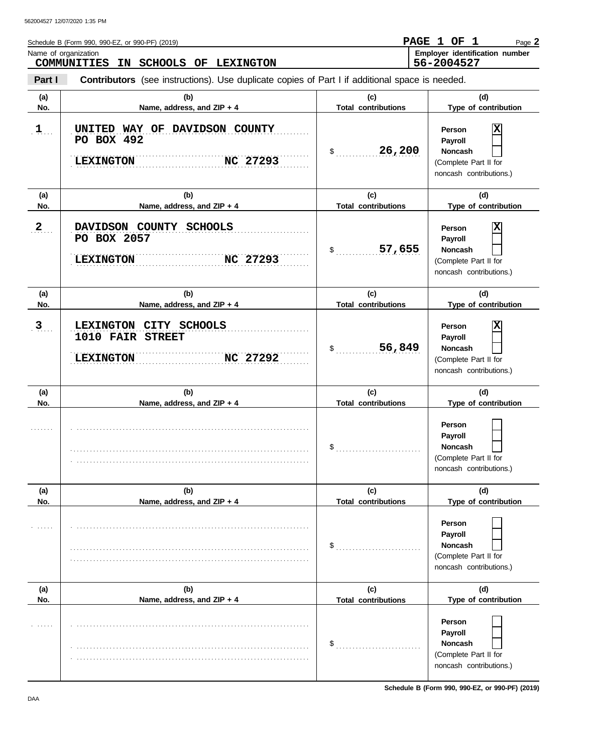|            | Schedule B (Form 990, 990-EZ, or 990-PF) (2019)                                                       |                                   |  |  |                                   |            |  | PAGE 1 OF 1                    | Page 2 |
|------------|-------------------------------------------------------------------------------------------------------|-----------------------------------|--|--|-----------------------------------|------------|--|--------------------------------|--------|
|            | Name of organization<br>COMMUNITIES IN SCHOOLS OF LEXINGTON                                           |                                   |  |  |                                   | 56-2004527 |  | Employer identification number |        |
| Part I     | <b>Contributors</b> (see instructions). Use duplicate copies of Part I if additional space is needed. |                                   |  |  |                                   |            |  |                                |        |
| (a)<br>No. |                                                                                                       | (b)<br>Name, address, and ZIP + 4 |  |  | (c)<br><b>Total contributions</b> |            |  | (d)<br>Type of contribution    |        |
|            |                                                                                                       |                                   |  |  |                                   |            |  |                                |        |

| $\mathbf{1}$   | UNITED WAY OF DAVIDSON COUNTY<br>PO BOX 492<br>LEXINGTON<br>NC 27293                                     | 26,200<br>$\frac{1}{2}$           | ΙX<br>Person<br>Payroll<br>Noncash<br>(Complete Part II for<br>noncash contributions.)                   |
|----------------|----------------------------------------------------------------------------------------------------------|-----------------------------------|----------------------------------------------------------------------------------------------------------|
| (a)<br>No.     | (b)<br>Name, address, and ZIP + 4                                                                        | (c)<br><b>Total contributions</b> | (d)<br>Type of contribution                                                                              |
| $\overline{2}$ | DAVIDSON COUNTY SCHOOLS<br>PO BOX 2057<br><b>LEXINGTON</b><br>NC 27293                                   | 57,655<br>\$                      | Х<br>Person<br>Payroll<br>Noncash<br>(Complete Part II for<br>noncash contributions.)                    |
| (a)<br>No.     | (b)                                                                                                      | (c)<br><b>Total contributions</b> | (d)<br>Type of contribution                                                                              |
| 3 <sub>1</sub> | Name, address, and ZIP + 4<br>LEXINGTON CITY SCHOOLS<br>1010 FAIR STREET<br>LEXINGTON<br><b>NC 27292</b> | 56,849<br>\$                      | X<br>Person<br>Payroll<br>Noncash<br>(Complete Part II for<br>noncash contributions.)                    |
| (a)<br>No.     | (b)<br>Name, address, and ZIP + 4                                                                        | (c)<br><b>Total contributions</b> | (d)<br>Type of contribution                                                                              |
|                |                                                                                                          | \$                                | Person<br>Payroll<br>Noncash<br>(Complete Part II for<br>noncash contributions.)                         |
| (a)<br>No.     | (b)<br>Name, address, and ZIP + 4                                                                        | (c)                               | (d)                                                                                                      |
|                |                                                                                                          | <b>Total contributions</b><br>\$  | Type of contribution<br>Person<br>Payroll<br>Noncash<br>(Complete Part II for<br>noncash contributions.) |
| (a)<br>No.     | (b)<br>Name, address, and ZIP + 4                                                                        | (c)<br><b>Total contributions</b> | (d)<br>Type of contribution                                                                              |
|                |                                                                                                          | \$                                | Person<br>Payroll<br><b>Noncash</b><br>(Complete Part II for<br>noncash contributions.)                  |

**Schedule B (Form 990, 990-EZ, or 990-PF) (2019)**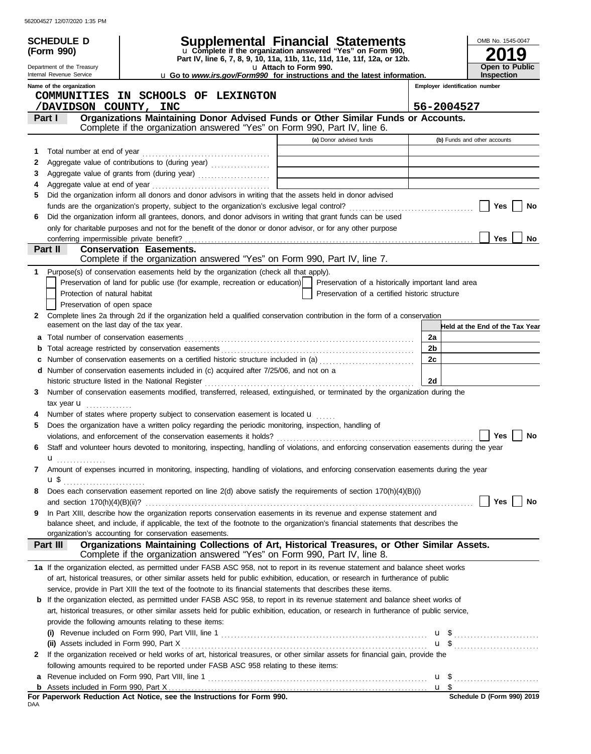562004527 12/07/2020 1:35 PM

| Supplemental Financial Statements<br>u Complete if the organization answered "Yes" on Form 990,<br>(Form 990)<br>Part IV, line 6, 7, 8, 9, 10, 11a, 11b, 11c, 11d, 11e, 11f, 12a, or 12b.<br><b>Open to Public</b><br>Department of the Treasury<br>u Attach to Form 990.<br><b>Inspection</b><br>Internal Revenue Service<br><b>u</b> Go to <i>www.irs.gov/Form990</i> for instructions and the latest information.<br>Employer identification number<br>Name of the organization<br>COMMUNITIES IN SCHOOLS OF LEXINGTON<br>56-2004527<br>/DAVIDSON COUNTY, INC<br>Organizations Maintaining Donor Advised Funds or Other Similar Funds or Accounts.<br>Part I<br>Complete if the organization answered "Yes" on Form 990, Part IV, line 6.<br>(a) Donor advised funds<br>(b) Funds and other accounts<br>Total number at end of year<br>1<br>2<br>3<br>the control of the control of the control of the control of<br>Did the organization inform all donors and donor advisors in writing that the assets held in donor advised<br>5<br>Yes<br>Did the organization inform all grantees, donors, and donor advisors in writing that grant funds can be used<br>6<br>only for charitable purposes and not for the benefit of the donor or donor advisor, or for any other purpose<br><b>Yes</b><br>Part II<br><b>Conservation Easements.</b><br>Complete if the organization answered "Yes" on Form 990, Part IV, line 7.<br>Purpose(s) of conservation easements held by the organization (check all that apply).<br>1.<br>Preservation of land for public use (for example, recreation or education)<br>Preservation of a historically important land area<br>Protection of natural habitat<br>Preservation of a certified historic structure<br>Preservation of open space<br>Complete lines 2a through 2d if the organization held a qualified conservation contribution in the form of a conservation<br>2<br>easement on the last day of the tax year.<br>Held at the End of the Tax Year<br>2a<br>а<br>2 <sub>b</sub><br>Total acreage restricted by conservation easements [111] [11] Total acreage restriction of the series of the series of the series of the series of the series of the series of the series of the series of the series of the s |
|------------------------------------------------------------------------------------------------------------------------------------------------------------------------------------------------------------------------------------------------------------------------------------------------------------------------------------------------------------------------------------------------------------------------------------------------------------------------------------------------------------------------------------------------------------------------------------------------------------------------------------------------------------------------------------------------------------------------------------------------------------------------------------------------------------------------------------------------------------------------------------------------------------------------------------------------------------------------------------------------------------------------------------------------------------------------------------------------------------------------------------------------------------------------------------------------------------------------------------------------------------------------------------------------------------------------------------------------------------------------------------------------------------------------------------------------------------------------------------------------------------------------------------------------------------------------------------------------------------------------------------------------------------------------------------------------------------------------------------------------------------------------------------------------------------------------------------------------------------------------------------------------------------------------------------------------------------------------------------------------------------------------------------------------------------------------------------------------------------------------------------------------------------------------------------------------------------------------------------------------------------------|
|                                                                                                                                                                                                                                                                                                                                                                                                                                                                                                                                                                                                                                                                                                                                                                                                                                                                                                                                                                                                                                                                                                                                                                                                                                                                                                                                                                                                                                                                                                                                                                                                                                                                                                                                                                                                                                                                                                                                                                                                                                                                                                                                                                                                                                                                  |
|                                                                                                                                                                                                                                                                                                                                                                                                                                                                                                                                                                                                                                                                                                                                                                                                                                                                                                                                                                                                                                                                                                                                                                                                                                                                                                                                                                                                                                                                                                                                                                                                                                                                                                                                                                                                                                                                                                                                                                                                                                                                                                                                                                                                                                                                  |
|                                                                                                                                                                                                                                                                                                                                                                                                                                                                                                                                                                                                                                                                                                                                                                                                                                                                                                                                                                                                                                                                                                                                                                                                                                                                                                                                                                                                                                                                                                                                                                                                                                                                                                                                                                                                                                                                                                                                                                                                                                                                                                                                                                                                                                                                  |
|                                                                                                                                                                                                                                                                                                                                                                                                                                                                                                                                                                                                                                                                                                                                                                                                                                                                                                                                                                                                                                                                                                                                                                                                                                                                                                                                                                                                                                                                                                                                                                                                                                                                                                                                                                                                                                                                                                                                                                                                                                                                                                                                                                                                                                                                  |
|                                                                                                                                                                                                                                                                                                                                                                                                                                                                                                                                                                                                                                                                                                                                                                                                                                                                                                                                                                                                                                                                                                                                                                                                                                                                                                                                                                                                                                                                                                                                                                                                                                                                                                                                                                                                                                                                                                                                                                                                                                                                                                                                                                                                                                                                  |
|                                                                                                                                                                                                                                                                                                                                                                                                                                                                                                                                                                                                                                                                                                                                                                                                                                                                                                                                                                                                                                                                                                                                                                                                                                                                                                                                                                                                                                                                                                                                                                                                                                                                                                                                                                                                                                                                                                                                                                                                                                                                                                                                                                                                                                                                  |
|                                                                                                                                                                                                                                                                                                                                                                                                                                                                                                                                                                                                                                                                                                                                                                                                                                                                                                                                                                                                                                                                                                                                                                                                                                                                                                                                                                                                                                                                                                                                                                                                                                                                                                                                                                                                                                                                                                                                                                                                                                                                                                                                                                                                                                                                  |
|                                                                                                                                                                                                                                                                                                                                                                                                                                                                                                                                                                                                                                                                                                                                                                                                                                                                                                                                                                                                                                                                                                                                                                                                                                                                                                                                                                                                                                                                                                                                                                                                                                                                                                                                                                                                                                                                                                                                                                                                                                                                                                                                                                                                                                                                  |
|                                                                                                                                                                                                                                                                                                                                                                                                                                                                                                                                                                                                                                                                                                                                                                                                                                                                                                                                                                                                                                                                                                                                                                                                                                                                                                                                                                                                                                                                                                                                                                                                                                                                                                                                                                                                                                                                                                                                                                                                                                                                                                                                                                                                                                                                  |
|                                                                                                                                                                                                                                                                                                                                                                                                                                                                                                                                                                                                                                                                                                                                                                                                                                                                                                                                                                                                                                                                                                                                                                                                                                                                                                                                                                                                                                                                                                                                                                                                                                                                                                                                                                                                                                                                                                                                                                                                                                                                                                                                                                                                                                                                  |
|                                                                                                                                                                                                                                                                                                                                                                                                                                                                                                                                                                                                                                                                                                                                                                                                                                                                                                                                                                                                                                                                                                                                                                                                                                                                                                                                                                                                                                                                                                                                                                                                                                                                                                                                                                                                                                                                                                                                                                                                                                                                                                                                                                                                                                                                  |
|                                                                                                                                                                                                                                                                                                                                                                                                                                                                                                                                                                                                                                                                                                                                                                                                                                                                                                                                                                                                                                                                                                                                                                                                                                                                                                                                                                                                                                                                                                                                                                                                                                                                                                                                                                                                                                                                                                                                                                                                                                                                                                                                                                                                                                                                  |
|                                                                                                                                                                                                                                                                                                                                                                                                                                                                                                                                                                                                                                                                                                                                                                                                                                                                                                                                                                                                                                                                                                                                                                                                                                                                                                                                                                                                                                                                                                                                                                                                                                                                                                                                                                                                                                                                                                                                                                                                                                                                                                                                                                                                                                                                  |
|                                                                                                                                                                                                                                                                                                                                                                                                                                                                                                                                                                                                                                                                                                                                                                                                                                                                                                                                                                                                                                                                                                                                                                                                                                                                                                                                                                                                                                                                                                                                                                                                                                                                                                                                                                                                                                                                                                                                                                                                                                                                                                                                                                                                                                                                  |
|                                                                                                                                                                                                                                                                                                                                                                                                                                                                                                                                                                                                                                                                                                                                                                                                                                                                                                                                                                                                                                                                                                                                                                                                                                                                                                                                                                                                                                                                                                                                                                                                                                                                                                                                                                                                                                                                                                                                                                                                                                                                                                                                                                                                                                                                  |
|                                                                                                                                                                                                                                                                                                                                                                                                                                                                                                                                                                                                                                                                                                                                                                                                                                                                                                                                                                                                                                                                                                                                                                                                                                                                                                                                                                                                                                                                                                                                                                                                                                                                                                                                                                                                                                                                                                                                                                                                                                                                                                                                                                                                                                                                  |
|                                                                                                                                                                                                                                                                                                                                                                                                                                                                                                                                                                                                                                                                                                                                                                                                                                                                                                                                                                                                                                                                                                                                                                                                                                                                                                                                                                                                                                                                                                                                                                                                                                                                                                                                                                                                                                                                                                                                                                                                                                                                                                                                                                                                                                                                  |
|                                                                                                                                                                                                                                                                                                                                                                                                                                                                                                                                                                                                                                                                                                                                                                                                                                                                                                                                                                                                                                                                                                                                                                                                                                                                                                                                                                                                                                                                                                                                                                                                                                                                                                                                                                                                                                                                                                                                                                                                                                                                                                                                                                                                                                                                  |
|                                                                                                                                                                                                                                                                                                                                                                                                                                                                                                                                                                                                                                                                                                                                                                                                                                                                                                                                                                                                                                                                                                                                                                                                                                                                                                                                                                                                                                                                                                                                                                                                                                                                                                                                                                                                                                                                                                                                                                                                                                                                                                                                                                                                                                                                  |
|                                                                                                                                                                                                                                                                                                                                                                                                                                                                                                                                                                                                                                                                                                                                                                                                                                                                                                                                                                                                                                                                                                                                                                                                                                                                                                                                                                                                                                                                                                                                                                                                                                                                                                                                                                                                                                                                                                                                                                                                                                                                                                                                                                                                                                                                  |
|                                                                                                                                                                                                                                                                                                                                                                                                                                                                                                                                                                                                                                                                                                                                                                                                                                                                                                                                                                                                                                                                                                                                                                                                                                                                                                                                                                                                                                                                                                                                                                                                                                                                                                                                                                                                                                                                                                                                                                                                                                                                                                                                                                                                                                                                  |
|                                                                                                                                                                                                                                                                                                                                                                                                                                                                                                                                                                                                                                                                                                                                                                                                                                                                                                                                                                                                                                                                                                                                                                                                                                                                                                                                                                                                                                                                                                                                                                                                                                                                                                                                                                                                                                                                                                                                                                                                                                                                                                                                                                                                                                                                  |
|                                                                                                                                                                                                                                                                                                                                                                                                                                                                                                                                                                                                                                                                                                                                                                                                                                                                                                                                                                                                                                                                                                                                                                                                                                                                                                                                                                                                                                                                                                                                                                                                                                                                                                                                                                                                                                                                                                                                                                                                                                                                                                                                                                                                                                                                  |
|                                                                                                                                                                                                                                                                                                                                                                                                                                                                                                                                                                                                                                                                                                                                                                                                                                                                                                                                                                                                                                                                                                                                                                                                                                                                                                                                                                                                                                                                                                                                                                                                                                                                                                                                                                                                                                                                                                                                                                                                                                                                                                                                                                                                                                                                  |
|                                                                                                                                                                                                                                                                                                                                                                                                                                                                                                                                                                                                                                                                                                                                                                                                                                                                                                                                                                                                                                                                                                                                                                                                                                                                                                                                                                                                                                                                                                                                                                                                                                                                                                                                                                                                                                                                                                                                                                                                                                                                                                                                                                                                                                                                  |
| b                                                                                                                                                                                                                                                                                                                                                                                                                                                                                                                                                                                                                                                                                                                                                                                                                                                                                                                                                                                                                                                                                                                                                                                                                                                                                                                                                                                                                                                                                                                                                                                                                                                                                                                                                                                                                                                                                                                                                                                                                                                                                                                                                                                                                                                                |
| 2c<br>Number of conservation easements on a certified historic structure included in (a) [[[[[ [ [ a]]                                                                                                                                                                                                                                                                                                                                                                                                                                                                                                                                                                                                                                                                                                                                                                                                                                                                                                                                                                                                                                                                                                                                                                                                                                                                                                                                                                                                                                                                                                                                                                                                                                                                                                                                                                                                                                                                                                                                                                                                                                                                                                                                                           |
| d Number of conservation easements included in (c) acquired after 7/25/06, and not on a                                                                                                                                                                                                                                                                                                                                                                                                                                                                                                                                                                                                                                                                                                                                                                                                                                                                                                                                                                                                                                                                                                                                                                                                                                                                                                                                                                                                                                                                                                                                                                                                                                                                                                                                                                                                                                                                                                                                                                                                                                                                                                                                                                          |
| 2d<br>historic structure listed in the National Register [11] contained a structure of the National Register [11] contained a structure of the National Register [11] contained a structure of the National Register [11] contained                                                                                                                                                                                                                                                                                                                                                                                                                                                                                                                                                                                                                                                                                                                                                                                                                                                                                                                                                                                                                                                                                                                                                                                                                                                                                                                                                                                                                                                                                                                                                                                                                                                                                                                                                                                                                                                                                                                                                                                                                              |
| Number of conservation easements modified, transferred, released, extinguished, or terminated by the organization during the<br>3                                                                                                                                                                                                                                                                                                                                                                                                                                                                                                                                                                                                                                                                                                                                                                                                                                                                                                                                                                                                                                                                                                                                                                                                                                                                                                                                                                                                                                                                                                                                                                                                                                                                                                                                                                                                                                                                                                                                                                                                                                                                                                                                |
| tax year <b>u</b>                                                                                                                                                                                                                                                                                                                                                                                                                                                                                                                                                                                                                                                                                                                                                                                                                                                                                                                                                                                                                                                                                                                                                                                                                                                                                                                                                                                                                                                                                                                                                                                                                                                                                                                                                                                                                                                                                                                                                                                                                                                                                                                                                                                                                                                |
| Number of states where property subject to conservation easement is located u                                                                                                                                                                                                                                                                                                                                                                                                                                                                                                                                                                                                                                                                                                                                                                                                                                                                                                                                                                                                                                                                                                                                                                                                                                                                                                                                                                                                                                                                                                                                                                                                                                                                                                                                                                                                                                                                                                                                                                                                                                                                                                                                                                                    |
| Does the organization have a written policy regarding the periodic monitoring, inspection, handling of                                                                                                                                                                                                                                                                                                                                                                                                                                                                                                                                                                                                                                                                                                                                                                                                                                                                                                                                                                                                                                                                                                                                                                                                                                                                                                                                                                                                                                                                                                                                                                                                                                                                                                                                                                                                                                                                                                                                                                                                                                                                                                                                                           |
|                                                                                                                                                                                                                                                                                                                                                                                                                                                                                                                                                                                                                                                                                                                                                                                                                                                                                                                                                                                                                                                                                                                                                                                                                                                                                                                                                                                                                                                                                                                                                                                                                                                                                                                                                                                                                                                                                                                                                                                                                                                                                                                                                                                                                                                                  |
| Staff and volunteer hours devoted to monitoring, inspecting, handling of violations, and enforcing conservation easements during the year<br>6                                                                                                                                                                                                                                                                                                                                                                                                                                                                                                                                                                                                                                                                                                                                                                                                                                                                                                                                                                                                                                                                                                                                                                                                                                                                                                                                                                                                                                                                                                                                                                                                                                                                                                                                                                                                                                                                                                                                                                                                                                                                                                                   |
| u <sub></sub> .                                                                                                                                                                                                                                                                                                                                                                                                                                                                                                                                                                                                                                                                                                                                                                                                                                                                                                                                                                                                                                                                                                                                                                                                                                                                                                                                                                                                                                                                                                                                                                                                                                                                                                                                                                                                                                                                                                                                                                                                                                                                                                                                                                                                                                                  |
| Amount of expenses incurred in monitoring, inspecting, handling of violations, and enforcing conservation easements during the year<br>7                                                                                                                                                                                                                                                                                                                                                                                                                                                                                                                                                                                                                                                                                                                                                                                                                                                                                                                                                                                                                                                                                                                                                                                                                                                                                                                                                                                                                                                                                                                                                                                                                                                                                                                                                                                                                                                                                                                                                                                                                                                                                                                         |
|                                                                                                                                                                                                                                                                                                                                                                                                                                                                                                                                                                                                                                                                                                                                                                                                                                                                                                                                                                                                                                                                                                                                                                                                                                                                                                                                                                                                                                                                                                                                                                                                                                                                                                                                                                                                                                                                                                                                                                                                                                                                                                                                                                                                                                                                  |
| Does each conservation easement reported on line 2(d) above satisfy the requirements of section 170(h)(4)(B)(i)<br>8<br>Yes                                                                                                                                                                                                                                                                                                                                                                                                                                                                                                                                                                                                                                                                                                                                                                                                                                                                                                                                                                                                                                                                                                                                                                                                                                                                                                                                                                                                                                                                                                                                                                                                                                                                                                                                                                                                                                                                                                                                                                                                                                                                                                                                      |
| In Part XIII, describe how the organization reports conservation easements in its revenue and expense statement and<br>9                                                                                                                                                                                                                                                                                                                                                                                                                                                                                                                                                                                                                                                                                                                                                                                                                                                                                                                                                                                                                                                                                                                                                                                                                                                                                                                                                                                                                                                                                                                                                                                                                                                                                                                                                                                                                                                                                                                                                                                                                                                                                                                                         |
| balance sheet, and include, if applicable, the text of the footnote to the organization's financial statements that describes the                                                                                                                                                                                                                                                                                                                                                                                                                                                                                                                                                                                                                                                                                                                                                                                                                                                                                                                                                                                                                                                                                                                                                                                                                                                                                                                                                                                                                                                                                                                                                                                                                                                                                                                                                                                                                                                                                                                                                                                                                                                                                                                                |
| organization's accounting for conservation easements.                                                                                                                                                                                                                                                                                                                                                                                                                                                                                                                                                                                                                                                                                                                                                                                                                                                                                                                                                                                                                                                                                                                                                                                                                                                                                                                                                                                                                                                                                                                                                                                                                                                                                                                                                                                                                                                                                                                                                                                                                                                                                                                                                                                                            |
| Organizations Maintaining Collections of Art, Historical Treasures, or Other Similar Assets.<br>Part III<br>Complete if the organization answered "Yes" on Form 990, Part IV, line 8.                                                                                                                                                                                                                                                                                                                                                                                                                                                                                                                                                                                                                                                                                                                                                                                                                                                                                                                                                                                                                                                                                                                                                                                                                                                                                                                                                                                                                                                                                                                                                                                                                                                                                                                                                                                                                                                                                                                                                                                                                                                                            |
| 1a If the organization elected, as permitted under FASB ASC 958, not to report in its revenue statement and balance sheet works                                                                                                                                                                                                                                                                                                                                                                                                                                                                                                                                                                                                                                                                                                                                                                                                                                                                                                                                                                                                                                                                                                                                                                                                                                                                                                                                                                                                                                                                                                                                                                                                                                                                                                                                                                                                                                                                                                                                                                                                                                                                                                                                  |
| of art, historical treasures, or other similar assets held for public exhibition, education, or research in furtherance of public                                                                                                                                                                                                                                                                                                                                                                                                                                                                                                                                                                                                                                                                                                                                                                                                                                                                                                                                                                                                                                                                                                                                                                                                                                                                                                                                                                                                                                                                                                                                                                                                                                                                                                                                                                                                                                                                                                                                                                                                                                                                                                                                |
| service, provide in Part XIII the text of the footnote to its financial statements that describes these items.                                                                                                                                                                                                                                                                                                                                                                                                                                                                                                                                                                                                                                                                                                                                                                                                                                                                                                                                                                                                                                                                                                                                                                                                                                                                                                                                                                                                                                                                                                                                                                                                                                                                                                                                                                                                                                                                                                                                                                                                                                                                                                                                                   |
| <b>b</b> If the organization elected, as permitted under FASB ASC 958, to report in its revenue statement and balance sheet works of                                                                                                                                                                                                                                                                                                                                                                                                                                                                                                                                                                                                                                                                                                                                                                                                                                                                                                                                                                                                                                                                                                                                                                                                                                                                                                                                                                                                                                                                                                                                                                                                                                                                                                                                                                                                                                                                                                                                                                                                                                                                                                                             |
| art, historical treasures, or other similar assets held for public exhibition, education, or research in furtherance of public service,                                                                                                                                                                                                                                                                                                                                                                                                                                                                                                                                                                                                                                                                                                                                                                                                                                                                                                                                                                                                                                                                                                                                                                                                                                                                                                                                                                                                                                                                                                                                                                                                                                                                                                                                                                                                                                                                                                                                                                                                                                                                                                                          |
| provide the following amounts relating to these items:                                                                                                                                                                                                                                                                                                                                                                                                                                                                                                                                                                                                                                                                                                                                                                                                                                                                                                                                                                                                                                                                                                                                                                                                                                                                                                                                                                                                                                                                                                                                                                                                                                                                                                                                                                                                                                                                                                                                                                                                                                                                                                                                                                                                           |
| $\mathbf{u}$ \$                                                                                                                                                                                                                                                                                                                                                                                                                                                                                                                                                                                                                                                                                                                                                                                                                                                                                                                                                                                                                                                                                                                                                                                                                                                                                                                                                                                                                                                                                                                                                                                                                                                                                                                                                                                                                                                                                                                                                                                                                                                                                                                                                                                                                                                  |
|                                                                                                                                                                                                                                                                                                                                                                                                                                                                                                                                                                                                                                                                                                                                                                                                                                                                                                                                                                                                                                                                                                                                                                                                                                                                                                                                                                                                                                                                                                                                                                                                                                                                                                                                                                                                                                                                                                                                                                                                                                                                                                                                                                                                                                                                  |
| If the organization received or held works of art, historical treasures, or other similar assets for financial gain, provide the<br>2                                                                                                                                                                                                                                                                                                                                                                                                                                                                                                                                                                                                                                                                                                                                                                                                                                                                                                                                                                                                                                                                                                                                                                                                                                                                                                                                                                                                                                                                                                                                                                                                                                                                                                                                                                                                                                                                                                                                                                                                                                                                                                                            |
| following amounts required to be reported under FASB ASC 958 relating to these items:                                                                                                                                                                                                                                                                                                                                                                                                                                                                                                                                                                                                                                                                                                                                                                                                                                                                                                                                                                                                                                                                                                                                                                                                                                                                                                                                                                                                                                                                                                                                                                                                                                                                                                                                                                                                                                                                                                                                                                                                                                                                                                                                                                            |
| a Revenue included on Form 990, Part VIII, line 1<br>u \$                                                                                                                                                                                                                                                                                                                                                                                                                                                                                                                                                                                                                                                                                                                                                                                                                                                                                                                                                                                                                                                                                                                                                                                                                                                                                                                                                                                                                                                                                                                                                                                                                                                                                                                                                                                                                                                                                                                                                                                                                                                                                                                                                                                                        |
| u \$<br>For Paperwork Reduction Act Notice, see the Instructions for Form 990.<br>Schedule D (Form 990) 2019                                                                                                                                                                                                                                                                                                                                                                                                                                                                                                                                                                                                                                                                                                                                                                                                                                                                                                                                                                                                                                                                                                                                                                                                                                                                                                                                                                                                                                                                                                                                                                                                                                                                                                                                                                                                                                                                                                                                                                                                                                                                                                                                                     |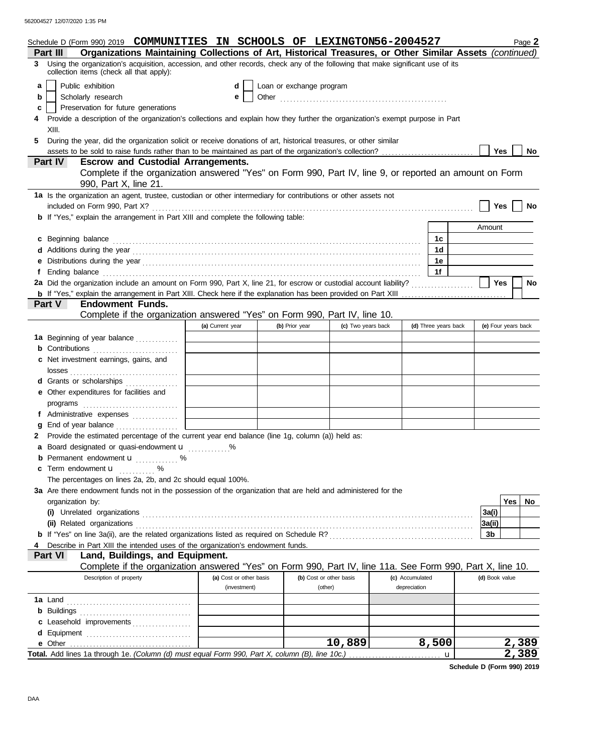| Schedule D (Form 990) 2019 COMMUNITIES IN SCHOOLS OF LEXINGTON56-2004527<br>Part III                                                                                                                                                         |                         |                          |                         |                 |                      | Page 2              |
|----------------------------------------------------------------------------------------------------------------------------------------------------------------------------------------------------------------------------------------------|-------------------------|--------------------------|-------------------------|-----------------|----------------------|---------------------|
| Organizations Maintaining Collections of Art, Historical Treasures, or Other Similar Assets (continued)<br>3 Using the organization's acquisition, accession, and other records, check any of the following that make significant use of its |                         |                          |                         |                 |                      |                     |
| collection items (check all that apply):                                                                                                                                                                                                     |                         |                          |                         |                 |                      |                     |
| Public exhibition<br>a                                                                                                                                                                                                                       | d                       | Loan or exchange program |                         |                 |                      |                     |
| Scholarly research<br>b<br>Preservation for future generations                                                                                                                                                                               | е                       |                          |                         |                 |                      |                     |
| c<br>Provide a description of the organization's collections and explain how they further the organization's exempt purpose in Part                                                                                                          |                         |                          |                         |                 |                      |                     |
| XIII.                                                                                                                                                                                                                                        |                         |                          |                         |                 |                      |                     |
| During the year, did the organization solicit or receive donations of art, historical treasures, or other similar<br>5.                                                                                                                      |                         |                          |                         |                 |                      |                     |
|                                                                                                                                                                                                                                              |                         |                          |                         |                 |                      | Yes<br>No           |
| <b>Escrow and Custodial Arrangements.</b><br>Part IV                                                                                                                                                                                         |                         |                          |                         |                 |                      |                     |
| Complete if the organization answered "Yes" on Form 990, Part IV, line 9, or reported an amount on Form<br>990, Part X, line 21.                                                                                                             |                         |                          |                         |                 |                      |                     |
| 1a Is the organization an agent, trustee, custodian or other intermediary for contributions or other assets not                                                                                                                              |                         |                          |                         |                 |                      |                     |
| included on Form 990, Part X?                                                                                                                                                                                                                |                         |                          |                         |                 |                      | Yes<br>No           |
| b If "Yes," explain the arrangement in Part XIII and complete the following table:                                                                                                                                                           |                         |                          |                         |                 |                      |                     |
|                                                                                                                                                                                                                                              |                         |                          |                         |                 |                      | Amount              |
| c Beginning balance expressions and contact the contract of the contract of the contract of the contract of the contract of the contract of the contract of the contract of the contract of the contract of the contract of th               |                         |                          |                         |                 | 1c                   |                     |
|                                                                                                                                                                                                                                              |                         |                          |                         |                 | 1d                   |                     |
| е                                                                                                                                                                                                                                            |                         |                          |                         |                 | 1e<br>1f             |                     |
| f                                                                                                                                                                                                                                            |                         |                          |                         |                 |                      | Yes<br>No           |
|                                                                                                                                                                                                                                              |                         |                          |                         |                 |                      |                     |
| <b>Endowment Funds.</b><br><b>Part V</b>                                                                                                                                                                                                     |                         |                          |                         |                 |                      |                     |
| Complete if the organization answered "Yes" on Form 990, Part IV, line 10.                                                                                                                                                                   |                         |                          |                         |                 |                      |                     |
|                                                                                                                                                                                                                                              | (a) Current year        | (b) Prior year           | (c) Two years back      |                 | (d) Three years back | (e) Four years back |
| 1a Beginning of year balance                                                                                                                                                                                                                 |                         |                          |                         |                 |                      |                     |
| <b>b</b> Contributions                                                                                                                                                                                                                       |                         |                          |                         |                 |                      |                     |
| c Net investment earnings, gains, and                                                                                                                                                                                                        |                         |                          |                         |                 |                      |                     |
|                                                                                                                                                                                                                                              |                         |                          |                         |                 |                      |                     |
| d Grants or scholarships                                                                                                                                                                                                                     |                         |                          |                         |                 |                      |                     |
| e Other expenditures for facilities and                                                                                                                                                                                                      |                         |                          |                         |                 |                      |                     |
|                                                                                                                                                                                                                                              |                         |                          |                         |                 |                      |                     |
| f Administrative expenses<br>g                                                                                                                                                                                                               |                         |                          |                         |                 |                      |                     |
| Provide the estimated percentage of the current year end balance (line 1g, column (a)) held as:<br>2                                                                                                                                         |                         |                          |                         |                 |                      |                     |
| a Board designated or quasi-endowment u %                                                                                                                                                                                                    |                         |                          |                         |                 |                      |                     |
| <b>b</b> Permanent endowment $\mathbf{u}$ %                                                                                                                                                                                                  |                         |                          |                         |                 |                      |                     |
| <b>c</b> Term endowment $\mathbf{u}$                                                                                                                                                                                                         |                         |                          |                         |                 |                      |                     |
| The percentages on lines 2a, 2b, and 2c should equal 100%.                                                                                                                                                                                   |                         |                          |                         |                 |                      |                     |
| 3a Are there endowment funds not in the possession of the organization that are held and administered for the                                                                                                                                |                         |                          |                         |                 |                      |                     |
| organization by:                                                                                                                                                                                                                             |                         |                          |                         |                 |                      | Yes<br>No.          |
|                                                                                                                                                                                                                                              |                         |                          |                         |                 |                      | 3a(i)               |
|                                                                                                                                                                                                                                              |                         |                          |                         |                 |                      | 3a(ii)              |
|                                                                                                                                                                                                                                              |                         |                          |                         |                 |                      | 3b                  |
| Describe in Part XIII the intended uses of the organization's endowment funds.<br>Land, Buildings, and Equipment.<br><b>Part VI</b>                                                                                                          |                         |                          |                         |                 |                      |                     |
| Complete if the organization answered "Yes" on Form 990, Part IV, line 11a. See Form 990, Part X, line 10.                                                                                                                                   |                         |                          |                         |                 |                      |                     |
| Description of property                                                                                                                                                                                                                      | (a) Cost or other basis |                          | (b) Cost or other basis | (c) Accumulated |                      | (d) Book value      |
|                                                                                                                                                                                                                                              | (investment)            |                          | (other)                 | depreciation    |                      |                     |
|                                                                                                                                                                                                                                              |                         |                          |                         |                 |                      |                     |
|                                                                                                                                                                                                                                              |                         |                          |                         |                 |                      |                     |
| c Leasehold improvements                                                                                                                                                                                                                     |                         |                          |                         |                 |                      |                     |
| d Equipment                                                                                                                                                                                                                                  |                         |                          |                         |                 |                      |                     |
|                                                                                                                                                                                                                                              |                         |                          | 10,889                  |                 | 8,500                | 2,389               |
|                                                                                                                                                                                                                                              |                         |                          |                         |                 | u                    | 2,389               |

**Schedule D (Form 990) 2019**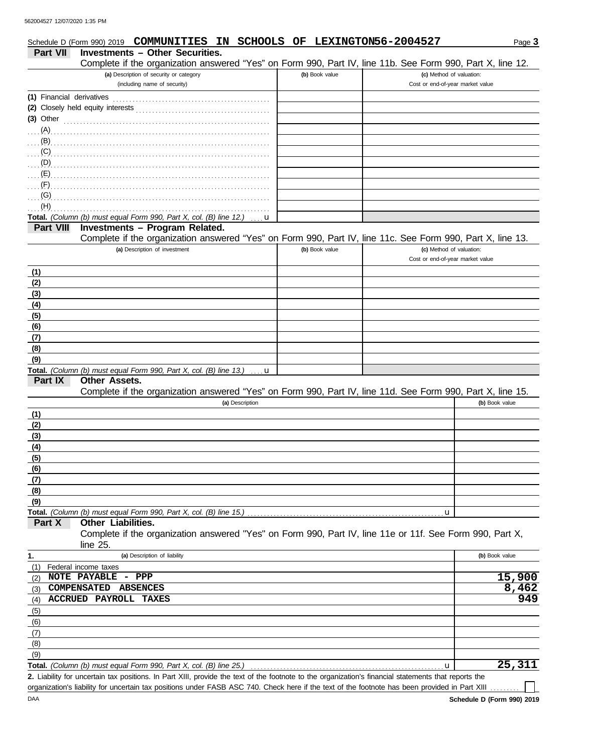|                           | Schedule D (Form 990) 2019 COMMUNITIES IN SCHOOLS OF LEXINGTON56-2004527                                                                                                                                                       |                |                                                              | Page 3         |
|---------------------------|--------------------------------------------------------------------------------------------------------------------------------------------------------------------------------------------------------------------------------|----------------|--------------------------------------------------------------|----------------|
| Part VII                  | <b>Investments - Other Securities.</b>                                                                                                                                                                                         |                |                                                              |                |
|                           | Complete if the organization answered "Yes" on Form 990, Part IV, line 11b. See Form 990, Part X, line 12.                                                                                                                     |                |                                                              |                |
|                           | (a) Description of security or category<br>(including name of security)                                                                                                                                                        | (b) Book value | (c) Method of valuation:<br>Cost or end-of-year market value |                |
| (1) Financial derivatives |                                                                                                                                                                                                                                |                |                                                              |                |
|                           |                                                                                                                                                                                                                                |                |                                                              |                |
| $(3)$ Other               |                                                                                                                                                                                                                                |                |                                                              |                |
|                           |                                                                                                                                                                                                                                |                |                                                              |                |
|                           |                                                                                                                                                                                                                                |                |                                                              |                |
|                           | $(C)$ . The contract of the contract of the contract of the contract of the contract of the contract of the contract of the contract of the contract of the contract of the contract of the contract of the contract of the co |                |                                                              |                |
|                           |                                                                                                                                                                                                                                |                |                                                              |                |
|                           |                                                                                                                                                                                                                                |                |                                                              |                |
|                           |                                                                                                                                                                                                                                |                |                                                              |                |
| (G)<br>(H)                |                                                                                                                                                                                                                                |                |                                                              |                |
|                           | Total. (Column (b) must equal Form 990, Part X, col. (B) line 12.)<br>$\mathbf{u}$                                                                                                                                             |                |                                                              |                |
| <b>Part VIII</b>          | Investments - Program Related.                                                                                                                                                                                                 |                |                                                              |                |
|                           | Complete if the organization answered "Yes" on Form 990, Part IV, line 11c. See Form 990, Part X, line 13.                                                                                                                     |                |                                                              |                |
|                           | (a) Description of investment                                                                                                                                                                                                  | (b) Book value | (c) Method of valuation:                                     |                |
|                           |                                                                                                                                                                                                                                |                | Cost or end-of-year market value                             |                |
| (1)                       |                                                                                                                                                                                                                                |                |                                                              |                |
| (2)                       |                                                                                                                                                                                                                                |                |                                                              |                |
| (3)                       |                                                                                                                                                                                                                                |                |                                                              |                |
| (4)                       |                                                                                                                                                                                                                                |                |                                                              |                |
| (5)<br>(6)                |                                                                                                                                                                                                                                |                |                                                              |                |
| (7)                       |                                                                                                                                                                                                                                |                |                                                              |                |
| (8)                       |                                                                                                                                                                                                                                |                |                                                              |                |
| (9)                       |                                                                                                                                                                                                                                |                |                                                              |                |
|                           | Total. (Column (b) must equal Form 990, Part X, col. (B) line 13.)<br>u                                                                                                                                                        |                |                                                              |                |
| Part IX                   | <b>Other Assets.</b>                                                                                                                                                                                                           |                |                                                              |                |
|                           | Complete if the organization answered "Yes" on Form 990, Part IV, line 11d. See Form 990, Part X, line 15.                                                                                                                     |                |                                                              |                |
|                           | (a) Description                                                                                                                                                                                                                |                |                                                              | (b) Book value |
| (1)                       |                                                                                                                                                                                                                                |                |                                                              |                |
| (2)<br>(3)                |                                                                                                                                                                                                                                |                |                                                              |                |
| (4)                       |                                                                                                                                                                                                                                |                |                                                              |                |
| (5)                       |                                                                                                                                                                                                                                |                |                                                              |                |
| (6)                       |                                                                                                                                                                                                                                |                |                                                              |                |
| (7)                       |                                                                                                                                                                                                                                |                |                                                              |                |
| (8)                       |                                                                                                                                                                                                                                |                |                                                              |                |
| (9)                       |                                                                                                                                                                                                                                |                |                                                              |                |
|                           | Total. (Column (b) must equal Form 990, Part X, col. (B) line 15.)                                                                                                                                                             |                | u                                                            |                |
| Part X                    | Other Liabilities.<br>Complete if the organization answered "Yes" on Form 990, Part IV, line 11e or 11f. See Form 990, Part X,                                                                                                 |                |                                                              |                |
|                           | line 25.                                                                                                                                                                                                                       |                |                                                              |                |
| 1.                        | (a) Description of liability                                                                                                                                                                                                   |                |                                                              | (b) Book value |
| (1)                       | Federal income taxes                                                                                                                                                                                                           |                |                                                              |                |
| (2)                       | NOTE PAYABLE<br>- PPP                                                                                                                                                                                                          |                |                                                              | 15,900         |
| (3)                       | COMPENSATED<br><b>ABSENCES</b>                                                                                                                                                                                                 |                |                                                              | 8,462          |
| (4)                       | <b>ACCRUED PAYROLL TAXES</b>                                                                                                                                                                                                   |                |                                                              | 949            |
| (5)                       |                                                                                                                                                                                                                                |                |                                                              |                |
| (6)                       |                                                                                                                                                                                                                                |                |                                                              |                |
| (7)                       |                                                                                                                                                                                                                                |                |                                                              |                |
| (8)                       |                                                                                                                                                                                                                                |                |                                                              |                |
| (9)                       | Total. (Column (b) must equal Form 990, Part X, col. (B) line 25.)                                                                                                                                                             |                |                                                              | 25,311         |
|                           |                                                                                                                                                                                                                                |                | u                                                            |                |

Liability for uncertain tax positions. In Part XIII, provide the text of the footnote to the organization's financial statements that reports the **2.** organization's liability for uncertain tax positions under FASB ASC 740. Check here if the text of the footnote has been provided in Part XIII . . . . . .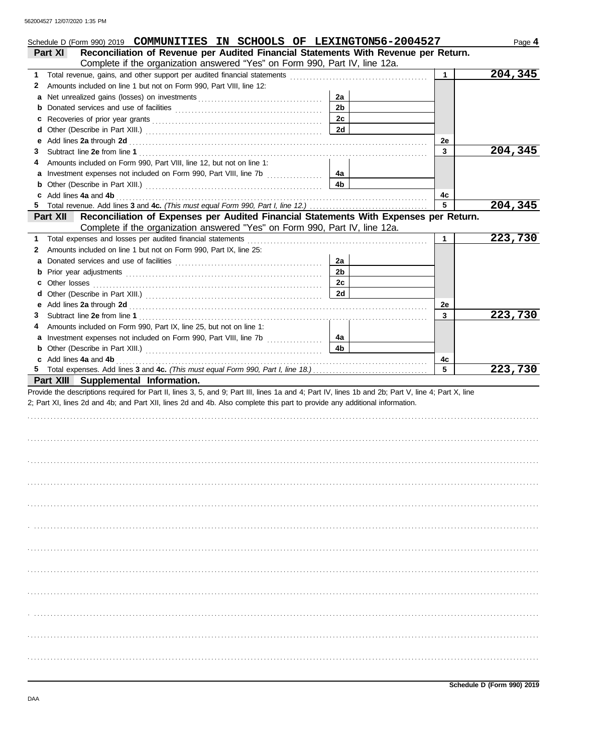| Schedule D (Form 990) 2019 COMMUNITIES IN SCHOOLS OF LEXINGTON56-2004527                                                                                                                                                                                                         |                |    | Page 4  |
|----------------------------------------------------------------------------------------------------------------------------------------------------------------------------------------------------------------------------------------------------------------------------------|----------------|----|---------|
| Reconciliation of Revenue per Audited Financial Statements With Revenue per Return.<br><b>Part XI</b>                                                                                                                                                                            |                |    |         |
| Complete if the organization answered "Yes" on Form 990, Part IV, line 12a.                                                                                                                                                                                                      |                |    |         |
| 1                                                                                                                                                                                                                                                                                |                | 1  | 204,345 |
| Amounts included on line 1 but not on Form 990, Part VIII, line 12:<br>2                                                                                                                                                                                                         |                |    |         |
|                                                                                                                                                                                                                                                                                  | 2a<br>2b       |    |         |
|                                                                                                                                                                                                                                                                                  | 2c             |    |         |
|                                                                                                                                                                                                                                                                                  | 2d             |    |         |
|                                                                                                                                                                                                                                                                                  |                | 2e |         |
| 3                                                                                                                                                                                                                                                                                |                | 3  | 204,345 |
| Amounts included on Form 990, Part VIII, line 12, but not on line 1:<br>4                                                                                                                                                                                                        |                |    |         |
|                                                                                                                                                                                                                                                                                  | 4а             |    |         |
| <b>b</b> Other (Describe in Part XIII.) <b>CONSIDENT Described in Part XIII.</b> )                                                                                                                                                                                               | 4b             |    |         |
| c Add lines 4a and 4b                                                                                                                                                                                                                                                            |                | 4с |         |
|                                                                                                                                                                                                                                                                                  |                | 5  | 204,345 |
| Part XII Reconciliation of Expenses per Audited Financial Statements With Expenses per Return.                                                                                                                                                                                   |                |    |         |
| Complete if the organization answered "Yes" on Form 990, Part IV, line 12a.                                                                                                                                                                                                      |                |    |         |
| Total expenses and losses per audited financial statements<br>1                                                                                                                                                                                                                  |                | 1  | 223,730 |
| Amounts included on line 1 but not on Form 990, Part IX, line 25:<br>$\mathbf{2}$                                                                                                                                                                                                |                |    |         |
|                                                                                                                                                                                                                                                                                  | 2a             |    |         |
|                                                                                                                                                                                                                                                                                  | 2 <sub>b</sub> |    |         |
|                                                                                                                                                                                                                                                                                  | 2c             |    |         |
|                                                                                                                                                                                                                                                                                  | 2d             |    |         |
|                                                                                                                                                                                                                                                                                  |                | 2e |         |
| 3                                                                                                                                                                                                                                                                                |                | 3  | 223,730 |
| Amounts included on Form 990, Part IX, line 25, but not on line 1:<br>4                                                                                                                                                                                                          |                |    |         |
|                                                                                                                                                                                                                                                                                  | 4a             |    |         |
|                                                                                                                                                                                                                                                                                  |                |    |         |
|                                                                                                                                                                                                                                                                                  | 4b             |    |         |
| c Add lines 4a and 4b                                                                                                                                                                                                                                                            |                | 4c |         |
|                                                                                                                                                                                                                                                                                  |                | 5  | 223,730 |
| Part XIII Supplemental Information.                                                                                                                                                                                                                                              |                |    |         |
| Provide the descriptions required for Part II, lines 3, 5, and 9; Part III, lines 1a and 4; Part IV, lines 1b and 2b; Part V, line 4; Part X, line<br>2; Part XI, lines 2d and 4b; and Part XII, lines 2d and 4b. Also complete this part to provide any additional information. |                |    |         |
|                                                                                                                                                                                                                                                                                  |                |    |         |
|                                                                                                                                                                                                                                                                                  |                |    |         |
|                                                                                                                                                                                                                                                                                  |                |    |         |
|                                                                                                                                                                                                                                                                                  |                |    |         |
|                                                                                                                                                                                                                                                                                  |                |    |         |
|                                                                                                                                                                                                                                                                                  |                |    |         |
|                                                                                                                                                                                                                                                                                  |                |    |         |
|                                                                                                                                                                                                                                                                                  |                |    |         |
|                                                                                                                                                                                                                                                                                  |                |    |         |
|                                                                                                                                                                                                                                                                                  |                |    |         |
|                                                                                                                                                                                                                                                                                  |                |    |         |
|                                                                                                                                                                                                                                                                                  |                |    |         |
|                                                                                                                                                                                                                                                                                  |                |    |         |
|                                                                                                                                                                                                                                                                                  |                |    |         |
|                                                                                                                                                                                                                                                                                  |                |    |         |
|                                                                                                                                                                                                                                                                                  |                |    |         |
|                                                                                                                                                                                                                                                                                  |                |    |         |
|                                                                                                                                                                                                                                                                                  |                |    |         |
|                                                                                                                                                                                                                                                                                  |                |    |         |
|                                                                                                                                                                                                                                                                                  |                |    |         |
|                                                                                                                                                                                                                                                                                  |                |    |         |
|                                                                                                                                                                                                                                                                                  |                |    |         |
|                                                                                                                                                                                                                                                                                  |                |    |         |

**Schedule D (Form 990) 2019**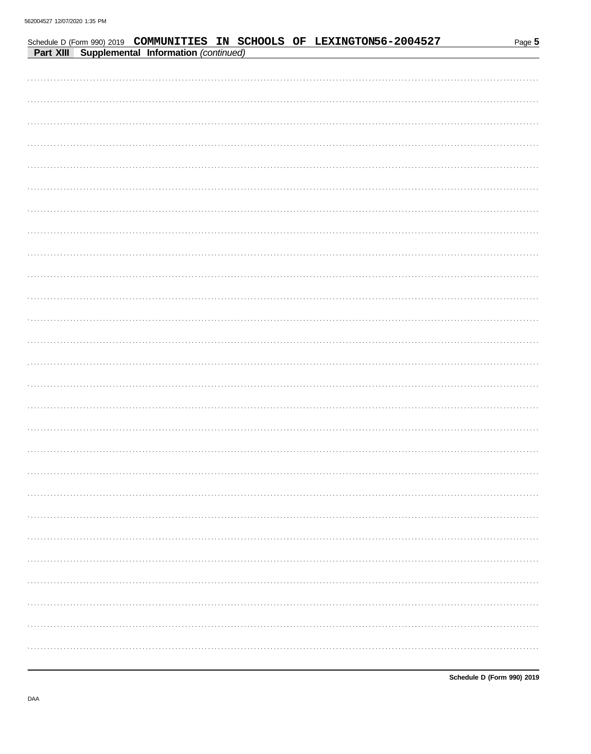|  |  | Schedule D (Form 990) 2019 COMMUNITIES IN SCHOOLS OF LEXINGTON56-2004527<br>Part XIII Supplemental Information (continued) | Page 5 |
|--|--|----------------------------------------------------------------------------------------------------------------------------|--------|
|  |  |                                                                                                                            |        |
|  |  |                                                                                                                            |        |
|  |  |                                                                                                                            |        |
|  |  |                                                                                                                            |        |
|  |  |                                                                                                                            |        |
|  |  |                                                                                                                            |        |
|  |  |                                                                                                                            |        |
|  |  |                                                                                                                            |        |
|  |  |                                                                                                                            |        |
|  |  |                                                                                                                            |        |
|  |  |                                                                                                                            |        |
|  |  |                                                                                                                            |        |
|  |  |                                                                                                                            |        |
|  |  |                                                                                                                            |        |
|  |  |                                                                                                                            |        |
|  |  |                                                                                                                            |        |
|  |  |                                                                                                                            |        |
|  |  |                                                                                                                            |        |
|  |  |                                                                                                                            | .      |
|  |  |                                                                                                                            |        |
|  |  |                                                                                                                            |        |
|  |  |                                                                                                                            |        |
|  |  |                                                                                                                            |        |
|  |  |                                                                                                                            |        |
|  |  |                                                                                                                            |        |
|  |  |                                                                                                                            |        |
|  |  |                                                                                                                            |        |
|  |  |                                                                                                                            |        |
|  |  |                                                                                                                            |        |

Schedule D (Form 990) 2019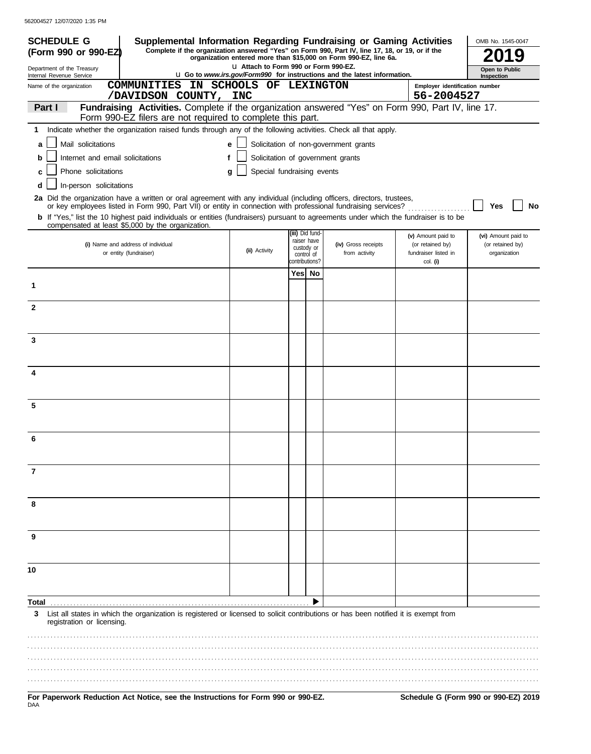| <b>SCHEDULE G</b><br>Supplemental Information Regarding Fundraising or Gaming Activities                                                                                                    |                                       |                                |  |                                                                                        |                                        | OMB No. 1545-0047                       |
|---------------------------------------------------------------------------------------------------------------------------------------------------------------------------------------------|---------------------------------------|--------------------------------|--|----------------------------------------------------------------------------------------|----------------------------------------|-----------------------------------------|
| Complete if the organization answered "Yes" on Form 990, Part IV, line 17, 18, or 19, or if the<br>(Form 990 or 990-EZ)<br>organization entered more than \$15,000 on Form 990-EZ, line 6a. |                                       |                                |  |                                                                                        |                                        |                                         |
| Department of the Treasury<br>Internal Revenue Service                                                                                                                                      | La Attach to Form 990 or Form 990-EZ. |                                |  | <b>u</b> Go to <i>www.irs.gov/Form990</i> for instructions and the latest information. |                                        | Open to Public<br>Inspection            |
| COMMUNITIES IN SCHOOLS OF LEXINGTON<br>Name of the organization                                                                                                                             | Employer identification number        |                                |  |                                                                                        |                                        |                                         |
| /DAVIDSON COUNTY, INC                                                                                                                                                                       | 56-2004527                            |                                |  |                                                                                        |                                        |                                         |
| Fundraising Activities. Complete if the organization answered "Yes" on Form 990, Part IV, line 17.<br>Part I<br>Form 990-EZ filers are not required to complete this part.                  |                                       |                                |  |                                                                                        |                                        |                                         |
| Indicate whether the organization raised funds through any of the following activities. Check all that apply.<br>1.                                                                         |                                       |                                |  |                                                                                        |                                        |                                         |
| Mail solicitations<br>a                                                                                                                                                                     | e                                     |                                |  | Solicitation of non-government grants                                                  |                                        |                                         |
| Internet and email solicitations<br>b                                                                                                                                                       |                                       |                                |  | Solicitation of government grants                                                      |                                        |                                         |
| Phone solicitations<br>C                                                                                                                                                                    | Special fundraising events            |                                |  |                                                                                        |                                        |                                         |
| In-person solicitations                                                                                                                                                                     | g                                     |                                |  |                                                                                        |                                        |                                         |
| d<br>2a Did the organization have a written or oral agreement with any individual (including officers, directors, trustees,                                                                 |                                       |                                |  |                                                                                        |                                        |                                         |
| or key employees listed in Form 990, Part VII) or entity in connection with professional fundraising services?                                                                              |                                       |                                |  |                                                                                        |                                        | No<br>Yes                               |
| b If "Yes," list the 10 highest paid individuals or entities (fundraisers) pursuant to agreements under which the fundraiser is to be<br>compensated at least \$5,000 by the organization.  |                                       |                                |  |                                                                                        |                                        |                                         |
| (i) Name and address of individual                                                                                                                                                          |                                       | (iii) Did fund-<br>raiser have |  | (iv) Gross receipts                                                                    | (v) Amount paid to<br>(or retained by) | (vi) Amount paid to<br>(or retained by) |
| or entity (fundraiser)                                                                                                                                                                      | (ii) Activity                         | custody or<br>control of       |  | from activity                                                                          | fundraiser listed in                   | organization                            |
|                                                                                                                                                                                             |                                       | contributions?                 |  |                                                                                        | col. (i)                               |                                         |
| 1                                                                                                                                                                                           |                                       | Yes  No                        |  |                                                                                        |                                        |                                         |
|                                                                                                                                                                                             |                                       |                                |  |                                                                                        |                                        |                                         |
| $\mathbf{2}$                                                                                                                                                                                |                                       |                                |  |                                                                                        |                                        |                                         |
|                                                                                                                                                                                             |                                       |                                |  |                                                                                        |                                        |                                         |
|                                                                                                                                                                                             |                                       |                                |  |                                                                                        |                                        |                                         |
| 3                                                                                                                                                                                           |                                       |                                |  |                                                                                        |                                        |                                         |
|                                                                                                                                                                                             |                                       |                                |  |                                                                                        |                                        |                                         |
| 4                                                                                                                                                                                           |                                       |                                |  |                                                                                        |                                        |                                         |
|                                                                                                                                                                                             |                                       |                                |  |                                                                                        |                                        |                                         |
| 5                                                                                                                                                                                           |                                       |                                |  |                                                                                        |                                        |                                         |
|                                                                                                                                                                                             |                                       |                                |  |                                                                                        |                                        |                                         |
|                                                                                                                                                                                             |                                       |                                |  |                                                                                        |                                        |                                         |
|                                                                                                                                                                                             |                                       |                                |  |                                                                                        |                                        |                                         |
|                                                                                                                                                                                             |                                       |                                |  |                                                                                        |                                        |                                         |
| 7                                                                                                                                                                                           |                                       |                                |  |                                                                                        |                                        |                                         |
|                                                                                                                                                                                             |                                       |                                |  |                                                                                        |                                        |                                         |
|                                                                                                                                                                                             |                                       |                                |  |                                                                                        |                                        |                                         |
| 8                                                                                                                                                                                           |                                       |                                |  |                                                                                        |                                        |                                         |
|                                                                                                                                                                                             |                                       |                                |  |                                                                                        |                                        |                                         |
| 9                                                                                                                                                                                           |                                       |                                |  |                                                                                        |                                        |                                         |
|                                                                                                                                                                                             |                                       |                                |  |                                                                                        |                                        |                                         |
|                                                                                                                                                                                             |                                       |                                |  |                                                                                        |                                        |                                         |
| 10                                                                                                                                                                                          |                                       |                                |  |                                                                                        |                                        |                                         |
|                                                                                                                                                                                             |                                       |                                |  |                                                                                        |                                        |                                         |
| Total                                                                                                                                                                                       |                                       |                                |  |                                                                                        |                                        |                                         |
| List all states in which the organization is registered or licensed to solicit contributions or has been notified it is exempt from<br>3<br>registration or licensing.                      |                                       |                                |  |                                                                                        |                                        |                                         |
|                                                                                                                                                                                             |                                       |                                |  |                                                                                        |                                        |                                         |
|                                                                                                                                                                                             |                                       |                                |  |                                                                                        |                                        |                                         |
|                                                                                                                                                                                             |                                       |                                |  |                                                                                        |                                        |                                         |
|                                                                                                                                                                                             |                                       |                                |  |                                                                                        |                                        |                                         |
|                                                                                                                                                                                             |                                       |                                |  |                                                                                        |                                        |                                         |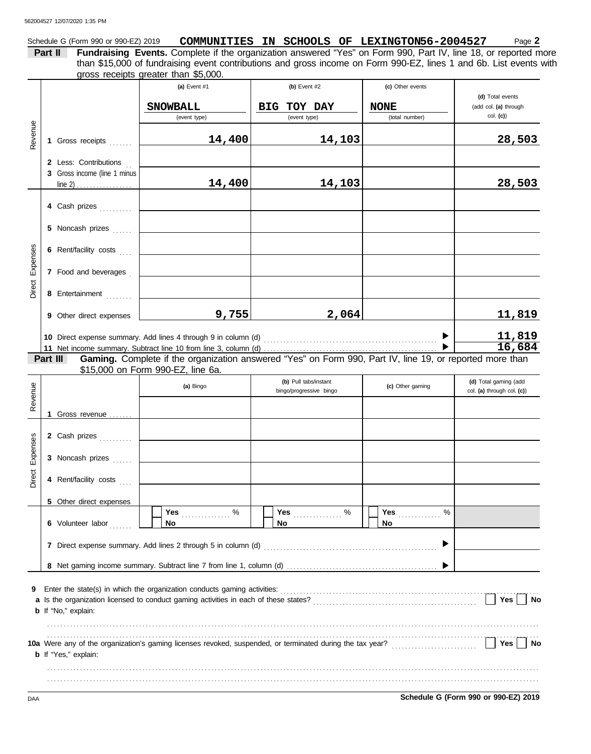Schedule G (Form 990 or 990-EZ) 2019 **COMMUNITIES IN SCHOOLS OF LEXINGTON56-2004527** Page **2 Part II Fundraising Events.** Complete if the organization answered "Yes" on Form 990, Part IV, line 18, or reported more gross receipts greater than \$5,000. than \$15,000 of fundraising event contributions and gross income on Form 990-EZ, lines 1 and 6b. List events with

|                 |                              | (a) Event $#1$                                                                                           | (b) Event $#2$          | (c) Other events       |                                      |
|-----------------|------------------------------|----------------------------------------------------------------------------------------------------------|-------------------------|------------------------|--------------------------------------|
|                 |                              |                                                                                                          |                         |                        | (d) Total events                     |
|                 |                              | <b>SNOWBALL</b>                                                                                          | BIG TOY DAY             | <b>NONE</b>            | (add col. (a) through<br>col. (c)    |
|                 |                              | (event type)                                                                                             | (event type)            | (total number)         |                                      |
| Revenue         | 1 Gross receipts             | 14,400                                                                                                   | 14,103                  |                        | 28,503                               |
|                 |                              |                                                                                                          |                         |                        |                                      |
|                 | 2 Less: Contributions        |                                                                                                          |                         |                        |                                      |
|                 | 3 Gross income (line 1 minus |                                                                                                          |                         |                        |                                      |
|                 |                              | 14,400                                                                                                   | 14,103                  |                        | 28,503                               |
|                 |                              |                                                                                                          |                         |                        |                                      |
|                 | 4 Cash prizes                |                                                                                                          |                         |                        |                                      |
|                 |                              |                                                                                                          |                         |                        |                                      |
|                 | 5 Noncash prizes             |                                                                                                          |                         |                        |                                      |
|                 |                              |                                                                                                          |                         |                        |                                      |
|                 | 6 Rent/facility costs        |                                                                                                          |                         |                        |                                      |
| Direct Expenses |                              |                                                                                                          |                         |                        |                                      |
|                 | 7 Food and beverages         |                                                                                                          |                         |                        |                                      |
|                 |                              |                                                                                                          |                         |                        |                                      |
|                 | 8 Entertainment              |                                                                                                          |                         |                        |                                      |
|                 |                              |                                                                                                          |                         |                        |                                      |
|                 | 9 Other direct expenses      | 9,755                                                                                                    | 2,064                   |                        | <u>11,819</u>                        |
|                 |                              |                                                                                                          |                         |                        |                                      |
|                 |                              | 10 Direct expense summary. Add lines 4 through 9 in column (d)                                           |                         |                        |                                      |
|                 |                              |                                                                                                          |                         |                        | $\frac{11,819}{16,684}$              |
|                 | Part III                     | Gaming. Complete if the organization answered "Yes" on Form 990, Part IV, line 19, or reported more than |                         |                        |                                      |
|                 |                              |                                                                                                          |                         |                        |                                      |
|                 |                              | \$15,000 on Form 990-EZ, line 6a.                                                                        |                         |                        |                                      |
|                 |                              | (a) Bingo                                                                                                | (b) Pull tabs/instant   | (c) Other gaming       | (d) Total gaming (add                |
| Revenue         |                              |                                                                                                          | bingo/progressive bingo |                        | col. (a) through col. (c))           |
|                 |                              |                                                                                                          |                         |                        |                                      |
|                 | 1 Gross revenue              |                                                                                                          |                         |                        |                                      |
|                 |                              |                                                                                                          |                         |                        |                                      |
|                 | 2 Cash prizes                |                                                                                                          |                         |                        |                                      |
| Direct Expenses |                              |                                                                                                          |                         |                        |                                      |
|                 | 3 Noncash prizes             |                                                                                                          |                         |                        |                                      |
|                 |                              |                                                                                                          |                         |                        |                                      |
|                 | 4 Rent/facility costs        |                                                                                                          |                         |                        |                                      |
|                 |                              |                                                                                                          |                         |                        |                                      |
|                 | 5 Other direct expenses      |                                                                                                          |                         |                        |                                      |
|                 |                              |                                                                                                          |                         | %<br>Yes <b>Market</b> |                                      |
|                 | 6 Volunteer labor            | No                                                                                                       | No                      | No                     |                                      |
|                 |                              |                                                                                                          |                         |                        |                                      |
|                 |                              |                                                                                                          |                         |                        |                                      |
|                 |                              |                                                                                                          |                         |                        |                                      |
|                 |                              |                                                                                                          |                         |                        |                                      |
|                 |                              |                                                                                                          |                         |                        |                                      |
|                 |                              |                                                                                                          |                         |                        |                                      |
| 9               |                              |                                                                                                          |                         |                        |                                      |
|                 |                              |                                                                                                          |                         |                        | Yes<br>No                            |
|                 | <b>b</b> If "No," explain:   |                                                                                                          |                         |                        |                                      |
|                 |                              |                                                                                                          |                         |                        |                                      |
|                 |                              |                                                                                                          |                         |                        |                                      |
|                 |                              |                                                                                                          |                         |                        | Yes<br>No                            |
|                 | <b>b</b> If "Yes," explain:  |                                                                                                          |                         |                        |                                      |
|                 |                              |                                                                                                          |                         |                        |                                      |
|                 |                              |                                                                                                          |                         |                        |                                      |
|                 |                              |                                                                                                          |                         |                        |                                      |
| DAA             |                              |                                                                                                          |                         |                        | Schedule G (Form 990 or 990-EZ) 2019 |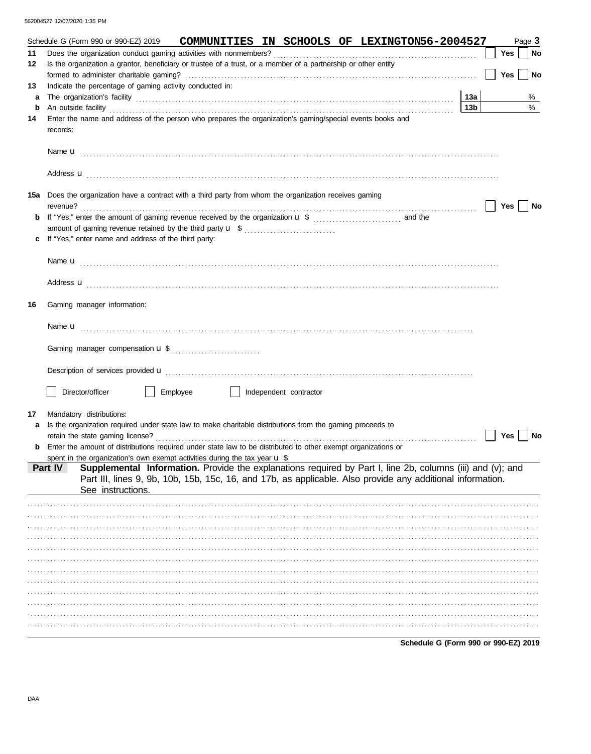## 562004527 12/07/2020 1:35 PM

|         |          | Schedule G (Form 990 or 990-EZ) 2019                                                                                                                                                                                     |          | COMMUNITIES IN SCHOOLS OF LEXINGTON56-2004527 |                        |  |  |  |                                      |                 |            | Page 3 |    |
|---------|----------|--------------------------------------------------------------------------------------------------------------------------------------------------------------------------------------------------------------------------|----------|-----------------------------------------------|------------------------|--|--|--|--------------------------------------|-----------------|------------|--------|----|
| 11      |          | Does the organization conduct gaming activities with nonmembers?                                                                                                                                                         |          |                                               |                        |  |  |  |                                      |                 | <b>Yes</b> |        | No |
| 12      |          | Is the organization a grantor, beneficiary or trustee of a trust, or a member of a partnership or other entity                                                                                                           |          |                                               |                        |  |  |  |                                      |                 |            |        |    |
|         |          |                                                                                                                                                                                                                          |          |                                               |                        |  |  |  |                                      |                 | <b>Yes</b> |        | No |
| 13<br>a |          | Indicate the percentage of gaming activity conducted in:                                                                                                                                                                 |          |                                               |                        |  |  |  |                                      | 13а             |            |        | %  |
| b       |          |                                                                                                                                                                                                                          |          |                                               |                        |  |  |  |                                      | 13 <sub>b</sub> |            |        | %  |
| 14      |          | Enter the name and address of the person who prepares the organization's gaming/special events books and                                                                                                                 |          |                                               |                        |  |  |  |                                      |                 |            |        |    |
|         | records: |                                                                                                                                                                                                                          |          |                                               |                        |  |  |  |                                      |                 |            |        |    |
|         |          |                                                                                                                                                                                                                          |          |                                               |                        |  |  |  |                                      |                 |            |        |    |
|         |          |                                                                                                                                                                                                                          |          |                                               |                        |  |  |  |                                      |                 |            |        |    |
|         |          |                                                                                                                                                                                                                          |          |                                               |                        |  |  |  |                                      |                 |            |        |    |
|         |          |                                                                                                                                                                                                                          |          |                                               |                        |  |  |  |                                      |                 |            |        |    |
|         |          | 15a Does the organization have a contract with a third party from whom the organization receives gaming                                                                                                                  |          |                                               |                        |  |  |  |                                      |                 |            |        |    |
|         | revenue? |                                                                                                                                                                                                                          |          |                                               |                        |  |  |  |                                      |                 | Yes        |        | No |
| b       |          |                                                                                                                                                                                                                          |          |                                               |                        |  |  |  |                                      |                 |            |        |    |
|         |          | amount of gaming revenue retained by the third party <b>u</b> \$                                                                                                                                                         |          |                                               |                        |  |  |  |                                      |                 |            |        |    |
|         |          | If "Yes," enter name and address of the third party:                                                                                                                                                                     |          |                                               |                        |  |  |  |                                      |                 |            |        |    |
|         |          |                                                                                                                                                                                                                          |          |                                               |                        |  |  |  |                                      |                 |            |        |    |
|         |          |                                                                                                                                                                                                                          |          |                                               |                        |  |  |  |                                      |                 |            |        |    |
|         |          |                                                                                                                                                                                                                          |          |                                               |                        |  |  |  |                                      |                 |            |        |    |
|         |          | Address <b>u</b>                                                                                                                                                                                                         |          |                                               |                        |  |  |  |                                      |                 |            |        |    |
| 16      |          | Gaming manager information:                                                                                                                                                                                              |          |                                               |                        |  |  |  |                                      |                 |            |        |    |
|         |          |                                                                                                                                                                                                                          |          |                                               |                        |  |  |  |                                      |                 |            |        |    |
|         |          |                                                                                                                                                                                                                          |          |                                               |                        |  |  |  |                                      |                 |            |        |    |
|         |          |                                                                                                                                                                                                                          |          |                                               |                        |  |  |  |                                      |                 |            |        |    |
|         |          | Gaming manager compensation <b>u</b> \$                                                                                                                                                                                  |          |                                               |                        |  |  |  |                                      |                 |            |        |    |
|         |          |                                                                                                                                                                                                                          |          |                                               |                        |  |  |  |                                      |                 |            |        |    |
|         |          |                                                                                                                                                                                                                          |          |                                               |                        |  |  |  |                                      |                 |            |        |    |
|         |          | Director/officer                                                                                                                                                                                                         | Employee |                                               | Independent contractor |  |  |  |                                      |                 |            |        |    |
|         |          |                                                                                                                                                                                                                          |          |                                               |                        |  |  |  |                                      |                 |            |        |    |
| 17      |          | Mandatory distributions:                                                                                                                                                                                                 |          |                                               |                        |  |  |  |                                      |                 |            |        |    |
|         |          | Is the organization required under state law to make charitable distributions from the gaming proceeds to                                                                                                                |          |                                               |                        |  |  |  |                                      |                 |            |        |    |
|         |          | retain the state gaming license?                                                                                                                                                                                         |          |                                               |                        |  |  |  |                                      |                 | Yes        |        | No |
|         |          | Enter the amount of distributions required under state law to be distributed to other exempt organizations or                                                                                                            |          |                                               |                        |  |  |  |                                      |                 |            |        |    |
|         |          | spent in the organization's own exempt activities during the tax year $\mathbf u$ \$                                                                                                                                     |          |                                               |                        |  |  |  |                                      |                 |            |        |    |
|         | Part IV  | Supplemental Information. Provide the explanations required by Part I, line 2b, columns (iii) and (v); and<br>Part III, lines 9, 9b, 10b, 15b, 15c, 16, and 17b, as applicable. Also provide any additional information. |          |                                               |                        |  |  |  |                                      |                 |            |        |    |
|         |          | See instructions.                                                                                                                                                                                                        |          |                                               |                        |  |  |  |                                      |                 |            |        |    |
|         |          |                                                                                                                                                                                                                          |          |                                               |                        |  |  |  |                                      |                 |            |        |    |
|         |          |                                                                                                                                                                                                                          |          |                                               |                        |  |  |  |                                      |                 |            |        |    |
|         |          |                                                                                                                                                                                                                          |          |                                               |                        |  |  |  |                                      |                 |            |        |    |
|         |          |                                                                                                                                                                                                                          |          |                                               |                        |  |  |  |                                      |                 |            |        |    |
|         |          |                                                                                                                                                                                                                          |          |                                               |                        |  |  |  |                                      |                 |            |        |    |
|         |          |                                                                                                                                                                                                                          |          |                                               |                        |  |  |  |                                      |                 |            |        |    |
|         |          |                                                                                                                                                                                                                          |          |                                               |                        |  |  |  |                                      |                 |            |        |    |
|         |          |                                                                                                                                                                                                                          |          |                                               |                        |  |  |  |                                      |                 |            |        |    |
|         |          |                                                                                                                                                                                                                          |          |                                               |                        |  |  |  |                                      |                 |            |        |    |
|         |          |                                                                                                                                                                                                                          |          |                                               |                        |  |  |  |                                      |                 |            |        |    |
|         |          |                                                                                                                                                                                                                          |          |                                               |                        |  |  |  |                                      |                 |            |        |    |
|         |          |                                                                                                                                                                                                                          |          |                                               |                        |  |  |  |                                      |                 |            |        |    |
|         |          |                                                                                                                                                                                                                          |          |                                               |                        |  |  |  | Schedule G (Form 990 or 990-EZ) 2019 |                 |            |        |    |

DAA